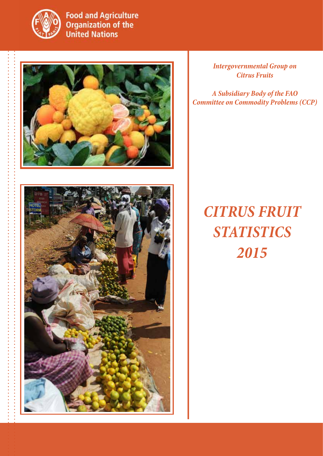

**Food and Agriculture Organization of the United Nations** 



*Intergovernmental Group on Citrus Fruits*

*A Subsidiary Body of the FAO Committee on Commodity Problems (CCP)*



## *citrus fruit statistics 2015*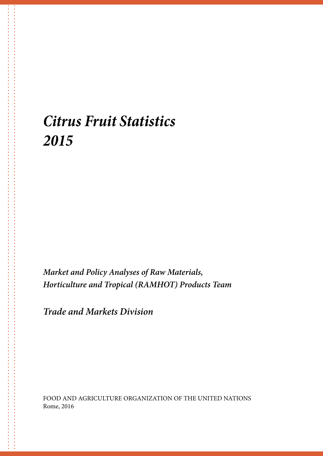### *Citrus Fruit Statistics 2015*

*Market and Policy Analyses of Raw Materials, Horticulture and Tropical (RAMHOT) Products Team*

*Trade and Markets Division*

FOOD AND AGRICULTURE ORGANIZATION OF THE UNITED NATIONS Rome, 2016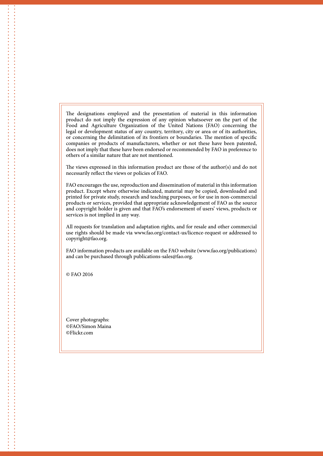The designations employed and the presentation of material in this information product do not imply the expression of any opinion whatsoever on the part of the Food and Agriculture Organization of the United Nations (FAO) concerning the legal or development status of any country, territory, city or area or of its authorities, or concerning the delimitation of its frontiers or boundaries. The mention of specific companies or products of manufacturers, whether or not these have been patented, does not imply that these have been endorsed or recommended by FAO in preference to others of a similar nature that are not mentioned.

The views expressed in this information product are those of the author(s) and do not necessarily reflect the views or policies of FAO.

FAO encourages the use, reproduction and dissemination of material in this information product. Except where otherwise indicated, material may be copied, downloaded and printed for private study, research and teaching purposes, or for use in non-commercial products or services, provided that appropriate acknowledgement of FAO as the source and copyright holder is given and that FAO's endorsement of users' views, products or services is not implied in any way.

All requests for translation and adaptation rights, and for resale and other commercial use rights should be made via www.fao.org/contact-us/licence-request or addressed to copyright@fao.org.

FAO information products are available on the FAO website (www.fao.org/publications) and can be purchased through publications-sales@fao.org.

© FAO 2016

Cover photographs: ©FAO/Simon Maina ©Flickr.com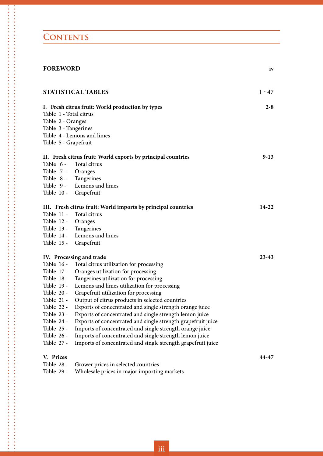### **CONTENTS**

| <b>FOREWORD</b>        |                                                               | iv        |
|------------------------|---------------------------------------------------------------|-----------|
|                        | STATISTICAL TABLES                                            | $1 - 47$  |
|                        | I. Fresh citrus fruit: World production by types              | $2 - 8$   |
| Table 1 - Total citrus |                                                               |           |
| Table 2 - Oranges      |                                                               |           |
| Table 3 - Tangerines   |                                                               |           |
|                        | Table 4 - Lemons and limes                                    |           |
| Table 5 - Grapefruit   |                                                               |           |
|                        | II. Fresh citrus fruit: World exports by principal countries  | $9-13$    |
| Table 6 -              | Total citrus                                                  |           |
| Table 7 -              | Oranges                                                       |           |
| Table 8 -              | Tangerines                                                    |           |
| Table 9 -              | Lemons and limes                                              |           |
| Table 10 -             | Grapefruit                                                    |           |
|                        | III. Fresh citrus fruit: World imports by principal countries | $14 - 22$ |
| Table 11 -             | Total citrus                                                  |           |
| Table 12 -             | Oranges                                                       |           |
|                        | Table 13 - Tangerines                                         |           |
| Table 14 -             | Lemons and limes                                              |           |
| Table 15 -             | Grapefruit                                                    |           |
|                        | IV. Processing and trade                                      | $23 - 43$ |
| Table 16 -             | Total citrus utilization for processing                       |           |
| Table 17 -             | Oranges utilization for processing                            |           |
| Table 18 -             | Tangerines utilization for processing                         |           |
| Table 19 -             | Lemons and limes utilization for processing                   |           |
| Table 20 -             | Grapefruit utilization for processing                         |           |
| Table $21 -$           | Output of citrus products in selected countries               |           |
| Table 22 -             | Exports of concentrated and single strength orange juice      |           |
| Table 23 -             | Exports of concentrated and single strength lemon juice       |           |
| Table 24 -             | Exports of concentrated and single strength grapefruit juice  |           |
| Table 25 -             | Imports of concentrated and single strength orange juice      |           |
| Table 26 -             | Imports of concentrated and single strength lemon juice       |           |
| Table 27 -             | Imports of concentrated and single strength grapefruit juice  |           |
| V. Prices              |                                                               | 44-47     |
| Table 28 -             | Grower prices in selected countries                           |           |
| Table 29 -             | Wholesale prices in major importing markets                   |           |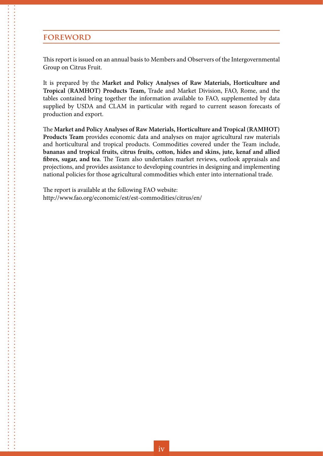#### **foreword**

This report is issued on an annual basis to Members and Observers of the Intergovernmental Group on Citrus Fruit.

It is prepared by the **Market and Policy Analyses of Raw Materials, Horticulture and Tropical (RAMHOT) Products Team,** Trade and Market Division, FAO, Rome, and the tables contained bring together the information available to FAO, supplemented by data supplied by USDA and CLAM in particular with regard to current season forecasts of production and export.

The **Market and Policy Analyses of Raw Materials, Horticulture and Tropical (RAMHOT) Products Team** provides economic data and analyses on major agricultural raw materials and horticultural and tropical products. Commodities covered under the Team include, **bananas and tropical fruits, citrus fruits, cotton, hides and skins, jute, kenaf and allied fibres, sugar, and tea**. The Team also undertakes market reviews, outlook appraisals and projections, and provides assistance to developing countries in designing and implementing national policies for those agricultural commodities which enter into international trade.

The report is available at the following FAO website: http://www.fao.org/economic/est/est-commodities/citrus/en/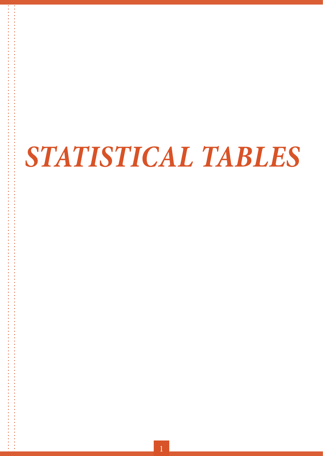# *statistical tables*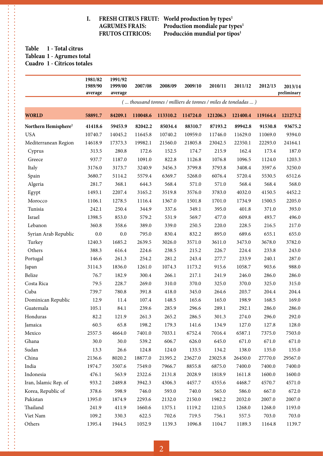## **1. FRESH CITRUS FRUIT:** World production by types<sup>1</sup> AGRUMES FRAIS: Production mondiale par ty

AGRUMES FRAIS: Production mondiale par types<sup>1</sup><br>FRUTOS CITRICOS: Producción mundial por tipos<sup>1</sup> Producción mundial por tipos<sup>1</sup>

#### **Table 1 - Total citrus Tableau 1 - Agrumes total Cuadro 1 - Cítricos totales**

 $\frac{1}{2}$ 

|                                  | 1981/82<br>1989/90<br>average | 1991/92<br>1999/00<br>average | 2007/08  | 2008/09  | 2009/10  | 2010/11  | 2011/12                                                       | 2012/13  | 2013/14<br>preliminary |
|----------------------------------|-------------------------------|-------------------------------|----------|----------|----------|----------|---------------------------------------------------------------|----------|------------------------|
|                                  |                               |                               |          |          |          |          | ( thousand tonnes / milliers de tonnes / miles de toneladas ) |          |                        |
| <b>WORLD</b>                     | 58891.7                       | 84209.1                       | 110048.6 | 113310.2 | 114724.0 | 121206.3 | 121400.4                                                      | 119164.4 | 121273.2               |
| Northern Hemisphere <sup>2</sup> | 41418.6                       | 59453.9                       | 82042.2  | 85034.4  | 88310.7  | 87193.2  | 89942.8                                                       | 91530.8  | 93675.2                |
| <b>USA</b>                       | 10740.7                       | 14045.2                       | 11645.8  | 10740.2  | 10959.0  | 11746.0  | 11629.0                                                       | 11069.0  | 9394.0                 |
| Mediterranean Region             | 14618.9                       | 17373.3                       | 19982.1  | 21560.0  | 21805.8  | 23042.5  | 22350.1                                                       | 22293.0  | 24164.1                |
| Cyprus                           | 313.5                         | 280.8                         | 172.6    | 152.5    | 174.7    | 215.9    | 162.4                                                         | 173.4    | 187.0                  |
| Greece                           | 937.7                         | 1187.0                        | 1091.0   | 822.8    | 1126.8   | 1076.8   | 1096.5                                                        | 1124.0   | 1203.3                 |
| Italy                            | 3176.0                        | 3173.7                        | 3240.9   | 3456.3   | 3799.8   | 3793.8   | 3408.4                                                        | 3597.6   | 3250.0                 |
| Spain                            | 3680.7                        | 5114.2                        | 5579.4   | 6369.7   | 5268.0   | 6076.4   | 5720.4                                                        | 5530.5   | 6512.6                 |
| Algeria                          | 281.7                         | 368.1                         | 644.3    | 568.4    | 571.0    | 571.0    | 568.4                                                         | 568.4    | 568.0                  |
| Egypt                            | 1493.1                        | 2207.4                        | 3165.2   | 3519.8   | 3576.0   | 3783.0   | 4032.0                                                        | 4150.5   | 4452.2                 |
| Morocco                          | 1106.1                        | 1278.5                        | 1116.4   | 1367.0   | 1501.8   | 1701.0   | 1734.9                                                        | 1500.5   | 2205.0                 |
| Tunisia                          | 242.1                         | 250.4                         | 344.9    | 337.6    | 349.1    | 395.0    | 401.8                                                         | 371.0    | 393.0                  |
| Israel                           | 1398.5                        | 853.0                         | 579.2    | 531.9    | 569.7    | 477.0    | 609.8                                                         | 493.7    | 496.0                  |
| Lebanon                          | 360.8                         | 358.6                         | 389.0    | 339.0    | 250.5    | 220.0    | 228.5                                                         | 216.5    | 217.0                  |
| Syrian Arab Republic             | 0.0                           | 0.0                           | 795.0    | 830.4    | 832.2    | 895.0    | 689.6                                                         | 655.1    | 655.0                  |
| Turkey                           | 1240.3                        | 1685.2                        | 2639.5   | 3026.0   | 3571.0   | 3611.0   | 3473.0                                                        | 3678.0   | 3782.0                 |
| Others                           | 388.3                         | 616.4                         | 224.6    | 238.5    | 215.2    | 226.7    | 224.4                                                         | 233.8    | 243.0                  |
| Portugal                         | 146.6                         | 261.3                         | 254.2    | 281.2    | 243.4    | 277.7    | 233.9                                                         | 240.1    | 287.0                  |
| Japan                            | 3114.3                        | 1836.0                        | 1261.0   | 1074.3   | 1173.2   | 915.6    | 1058.7                                                        | 903.6    | 988.0                  |
| Belize                           | 76.7                          | 182.9                         | 300.4    | 266.1    | 217.1    | 241.9    | 246.0                                                         | 286.0    | 286.0                  |
| Costa Rica                       | 79.5                          | 228.7                         | 269.0    | 310.0    | 370.0    | 325.0    | 370.0                                                         | 325.0    | 315.0                  |
| Cuba                             | 739.7                         | 780.8                         | 391.8    | 418.0    | 345.0    | 264.6    | 203.7                                                         | 204.4    | 204.4                  |
| Dominican Republic               | 12.9                          | 11.4                          | 107.4    | 148.5    | 165.6    | 165.0    | 198.9                                                         | 168.5    | 169.0                  |
| Guatemala                        | 105.1                         | 84.1                          | 239.6    | 285.9    | 296.6    | 289.1    | 292.1                                                         | 286.0    | 286.0                  |
| Honduras                         | 82.2                          | 121.9                         | 261.3    | 265.2    | 286.5    | 301.3    | 274.0                                                         | 296.0    | 292.0                  |
| Jamaica                          | 60.5                          | 65.8                          | 198.2    | 179.3    | 141.6    | 134.9    | 127.0                                                         | 127.8    | 128.0                  |
| Mexico                           | 2557.5                        | 4664.0                        | 7401.0   | 7033.1   | 6752.4   | 7016.4   | 6587.1                                                        | 7375.0   | 7503.0                 |
| Ghana                            | 30.0                          | 30.0                          | 539.2    | 606.7    | 626.0    | 645.0    | 671.0                                                         | 671.0    | 671.0                  |
| Sudan                            | 13.3                          | 26.6                          | 124.8    | 124.0    | 133.5    | 134.2    | 138.0                                                         | 135.0    | 135.0                  |
| China                            | 2136.6                        | 8020.2                        | 18877.0  | 21395.2  | 23627.0  | 23025.8  | 26450.0                                                       | 27770.0  | 29567.0                |
| India                            | 1974.7                        | 3507.6                        | 7549.0   | 7966.7   | 8855.8   | 6875.0   | 7400.0                                                        | 7400.0   | 7400.0                 |
| Indonesia                        | 476.1                         | 563.9                         | 2322.6   | 2131.8   | 2028.9   | 1818.9   | 1611.8                                                        | 1600.0   | 1600.0                 |
| Iran, Islamic Rep. of            | 933.2                         | 2489.8                        | 3942.3   | 4306.3   | 4457.7   | 4355.6   | 4468.7                                                        | 4570.7   | 4571.0                 |
| Korea, Republic of               | 378.6                         | 598.9                         | 746.0    | 593.0    | 740.0    | 565.0    | 586.0                                                         | 667.0    | 672.0                  |
| Pakistan                         | 1395.0                        | 1874.9                        | 2293.6   | 2132.0   | 2150.0   | 1982.2   | 2032.0                                                        | 2007.0   | 2007.0                 |
| Thailand                         | 241.9                         | 411.9                         | 1660.6   | 1375.1   | 1119.2   | 1210.5   | 1268.0                                                        | 1268.0   | 1193.0                 |
| Viet Nam                         | 109.2                         | 330.3                         | 622.5    | 702.6    | 719.5    | 756.1    | 557.5                                                         | 703.0    | 703.0                  |
| Others                           | 1395.4                        | 1944.5                        | 1052.9   | 1139.3   | 1096.8   | 1104.7   | 1189.3                                                        | 1164.8   | 1139.7                 |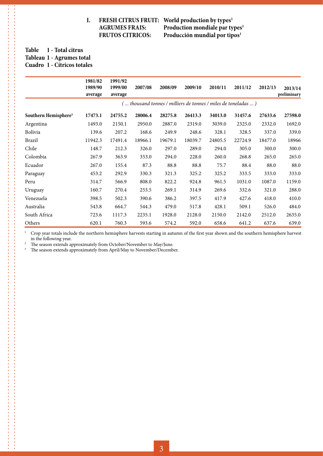## **I. FRESH CITRUS FRUIT:** World production by types<sup>1</sup>

 **AGRUMES FRAIS: Production mondiale par types1 FRUTOS CITRICOS: Producción mundial por tipos1**

#### **Table 1 - Total citrus Tableau 1 - Agrumes total Cuadro 1 - Cítricos totales**

. . . . . . . . . . . . .

\*\*\*\*\*\*\*\*\*\*\*\*\*\*\*\*\*\*\*\*\*\*\*\*\*\*\*\*\*\*\*\*\*\*\*\*

|                                  | 1981/82<br>1989/90<br>average | 1991/92<br>1999/00<br>average | 2007/08 | 2008/09 | 2009/10 | 2010/11 | 2011/12                                                        | 2012/13 | 2013/14<br>preliminary |
|----------------------------------|-------------------------------|-------------------------------|---------|---------|---------|---------|----------------------------------------------------------------|---------|------------------------|
|                                  |                               |                               |         |         |         |         | ( thousand tonnes / milliers de tonnes / miles de toneladas  ) |         |                        |
| Southern Hemisphere <sup>3</sup> | 17473.1                       | 24755.2                       | 28006.4 | 28275.8 | 26413.3 | 34013.0 | 31457.6                                                        | 27633.6 | 27598.0                |
| Argentina                        | 1493.0                        | 2150.1                        | 2950.0  | 2887.0  | 2319.0  | 3039.0  | 2325.0                                                         | 2332.0  | 1692.0                 |
| <b>Bolivia</b>                   | 139.6                         | 207.2                         | 168.6   | 249.9   | 248.6   | 328.1   | 328.5                                                          | 337.0   | 339.0                  |
| Brazil                           | 11942.3                       | 17491.4                       | 18966.1 | 19679.1 | 18039.7 | 24805.5 | 22724.9                                                        | 18477.0 | 18966                  |
| Chile                            | 148.7                         | 212.3                         | 326.0   | 297.0   | 289.0   | 294.0   | 305.0                                                          | 300.0   | 300.0                  |
| Colombia                         | 267.9                         | 363.9                         | 353.0   | 294.0   | 228.0   | 260.0   | 268.8                                                          | 265.0   | 265.0                  |
| Ecuador                          | 267.0                         | 155.4                         | 87.3    | 88.8    | 88.8    | 75.7    | 88.4                                                           | 88.0    | 88.0                   |
| Paraguay                         | 453.2                         | 292.9                         | 330.3   | 321.3   | 325.2   | 325.2   | 333.5                                                          | 333.0   | 333.0                  |
| Peru                             | 314.7                         | 566.9                         | 808.0   | 822.2   | 924.8   | 961.5   | 1031.0                                                         | 1087.0  | 1159.0                 |
| Uruguay                          | 160.7                         | 270.4                         | 253.5   | 269.1   | 314.9   | 269.6   | 332.6                                                          | 321.0   | 288.0                  |
| Venezuela                        | 398.5                         | 502.3                         | 390.6   | 386.2   | 397.5   | 417.9   | 427.6                                                          | 418.0   | 410.0                  |
| Australia                        | 543.8                         | 664.7                         | 544.3   | 479.0   | 517.8   | 428.1   | 509.1                                                          | 526.0   | 484.0                  |
| South Africa                     | 723.6                         | 1117.3                        | 2235.1  | 1928.0  | 2128.0  | 2150.0  | 2142.0                                                         | 2512.0  | 2635.0                 |
| Others                           | 620.1                         | 760.3                         | 593.6   | 574.2   | 592.0   | 658.6   | 641.2                                                          | 637.6   | 639.0                  |

 $1$  Crop year totals include the northern hemisphere harvests starting in autumn of the first year shown and the southern hemisphere harvest in the following year.

2 The season extends approximately from October/November to May/June.<br><sup>2</sup> The season extends approximately from April/May to November/December

The season extends approximately from April/May to November/December.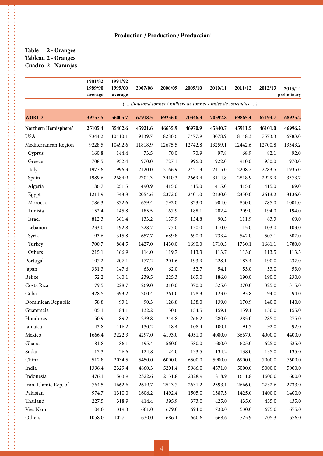#### **Table 2 - Oranges Tableau 2 - Oranges Cuadro 2 - Naranjas**

|                                  | 1981/82<br>1989/90<br>average | 1991/92<br>1999/00<br>average | 2007/08 | 2008/09 | 2009/10                                                       | 2010/11 | 2011/12 | 2012/13 | 2013/14<br>preliminary |
|----------------------------------|-------------------------------|-------------------------------|---------|---------|---------------------------------------------------------------|---------|---------|---------|------------------------|
|                                  |                               |                               |         |         | ( thousand tonnes / milliers de tonnes / miles de toneladas ) |         |         |         |                        |
| <b>WORLD</b>                     | 39757.5                       | 56005.7                       | 67918.5 | 69236.0 | 70346.3                                                       | 70592.8 | 69865.4 | 67194.7 | 68925.2                |
| Northern Hemisphere <sup>2</sup> | 25105.4                       | 35402.6                       | 45921.6 | 46635.9 | 46970.9                                                       | 45840.7 | 45911.5 | 46101.0 | 46996.2                |
| <b>USA</b>                       | 7344.2                        | 10410.1                       | 9139.7  | 8280.6  | 7477.9                                                        | 8078.9  | 8148.3  | 7573.3  | 6783.0                 |
| Mediterranean Region             | 9228.5                        | 10492.6                       | 11818.9 | 12675.5 | 12742.8                                                       | 13259.1 | 12442.6 | 12700.8 | 13343.2                |
| Cyprus                           | 160.8                         | 144.4                         | 73.5    | 70.0    | 70.9                                                          | 97.8    | 68.9    | 82.1    | 92.0                   |
| Greece                           | 708.5                         | 952.4                         | 970.0   | 727.1   | 996.0                                                         | 922.0   | 910.0   | 930.0   | 970.0                  |
| Italy                            | 1977.6                        | 1996.3                        | 2120.0  | 2166.9  | 2421.3                                                        | 2415.0  | 2208.2  | 2283.5  | 1935.0                 |
| Spain                            | 1989.6                        | 2684.9                        | 2704.3  | 3410.3  | 2669.4                                                        | 3114.8  | 2818.9  | 2929.9  | 3373.7                 |
| Algeria                          | 186.7                         | 251.5                         | 490.9   | 415.0   | 415.0                                                         | 415.0   | 415.0   | 415.0   | 69.0                   |
| Egypt                            | 1211.9                        | 1543.3                        | 2054.6  | 2372.0  | 2401.0                                                        | 2430.0  | 2350.0  | 2613.2  | 3136.0                 |
| Morocco                          | 786.3                         | 872.6                         | 659.4   | 792.0   | 823.0                                                         | 904.0   | 850.0   | 785.0   | 1001.0                 |
| Tunisia                          | 152.4                         | 145.8                         | 185.5   | 167.9   | 188.1                                                         | 202.4   | 209.0   | 194.0   | 194.0                  |
| Israel                           | 812.3                         | 361.4                         | 133.2   | 137.9   | 134.8                                                         | 90.5    | 111.9   | 83.3    | 69.0                   |
| Lebanon                          | 233.0                         | 192.8                         | 228.7   | 177.0   | 130.0                                                         | 110.0   | 115.0   | 103.0   | 103.0                  |
| Syria                            | 93.6                          | 315.8                         | 657.7   | 689.8   | 690.0                                                         | 733.4   | 542.0   | 507.1   | 507.0                  |
| Turkey                           | 700.7                         | 864.5                         | 1427.0  | 1430.0  | 1690.0                                                        | 1710.5  | 1730.1  | 1661.1  | 1780.0                 |
| Others                           | 215.1                         | 166.9                         | 114.0   | 119.7   | 113.3                                                         | 113.7   | 113.6   | 113.5   | 113.5                  |
| Portugal                         | 107.2                         | 207.1                         | 177.2   | 201.6   | 193.9                                                         | 228.1   | 183.4   | 190.0   | 237.0                  |
| Japan                            | 331.3                         | 147.6                         | 63.0    | 62.0    | 52.7                                                          | 54.1    | 53.0    | 53.0    | 53.0                   |
| <b>Belize</b>                    | 52.2                          | 140.1                         | 239.5   | 225.3   | 165.0                                                         | 186.0   | 190.0   | 190.0   | 230.0                  |
| Costa Rica                       | 79.5                          | 228.7                         | 269.0   | 310.0   | 370.0                                                         | 325.0   | 370.0   | 325.0   | 315.0                  |
| Cuba                             | 428.5                         | 393.2                         | 200.4   | 261.0   | 178.3                                                         | 123.0   | 93.8    | 94.0    | 94.0                   |
| Dominican Republic               | 58.8                          | 93.1                          | 90.3    | 128.8   | 138.0                                                         | 139.0   | 170.9   | 140.0   | 140.0                  |
| Guatemala                        | 105.1                         | 84.1                          | 132.2   | 150.6   | 154.5                                                         | 159.1   | 159.1   | 150.0   | 155.0                  |
| Honduras                         | 50.9                          | 89.2                          | 239.8   | 244.8   | 266.2                                                         | 280.0   | 285.0   | 285.0   | 275.0                  |
| Jamaica                          | 43.8                          | 116.2                         | 130.2   | 118.4   | 108.4                                                         | 100.1   | 91.7    | 92.0    | 92.0                   |
| Mexico                           | 1666.4                        | 3222.3                        | 4297.0  | 4193.0  | 4051.0                                                        | 4080.0  | 3667.0  | 4000.0  | 4400.0                 |
| Ghana                            | 81.8                          | 186.1                         | 495.4   | 560.0   | 580.0                                                         | 600.0   | 625.0   | 625.0   | 625.0                  |
| Sudan                            | 13.3                          | 26.6                          | 124.8   | 124.0   | 133.5                                                         | 134.2   | 138.0   | 135.0   | 135.0                  |
| China                            | 512.8                         | 2034.5                        | 5450.0  | 6000.0  | 6500.0                                                        | 5900.0  | 6900.0  | 7000.0  | 7600.0                 |
| India                            | 1396.4                        | 2329.4                        | 4860.3  | 5201.4  | 5966.0                                                        | 4571.0  | 5000.0  | 5000.0  | 5000.0                 |
| Indonesia                        | 476.1                         | 563.9                         | 2322.6  | 2131.8  | 2028.9                                                        | 1818.9  | 1611.8  | 1600.0  | 1600.0                 |
| Iran, Islamic Rep. of            | 764.5                         | 1662.6                        | 2619.7  | 2513.7  | 2631.2                                                        | 2593.1  | 2666.0  | 2732.6  | 2733.0                 |
| Pakistan                         | 974.7                         | 1310.0                        | 1606.2  | 1492.4  | 1505.0                                                        | 1387.5  | 1425.0  | 1400.0  | 1400.0                 |
| Thailand                         | 227.5                         | 318.9                         | 414.4   | 395.9   | 373.0                                                         | 425.0   | 435.0   | 435.0   | 435.0                  |
| Viet Nam                         | 104.0                         | 319.3                         | 601.0   | 679.0   | 694.0                                                         | 730.0   | 530.0   | 675.0   | 675.0                  |
| Others                           | 1058.0                        | 1027.1                        | 630.0   | 686.1   | 660.6                                                         | 668.6   | 725.9   | 705.3   | 676.0                  |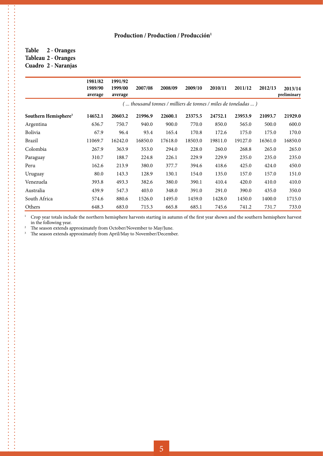#### **Table 2 - Oranges Tableau 2 - Oranges Cuadro 2 - Naranjas**

 $\frac{1}{2}$ 

. . . . . . . . . . . .

|                                  | 1981/82<br>1989/90<br>average | 1991/92<br>1999/00<br>average | 2007/08 | 2008/09 | 2009/10                                                         | 2010/11 | 2011/12 | 2012/13 | 2013/14<br>preliminary |
|----------------------------------|-------------------------------|-------------------------------|---------|---------|-----------------------------------------------------------------|---------|---------|---------|------------------------|
|                                  |                               |                               |         |         | (  thousand tonnes / milliers de tonnes / miles de toneladas  ) |         |         |         |                        |
| Southern Hemisphere <sup>3</sup> | 14652.1                       | 20603.2                       | 21996.9 | 22600.1 | 23375.5                                                         | 24752.1 | 23953.9 | 21093.7 | 21929.0                |
| Argentina                        | 636.7                         | 750.7                         | 940.0   | 900.0   | 770.0                                                           | 850.0   | 565.0   | 500.0   | 600.0                  |
| Bolivia                          | 67.9                          | 96.4                          | 93.4    | 165.4   | 170.8                                                           | 172.6   | 175.0   | 175.0   | 170.0                  |
| Brazil                           | 11069.7                       | 16242.0                       | 16850.0 | 17618.0 | 18503.0                                                         | 19811.0 | 19127.0 | 16361.0 | 16850.0                |
| Colombia                         | 267.9                         | 363.9                         | 353.0   | 294.0   | 228.0                                                           | 260.0   | 268.8   | 265.0   | 265.0                  |
| Paraguay                         | 310.7                         | 188.7                         | 224.8   | 226.1   | 229.9                                                           | 229.9   | 235.0   | 235.0   | 235.0                  |
| Peru                             | 162.6                         | 213.9                         | 380.0   | 377.7   | 394.6                                                           | 418.6   | 425.0   | 424.0   | 450.0                  |
| Uruguay                          | 80.0                          | 143.3                         | 128.9   | 130.1   | 154.0                                                           | 135.0   | 157.0   | 157.0   | 151.0                  |
| Venezuela                        | 393.8                         | 493.3                         | 382.6   | 380.0   | 390.1                                                           | 410.4   | 420.0   | 410.0   | 410.0                  |
| Australia                        | 439.9                         | 547.3                         | 403.0   | 348.0   | 391.0                                                           | 291.0   | 390.0   | 435.0   | 350.0                  |
| South Africa                     | 574.6                         | 880.6                         | 1526.0  | 1495.0  | 1459.0                                                          | 1428.0  | 1450.0  | 1400.0  | 1715.0                 |
| Others                           | 648.3                         | 683.0                         | 715.3   | 665.8   | 685.1                                                           | 745.6   | 741.2   | 731.7   | 733.0                  |

<sup>1</sup> Crop year totals include the northern hemisphere harvests starting in autumn of the first year shown and the southern hemisphere harvest in the following year.

 $2$  The season extends approximately from October/November to May/June.

<sup>3</sup> The season extends approximately from April/May to November/December.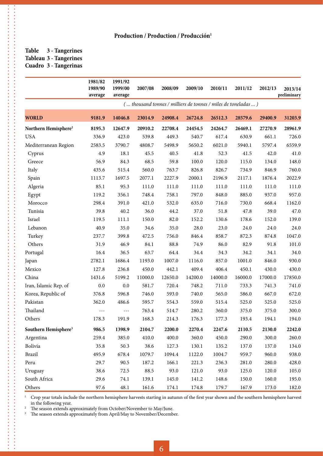#### **Table 3 - Tangerines Tableau 3 - Tangerines Cuadro 3 - Tangerinas**

...................................

,,,,,,,,,,,,,,,,,,

|                                  | 1981/82<br>1989/90<br>average | 1991/92<br>1999/00<br>average | 2007/08 | 2008/09 | 2009/10 | 2010/11 | 2011/12                                                       | 2012/13 | 2013/14<br>preliminary |
|----------------------------------|-------------------------------|-------------------------------|---------|---------|---------|---------|---------------------------------------------------------------|---------|------------------------|
|                                  |                               |                               |         |         |         |         | ( thousand tonnes / milliers de tonnes / miles de toneladas ) |         |                        |
| <b>WORLD</b>                     | 9181.9                        | 14046.8                       | 23014.9 | 24908.4 | 26724.8 | 26512.3 | 28579.6                                                       | 29400.9 | 31203.9                |
| Northern Hemisphere <sup>2</sup> | 8195.3                        | 12647.9                       | 20910.2 | 22708.4 | 24454.5 | 24264.7 | 26469.1                                                       | 27270.9 | 28961.9                |
| <b>USA</b>                       | 336.9                         | 423.0                         | 539.8   | 449.3   | 540.7   | 617.4   | 630.9                                                         | 661.1   | 726.0                  |
| Mediterranean Region             | 2583.5                        | 3790.7                        | 4808.7  | 5498.9  | 5650.2  | 6021.0  | 5940.1                                                        | 5797.4  | 6559.9                 |
| Cyprus                           | 4.9                           | 18.1                          | 45.5    | 40.5    | 41.8    | 52.3    | 41.5                                                          | 42.0    | 41.0                   |
| Greece                           | 56.9                          | 84.3                          | 68.5    | 59.8    | 100.0   | 120.0   | 115.0                                                         | 134.0   | 148.0                  |
| Italy                            | 435.6                         | 515.4                         | 560.0   | 763.7   | 826.8   | 826.7   | 734.9                                                         | 846.9   | 760.0                  |
| Spain                            | 1113.7                        | 1697.5                        | 2077.1  | 2227.9  | 2000.1  | 2196.9  | 2117.1                                                        | 1876.4  | 2022.9                 |
| Algeria                          | 85.1                          | 95.3                          | 111.0   | 111.0   | 111.0   | 111.0   | 111.0                                                         | 111.0   | 111.0                  |
| Egypt                            | 119.2                         | 356.1                         | 748.4   | 758.1   | 797.0   | 848.0   | 885.0                                                         | 937.0   | 957.0                  |
| Morocco                          | 298.4                         | 391.0                         | 421.0   | 532.0   | 635.0   | 716.0   | 730.0                                                         | 668.4   | 1162.0                 |
| Tunisia                          | 39.8                          | 40.2                          | 36.0    | 44.2    | 37.0    | 51.8    | 47.8                                                          | 39.0    | 47.0                   |
| Israel                           | 119.5                         | 111.1                         | 150.0   | 82.0    | 152.2   | 130.6   | 178.6                                                         | 152.0   | 139.0                  |
| Lebanon                          | 40.9                          | 35.0                          | 34.6    | 35.0    | 28.0    | 23.0    | 24.0                                                          | 24.0    | 24.0                   |
| Turkey                           | 237.7                         | 399.8                         | 472.5   | 756.0   | 846.4   | 858.7   | 872.3                                                         | 874.8   | 1047.0                 |
| Others                           | 31.9                          | 46.9                          | 84.1    | 88.8    | 74.9    | 86.0    | 82.9                                                          | 91.8    | 101.0                  |
| Portugal                         | 16.4                          | 36.5                          | 63.7    | 64.4    | 34.4    | 34.3    | 34.2                                                          | 34.1    | 34.0                   |
| Japan                            | 2782.1                        | 1686.4                        | 1193.0  | 1007.0  | 1116.0  | 857.0   | 1001.0                                                        | 846.0   | 930.0                  |
| Mexico                           | 127.8                         | 236.8                         | 450.0   | 442.1   | 409.4   | 406.4   | 450.1                                                         | 430.0   | 430.0                  |
| China                            | 1431.6                        | 5199.2                        | 11000.0 | 12650.0 | 14200.0 | 14000.0 | 16000.0                                                       | 17000.0 | 17850.0                |
| Iran, Islamic Rep. of            | 0.0                           | 0.0                           | 581.7   | 720.4   | 748.2   | 711.0   | 733.3                                                         | 741.3   | 741.0                  |
| Korea, Republic of               | 376.8                         | 596.8                         | 746.0   | 593.0   | 740.0   | 565.0   | 586.0                                                         | 667.0   | 672.0                  |
| Pakistan                         | 362.0                         | 486.6                         | 595.7   | 554.3   | 559.0   | 515.4   | 525.0                                                         | 525.0   | 525.0                  |
| Thailand                         | $- - -$                       | $- - -$                       | 763.4   | 514.7   | 280.2   | 360.0   | 375.0                                                         | 375.0   | 300.0                  |
| Others                           | 178.3                         | 191.9                         | 168.3   | 214.3   | 176.3   | 177.3   | 193.4                                                         | 194.1   | 194.0                  |
| Southern Hemisphere <sup>3</sup> | 986.5                         | 1398.9                        | 2104.7  | 2200.0  | 2270.4  | 2247.6  | 2110.5                                                        | 2130.0  | 2242.0                 |
| Argentina                        | 259.4                         | 385.0                         | 410.0   | 400.0   | 360.0   | 450.0   | 290.0                                                         | 300.0   | 260.0                  |
| Bolivia                          | 35.8                          | 50.3                          | 38.6    | 127.3   | 130.1   | 135.2   | 137.0                                                         | 137.0   | 134.0                  |
| Brazil                           | 495.9                         | 678.4                         | 1079.7  | 1094.4  | 1122.0  | 1004.7  | 959.7                                                         | 960.0   | 938.0                  |
| Peru                             | 29.7                          | 90.5                          | 187.2   | 166.1   | 221.3   | 236.3   | 281.0                                                         | 280.0   | 428.0                  |
| Uruguay                          | 38.6                          | 72.5                          | 88.5    | 93.0    | 121.0   | 93.0    | 125.0                                                         | 120.0   | 105.0                  |
| South Africa                     | 29.6                          | 74.1                          | 139.1   | 145.0   | 141.2   | 148.6   | 150.0                                                         | 160.0   | 195.0                  |
| Others                           | 97.6                          | 48.1                          | 161.6   | 174.1   | 174.8   | 179.7   | 167.9                                                         | 173.0   | 182.0                  |

<sup>1</sup> Crop year totals include the northern hemisphere harvests starting in autumn of the first year shown and the southern hemisphere harvest in the following year.

2 The season extends approximately from October/November to May/June.<br><sup>2</sup> The season extends approximately from April/May to November/December

The season extends approximately from April/May to November/December.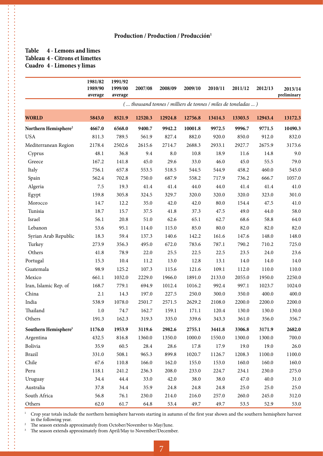#### **Table 4 - Lemons and limes Tableau 4 - Citrons et limettes Cuadro 4 - Limones y limas**

**.........** 

 $\ddot{\cdot}$ 

----------------------

|                                                | 1981/82<br>1989/90 | 1991/92<br>1999/00 | 2007/08 | 2008/09         | 2009/10          | 2010/11         | 2011/12                                                        | 2012/13         | 2013/14<br>preliminary |
|------------------------------------------------|--------------------|--------------------|---------|-----------------|------------------|-----------------|----------------------------------------------------------------|-----------------|------------------------|
|                                                | average            | average            |         |                 |                  |                 | ( thousand tonnes / milliers de tonnes / miles de toneladas  ) |                 |                        |
| <b>WORLD</b>                                   | 5843.0             | 8521.9             | 12520.3 | 12924.8         | 12756.8          | 13414.3         | 13303.5                                                        | 12943.4         | 13172.3                |
|                                                |                    |                    | 9400.7  |                 |                  |                 |                                                                |                 | 10490.3                |
| Northern Hemisphere <sup>2</sup><br><b>USA</b> | 4667.0<br>811.3    | 6568.0<br>789.5    | 561.9   | 9942.2<br>827.4 | 10001.8<br>882.0 | 9972.5<br>920.0 | 9996.7<br>850.0                                                | 9771.5<br>912.0 | 832.0                  |
| Mediterranean Region                           | 2178.4             | 2502.6             | 2615.6  | 2714.7          | 2688.3           | 2933.1          | 2927.7                                                         | 2675.9          | 3173.6                 |
| Cyprus                                         | 48.1               | 36.8               | 9.4     | 8.0             | 10.8             | 18.9            | 11.6                                                           | 14.8            | 9.0                    |
| Greece                                         | 167.2              | 141.8              | 45.0    | 29.6            | 33.0             | 46.0            | 45.0                                                           | 55.5            | 79.0                   |
| Italy                                          | 756.1              | 657.8              | 553.5   | 518.5           | 544.5            | 544.9           | 458.2                                                          | 460.0           | 545.0                  |
| Spain                                          | 562.4              | 702.8              | 750.0   | 687.9           | 558.2            | 717.9           | 736.2                                                          | 666.7           | 1057.0                 |
| Algeria                                        | $7.5\,$            | 19.3               | 41.4    | 41.4            | 44.0             | 44.0            | 41.4                                                           | 41.4            | 41.0                   |
| Egypt                                          | 159.8              | 305.8              | 324.5   | 329.7           | 320.0            | 320.0           | 320.0                                                          | 323.0           | 301.0                  |
| Morocco                                        | 14.7               | 12.2               | 35.0    | 42.0            | 42.0             | 80.0            | 154.4                                                          | 47.5            | 41.0                   |
| Tunisia                                        | 18.7               | 15.7               | 37.5    | 41.8            | 37.3             | 47.5            | 49.0                                                           | 44.0            | 58.0                   |
| Israel                                         | 56.1               | 20.8               | 51.0    | 62.6            | 65.1             | 62.7            | 68.6                                                           | 58.8            | 64.0                   |
| Lebanon                                        | 53.6               | 95.1               | 114.0   | 115.0           | 85.0             | 80.0            | 82.0                                                           | 82.0            | 82.0                   |
| Syrian Arab Republic                           | 18.3               | 59.4               | 137.3   | 140.6           | 142.2            | 161.6           | 147.6                                                          | 148.0           | 148.0                  |
| Turkey                                         | 273.9              | 356.3              | 495.0   | 672.0           | 783.6            | 787.1           | 790.2                                                          | 710.2           | 725.0                  |
| Others                                         | 41.8               | 78.9               | 22.0    | 25.5            | 22.5             | 22.5            | 23.5                                                           | 24.0            | 23.6                   |
| Portugal                                       | 15.3               | 10.4               | 11.2    | 13.0            | 12.8             | 13.1            | 14.0                                                           | 14.0            | 14.0                   |
| Guatemala                                      | 98.9               | 125.2              | 107.3   | 115.6           | 121.6            | 109.1           | 112.0                                                          | 110.0           | 110.0                  |
| Mexico                                         | 661.1              | 1032.0             | 2229.0  | 1966.0          | 1891.0           | 2133.0          | 2055.0                                                         | 1950.0          | 2250.0                 |
| Iran, Islamic Rep. of                          | 168.7              | 779.1              | 694.9   | 1012.4          | 1016.2           | 992.4           | 997.1                                                          | 1023.7          | 1024.0                 |
| China                                          | 2.1                | 14.3               | 197.0   | 227.5           | 250.0            | 300.0           | 350.0                                                          | 400.0           | 400.0                  |
| India                                          | 538.9              | 1078.0             | 2501.7  | 2571.5          | 2629.2           | 2108.0          | 2200.0                                                         | 2200.0          | 2200.0                 |
| Thailand                                       | 1.0                | 74.7               | 162.7   | 159.1           | 171.1            | 120.4           | 130.0                                                          | 130.0           | 130.0                  |
| Others                                         | 191.3              | 162.3              | 319.3   | 335.0           | 339.6            | 343.3           | 361.0                                                          | 356.0           | 356.7                  |
| Southern Hemisphere <sup>3</sup>               | 1176.0             | 1953.9             | 3119.6  | 2982.6          | 2755.1           | 3441.8          | 3306.8                                                         | 3171.9          | 2682.0                 |
| Argentina                                      | 432.5              | 816.8              | 1360.0  | 1350.0          | 1000.0           | 1550.0          | 1300.0                                                         | 1300.0          | 700.0                  |
| Bolivia                                        | 35.9               | 60.5               | 28.4    | 28.6            | 17.8             | 17.9            | 19.0                                                           | 19.0            | 26.0                   |
| <b>Brazil</b>                                  | 331.0              | 508.1              | 965.3   | 899.8           | 1020.7           | 1126.7          | 1208.3                                                         | 1100.0          | 1100.0                 |
| Chile                                          | 67.6               | 110.8              | 166.0   | 162.0           | 155.0            | 153.0           | 160.0                                                          | 160.0           | 160.0                  |
| Peru                                           | 118.1              | 241.2              | 236.3   | 208.0           | 233.0            | 224.7           | 234.1                                                          | 230.0           | 275.0                  |
| Uruguay                                        | 34.4               | 44.4               | 33.0    | 42.0            | 38.0             | 38.0            | 47.0                                                           | 40.0            | 31.0                   |
| Australia                                      | 37.8               | 34.4               | 35.9    | 24.8            | 24.8             | 24.8            | 25.0                                                           | 25.0            | 25.0                   |
| South Africa                                   | 56.8               | 76.1               | 230.0   | 214.0           | 216.0            | 257.0           | 260.0                                                          | 245.0           | 312.0                  |
| Others                                         | 62.0               | 61.7               | 64.8    | 53.4            | 49.7             | 49.7            | 53.5                                                           | 52.9            | 53.0                   |

 $1$  Crop year totals include the northern hemisphere harvests starting in autumn of the first year shown and the southern hemisphere harvest in the following year.

 $2$  The season extends approximately from October/November to May/June.

<sup>3</sup> The season extends approximately from April/May to November/December.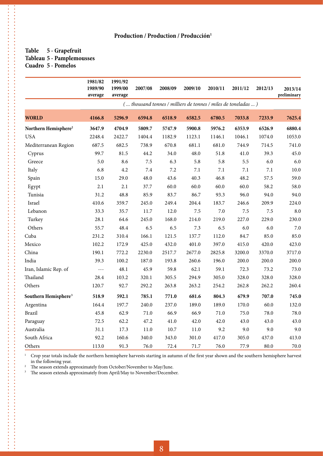#### **Table 5 - Grapefruit Tableau 5 - Pamplemousses Cuadro 5 - Pomelos**

的复数形式的过去式和过去分词 医皮肤性皮肤 医皮肤性皮肤 医皮肤性皮肤 医皮肤性皮肤 医皮肤性皮肤 医皮肤性皮肤 医皮肤性皮肤 医皮肤性皮肤 医皮肤性皮肤 医皮肤性皮肤 医皮肤病 医皮肤病 医皮肤病毒 医皮肤病毒 医皮肤病毒 医皮肤病毒

|                                  | 1981/82<br>1989/90<br>average | 1991/92<br>1999/00<br>average | 2007/08 | 2008/09                                                       | 2009/10  | 2010/11 | 2011/12 | 2012/13 | 2013/14<br>preliminary |
|----------------------------------|-------------------------------|-------------------------------|---------|---------------------------------------------------------------|----------|---------|---------|---------|------------------------|
|                                  |                               |                               |         | ( thousand tonnes / milliers de tonnes / miles de toneladas ) |          |         |         |         |                        |
| <b>WORLD</b>                     | 4166.8                        | 5296.9                        | 6594.8  | 6518.9                                                        | 6582.5   | 6780.5  | 7033.8  | 7233.9  | 7625.4                 |
| Northern Hemisphere <sup>2</sup> | 3647.9                        | 4704.9                        | 5809.7  | 5747.9                                                        | 5900.8   | 5976.2  | 6353.9  | 6526.9  | 6880.4                 |
| <b>USA</b>                       | 2248.4                        | 2422.7                        | 1404.4  | 1182.9                                                        | 1123.1   | 1146.1  | 1046.1  | 1074.0  | 1053.0                 |
| Mediterranean Region             | 687.5                         | 682.5                         | 738.9   | 670.8                                                         | 681.1    | 681.0   | 744.9   | 714.5   | 741.0                  |
| Cyprus                           | 99.7                          | 81.5                          | 44.2    | 34.0                                                          | 48.0     | 51.8    | 41.0    | 39.3    | 45.0                   |
| Greece                           | 5.0                           | 8.6                           | 7.5     | 6.3                                                           | 5.8      | 5.8     | 5.5     | 6.0     | 6.0                    |
| Italy                            | 6.8                           | 4.2                           | $7.4\,$ | 7.2                                                           | $7.1\,$  | $7.1\,$ | $7.1\,$ | $7.1\,$ | 10.0                   |
| Spain                            | 15.0                          | 29.0                          | 48.0    | 43.6                                                          | 40.3     | 46.8    | 48.2    | 57.5    | 59.0                   |
| Egypt                            | 2.1                           | 2.1                           | 37.7    | 60.0                                                          | 60.0     | 60.0    | 60.0    | 58.2    | 58.0                   |
| Tunisia                          | 31.2                          | 48.8                          | 85.9    | 83.7                                                          | 86.7     | 93.3    | 96.0    | 94.0    | 94.0                   |
| Israel                           | 410.6                         | 359.7                         | 245.0   | 249.4                                                         | 204.4    | 183.7   | 246.6   | 209.9   | 224.0                  |
| Lebanon                          | 33.3                          | 35.7                          | 11.7    | 12.0                                                          | 7.5      | 7.0     | 7.5     | $7.5\,$ | 8.0                    |
| Turkey                           | 28.1                          | 64.6                          | 245.0   | 168.0                                                         | 214.0    | 219.0   | 227.0   | 229.0   | 230.0                  |
| Others                           | 55.7                          | 48.4                          | 6.5     | 6.5                                                           | 7.3      | 6.5     | 6.0     | 6.0     | $7.0\,$                |
| Cuba                             | 231.2                         | 310.4                         | 166.1   | 121.5                                                         | 137.7    | 112.0   | 84.7    | 85.0    | 85.0                   |
| Mexico                           | 102.2                         | 172.9                         | 425.0   | 432.0                                                         | 401.0    | 397.0   | 415.0   | 420.0   | 423.0                  |
| China                            | 190.1                         | 772.2                         | 2230.0  | 2517.7                                                        | 2677.0   | 2825.8  | 3200.0  | 3370.0  | 3717.0                 |
| India                            | 39.3                          | 100.2                         | 187.0   | 193.8                                                         | 260.6    | 196.0   | 200.0   | 200.0   | 200.0                  |
| Iran, Islamic Rep. of            | $- - -$                       | 48.1                          | 45.9    | 59.8                                                          | 62.1     | 59.1    | 72.3    | 73.2    | 73.0                   |
| Thailand                         | 28.4                          | 103.2                         | 320.1   | 305.5                                                         | 294.9    | 305.0   | 328.0   | 328.0   | 328.0                  |
| Others                           | 120.7                         | 92.7                          | 292.2   | 263.8                                                         | 263.2    | 254.2   | 262.8   | 262.2   | 260.4                  |
| Southern Hemisphere <sup>3</sup> | 518.9                         | 592.1                         | 785.1   | 771.0                                                         | 681.6    | 804.3   | 679.9   | 707.0   | 745.0                  |
| Argentina                        | 164.4                         | 197.7                         | 240.0   | 237.0                                                         | 189.0    | 189.0   | 170.0   | 60.0    | 132.0                  |
| <b>Brazil</b>                    | 45.8                          | 62.9                          | 71.0    | 66.9                                                          | 66.9     | 71.0    | 75.0    | 78.0    | 78.0                   |
| Paraguay                         | 72.5                          | 62.2                          | 47.2    | 41.0                                                          | 42.0     | 42.0    | 43.0    | 43.0    | 43.0                   |
| Australia                        | 31.1                          | 17.3                          | 11.0    | 10.7                                                          | $11.0\,$ | 9.2     | 9.0     | 9.0     | 9.0                    |
| South Africa                     | 92.2                          | 160.6                         | 340.0   | 343.0                                                         | 301.0    | 417.0   | 305.0   | 437.0   | 413.0                  |
| Others                           | 113.0                         | 91.3                          | 76.0    | 72.4                                                          | 71.7     | 76.0    | 77.9    | 80.0    | 70.0                   |

<sup>1</sup> Crop year totals include the northern hemisphere harvests starting in autumn of the first year shown and the southern hemisphere harvest in the following year.

<sup>2</sup> The season extends approximately from October/November to May/June.<br><sup>3</sup> The season extends approximately from April/May to November/Decemb

The season extends approximately from April/May to November/December.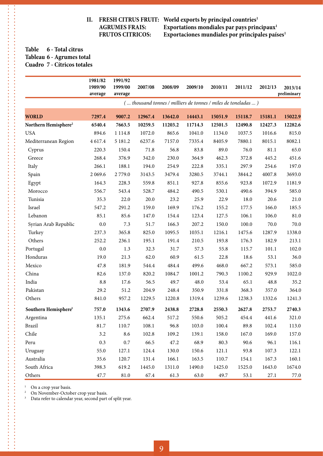**II. FRESH CITRUS FRUIT:** World exports by principal countries<sup>1</sup> **AGRUMES FRAIS:** Exportations mondiales par pays principaux<sup>1</sup><br>FRUTOS CITRICOS: Exportaciones mundiales por principales país **Exportaciones mundiales por principales países<sup>1</sup>** 

#### **Table 6 - Total citrus Tableau 6 - Agrumes total Cuadro 7 - Cítricos totales**

|                                  | 1981/82<br>1989/90 | 1991/92<br>1999/00 | 2007/08 | 2008/09 | 2009/10                                                       | 2010/11 | 2011/12 | 2012/13 | 2013/14<br>preliminary |
|----------------------------------|--------------------|--------------------|---------|---------|---------------------------------------------------------------|---------|---------|---------|------------------------|
|                                  | average            | average            |         |         | ( thousand tonnes / milliers de tonnes / miles de toneladas ) |         |         |         |                        |
|                                  |                    |                    |         |         |                                                               |         |         |         |                        |
| <b>WORLD</b>                     | 7297.4             | 9007.2             | 12967.4 | 13642.0 | 14443.1                                                       | 15051.9 | 15118.7 | 15181.1 | 15022.9                |
| Northern Hemisphere <sup>2</sup> | 6540.4             | 7663.5             | 10259.5 | 11203.2 | 11714.3                                                       | 12501.5 | 12490.8 | 12427.3 | 12282.6                |
| <b>USA</b>                       | 894.6              | 1 1 1 4.8          | 1072.0  | 865.6   | 1041.0                                                        | 1134.0  | 1037.5  | 1016.6  | 815.0                  |
| Mediterranean Region             | 4 617.4            | 5 181.2            | 6237.6  | 7157.0  | 7335.4                                                        | 8405.9  | 7880.1  | 8015.1  | 8082.1                 |
| Cyprus                           | 220.3              | 150.4              | 71.8    | 56.8    | 83.8                                                          | 89.0    | 76.0    | 81.1    | 65.0                   |
| Greece                           | 268.4              | 376.9              | 342.0   | 230.0   | 364.9                                                         | 462.3   | 372.8   | 445.2   | 451.6                  |
| Italy                            | 266.1              | 188.1              | 194.0   | 254.9   | 222.8                                                         | 335.1   | 297.9   | 254.6   | 197.0                  |
| Spain                            | 2 0 6 9.6          | 2779.0             | 3143.5  | 3479.4  | 3280.5                                                        | 3744.1  | 3844.2  | 4007.8  | 3693.0                 |
| Egypt                            | 164.3              | 228.3              | 559.8   | 851.1   | 927.8                                                         | 855.6   | 923.8   | 1072.9  | 1181.9                 |
| Morocco                          | 556.7              | 543.4              | 528.7   | 484.2   | 490.5                                                         | 530.1   | 490.6   | 394.9   | 585.0                  |
| Tunisia                          | 35.3               | 22.0               | 20.0    | 23.2    | 25.9                                                          | 22.9    | 18.0    | 20.6    | 21.0                   |
| Israel                           | 547.2              | 291.2              | 159.0   | 169.9   | 176.2                                                         | 155.2   | 177.5   | 166.0   | 185.5                  |
| Lebanon                          | 85.1               | 85.6               | 147.0   | 154.4   | 123.4                                                         | 127.5   | 106.1   | 106.0   | 81.0                   |
| Syrian Arab Republic             | $0.0\,$            | 7.3                | 51.7    | 166.3   | 207.2                                                         | 150.0   | 100.0   | 70.0    | 70.0                   |
| Turkey                           | 237.3              | 365.8              | 825.0   | 1095.5  | 1035.1                                                        | 1216.1  | 1475.6  | 1287.9  | 1338.0                 |
| Others                           | 252.2              | 236.1              | 195.1   | 191.4   | 210.5                                                         | 193.8   | 176.3   | 182.9   | 213.1                  |
| Portugal                         | 0.0                | 1.3                | 32.3    | 31.7    | 57.3                                                          | 55.8    | 115.7   | 101.1   | 102.0                  |
| Honduras                         | 19.0               | 21.3               | 62.0    | 60.9    | 61.5                                                          | 22.8    | 18.6    | 53.1    | 36.0                   |
| Mexico                           | 47.8               | 181.9              | 544.4   | 484.4   | 499.6                                                         | 468.0   | 667.2   | 573.1   | 585.0                  |
| China                            | 82.6               | 137.0              | 820.2   | 1084.7  | 1001.2                                                        | 790.3   | 1100.2  | 929.9   | 1022.0                 |
| India                            | 8.8                | 17.6               | 56.5    | 49.7    | 48.0                                                          | 53.4    | 65.1    | 48.8    | 35.2                   |
| Pakistan                         | 29.2               | 51.2               | 204.9   | 248.4   | 350.9                                                         | 331.8   | 368.3   | 357.0   | 364.0                  |
| Others                           | 841.0              | 957.2              | 1229.5  | 1220.8  | 1319.4                                                        | 1239.6  | 1238.3  | 1332.6  | 1241.3                 |
| Southern Hemisphere <sup>3</sup> | 757.0              | 1343.6             | 2707.9  | 2438.8  | 2728.8                                                        | 2550.3  | 2627.8  | 2753.7  | 2740.3                 |
| Argentina                        | 135.1              | 275.6              | 662.4   | 517.2   | 550.6                                                         | 505.2   | 454.4   | 441.6   | 321.0                  |
| Brazil                           | 81.7               | 110.7              | 108.1   | 96.8    | 103.0                                                         | 100.4   | 89.8    | 102.4   | 113.0                  |
| Chile                            | 3.2                | 8.6                | 102.8   | 109.2   | 139.1                                                         | 158.0   | 167.0   | 169.0   | 157.0                  |
| Peru                             | 0.3                | $0.7\,$            | 66.5    | 47.2    | 68.9                                                          | 80.3    | 90.6    | 96.1    | 116.1                  |
| Uruguay                          | 55.0               | 127.1              | 124.4   | 130.0   | 150.6                                                         | 121.1   | 93.8    | 107.3   | 122.1                  |
| Australia                        | 35.6               | 120.7              | 131.4   | 166.1   | 163.5                                                         | 110.7   | 154.1   | 167.3   | 160.1                  |
| South Africa                     | 398.3              | 619.2              | 1445.0  | 1311.0  | 1490.0                                                        | 1425.0  | 1525.0  | 1643.0  | 1674.0                 |
| Others                           | 47.7               | $81.0\,$           | 67.4    | 61.3    | 63.0                                                          | 49.7    | 53.1    | 27.1    | $77.0\,$               |

<sup>1</sup> On a crop year basis.<br><sup>2</sup> On November-Octob

**........ A 24444** 

On November-October crop year basis.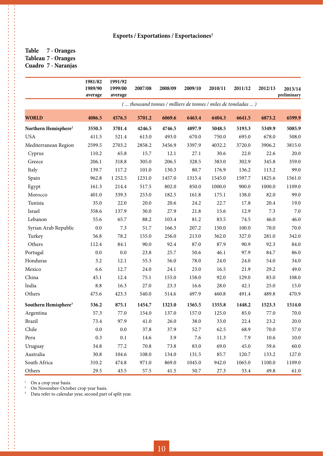**Table 7 - Oranges Tableau 7 - Oranges Cuadro 7 - Naranjas**

**\*\*\*\*\*\*\*\*\*\*\*\*\*\*\*** 

|                                  | 1981/82<br>1989/90<br>average | 1991/92<br>1999/00<br>average | 2007/08 | 2008/09 | 2009/10  | 2010/11 | 2011/12                                                       | 2012/13  | 2013/14<br>preliminary |
|----------------------------------|-------------------------------|-------------------------------|---------|---------|----------|---------|---------------------------------------------------------------|----------|------------------------|
|                                  |                               |                               |         |         |          |         | ( thousand tonnes / milliers de tonnes / miles de toneladas ) |          |                        |
| <b>WORLD</b>                     | 4086.5                        | 4576.5                        | 5701.2  | 6069.6  | 6463.4   | 6404.3  | 6641.5                                                        | 6873.2   | 6599.9                 |
| Northern Hemisphere <sup>2</sup> | 3550.3                        | 3701.4                        | 4246.5  | 4746.5  | 4897.9   | 5048.5  | 5193.3                                                        | 5349.9   | 5085.9                 |
| <b>USA</b>                       | 411.5                         | 521.4                         | 613.0   | 493.0   | 670.0    | 750.0   | 695.0                                                         | 678.0    | 508.0                  |
| Mediterranean Region             | 2599.5                        | 2703.2                        | 2858.2  | 3456.9  | 3397.9   | 4032.2  | 3720.0                                                        | 3906.2   | 3815.0                 |
| Cyprus                           | 110.2                         | 65.8                          | 15.7    | 12.1    | 27.1     | 30.6    | 22.0                                                          | 22.6     | 20.0                   |
| Greece                           | 206.1                         | 318.8                         | 305.0   | 206.5   | 328.5    | 383.0   | 302.9                                                         | 345.8    | 359.0                  |
| Italy                            | 139.7                         | 117.2                         | 101.0   | 130.3   | 80.7     | 176.9   | 136.2                                                         | 113.2    | 99.0                   |
| Spain                            | 962.8                         | 1 2 5 2.5                     | 1231.0  | 1457.0  | 1315.4   | 1545.0  | 1597.7                                                        | 1825.6   | 1561.0                 |
| Egypt                            | 161.3                         | 214.4                         | 517.5   | 802.0   | 850.0    | 1000.0  | 900.0                                                         | 1000.0   | 1109.0                 |
| Morocco                          | 401.0                         | 339.3                         | 253.0   | 182.5   | 161.8    | 175.1   | 138.0                                                         | 82.0     | 99.0                   |
| Tunisia                          | 35.0                          | 22.0                          | 20.0    | 20.6    | 24.2     | 22.7    | 17.8                                                          | 20.4     | 19.0                   |
| Israel                           | 358.6                         | 137.9                         | 30.0    | 27.9    | 21.8     | 15.6    | 12.9                                                          | 7.3      | $7.0\,$                |
| Lebanon                          | 55.6                          | 65.7                          | 88.2    | 103.4   | 81.2     | 83.5    | 74.5                                                          | 46.0     | 46.0                   |
| Syrian Arab Republic             | 0.0                           | 7.3                           | 51.7    | 166.3   | 207.2    | 150.0   | 100.0                                                         | 70.0     | 70.0                   |
| Turkey                           | 56.8                          | 78.2                          | 155.0   | 256.0   | 213.0    | 362.0   | 327.0                                                         | 281.0    | 342.0                  |
| Others                           | 112.4                         | 84.1                          | 90.0    | 92.4    | 87.0     | 87.9    | 90.9                                                          | 92.3     | 84.0                   |
| Portugal                         | 0.0                           | $0.0\,$                       | 23.8    | 25.7    | $50.6\,$ | 46.1    | 97.9                                                          | 84.7     | 86.0                   |
| Honduras                         | 3.2                           | 12.1                          | 55.3    | 56.0    | 78.0     | 24.0    | 24.0                                                          | 54.0     | 34.0                   |
| Mexico                           | 6.6                           | 12.7                          | 24.0    | 24.1    | 23.0     | 16.5    | 21.9                                                          | 29.2     | 49.0                   |
| China                            | 45.1                          | 12.4                          | 75.1    | 155.0   | 158.0    | 92.0    | 129.0                                                         | 83.0     | 108.0                  |
| India                            | 8.8                           | 16.3                          | 27.0    | 23.3    | 16.6     | 28.0    | 42.1                                                          | 25.0     | 15.0                   |
| Others                           | 475.6                         | 423.3                         | 540.0   | 514.6   | 497.9    | 460.8   | 491.4                                                         | 489.8    | 470.9                  |
| Southern Hemisphere <sup>3</sup> | 536.2                         | 875.1                         | 1454.7  | 1323.0  | 1565.5   | 1355.8  | 1448.2                                                        | 1523.3   | 1514.0                 |
| Argentina                        | 57.3                          | 77.0                          | 154.0   | 137.0   | 157.0    | 125.0   | 85.0                                                          | 77.0     | 70.0                   |
| <b>Brazil</b>                    | 73.4                          | 97.9                          | 41.0    | 26.0    | 38.0     | 33.0    | 22.4                                                          | 23.2     | $20.0\,$               |
| Chile                            | 0.0                           | $0.0\,$                       | 37.8    | 37.9    | 52.7     | 62.5    | 68.9                                                          | 70.0     | 57.0                   |
| Peru                             | 0.3                           | 0.1                           | 14.6    | 3.9     | 7.6      | 11.3    | 7.9                                                           | $10.6\,$ | 10.0                   |
| Uruguay                          | 34.8                          | 77.2                          | 70.8    | 73.8    | 83.0     | 69.0    | 45.0                                                          | 59.6     | 60.0                   |
| Australia                        | 30.8                          | 104.6                         | 108.0   | 134.0   | 131.5    | 85.7    | 120.7                                                         | 133.2    | 127.0                  |
| South Africa                     | 310.2                         | 474.8                         | 971.0   | 869.0   | 1045.0   | 942.0   | 1065.0                                                        | 1100.0   | 1109.0                 |
| Others                           | 29.5                          | 43.5                          | 57.5    | 41.5    | $50.7\,$ | 27.3    | 33.4                                                          | 49.8     | 61.0                   |

<sup>1</sup> On a crop year basis.

 $\ddot{\cdot}$ 

<sup>2</sup> On November-October crop year basis.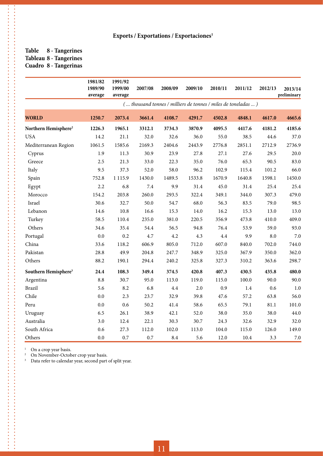#### **Table 8 - Tangerines Tableau 8 - Tangerines Cuadro 8 - Tangerinas**

\*\*\*\*\*\*\*\*\*\*\*\*\*\*\*\*\*\*\*\*\*\*\*

.<br>.<br>.<br>.<br>.<br>.<br>.

|                                  | 1981/82<br>1989/90<br>average | 1991/92<br>1999/00<br>average | 2007/08 | 2008/09 | 2009/10 | 2010/11 | 2011/12                                                       | 2012/13 | 2013/14<br>preliminary |
|----------------------------------|-------------------------------|-------------------------------|---------|---------|---------|---------|---------------------------------------------------------------|---------|------------------------|
|                                  |                               |                               |         |         |         |         | ( thousand tonnes / milliers de tonnes / miles de toneladas ) |         |                        |
| <b>WORLD</b>                     | 1250.7                        | 2073.4                        | 3661.4  | 4108.7  | 4291.7  | 4502.8  | 4848.1                                                        | 4617.0  | 4665.6                 |
| Northern Hemisphere <sup>2</sup> | 1226.3                        | 1965.1                        | 3312.1  | 3734.3  | 3870.9  | 4095.5  | 4417.6                                                        | 4181.2  | 4185.6                 |
| <b>USA</b>                       | 14.2                          | 21.1                          | 32.0    | 32.6    | 36.0    | 55.0    | 38.5                                                          | 44.6    | 37.0                   |
| Mediterranean Region             | 1061.5                        | 1585.6                        | 2169.3  | 2404.6  | 2443.9  | 2776.8  | 2851.1                                                        | 2712.9  | 2736.9                 |
| Cyprus                           | 1.9                           | 11.3                          | 30.9    | 23.9    | 27.8    | 27.1    | 27.6                                                          | 29.5    | 20.0                   |
| Greece                           | 2.5                           | 21.3                          | 33.0    | 22.3    | 35.0    | 76.0    | 65.3                                                          | 90.5    | 83.0                   |
| Italy                            | 9.5                           | 37.3                          | 52.0    | 58.0    | 96.2    | 102.9   | 115.4                                                         | 101.2   | 66.0                   |
| Spain                            | 752.8                         | 1 1 1 5.9                     | 1430.0  | 1489.5  | 1533.8  | 1670.9  | 1640.8                                                        | 1598.1  | 1450.0                 |
| Egypt                            | 2.2                           | 6.8                           | $7.4\,$ | 9.9     | 31.4    | 45.0    | 31.4                                                          | 25.4    | 25.4                   |
| Morocco                          | 154.2                         | 203.8                         | 260.0   | 293.5   | 322.4   | 349.1   | 344.0                                                         | 307.3   | 479.0                  |
| Israel                           | 30.6                          | 32.7                          | 50.0    | 54.7    | 68.0    | 56.3    | 83.5                                                          | 79.0    | 98.5                   |
| Lebanon                          | 14.6                          | 10.8                          | 16.6    | 15.3    | 14.0    | 16.2    | 15.3                                                          | 13.0    | 13.0                   |
| Turkey                           | 58.5                          | 110.4                         | 235.0   | 381.0   | 220.5   | 356.9   | 473.8                                                         | 410.0   | 409.0                  |
| Others                           | 34.6                          | 35.4                          | 54.4    | 56.5    | 94.8    | 76.4    | 53.9                                                          | 59.0    | 93.0                   |
| Portugal                         | 0.0                           | 0.2                           | 4.7     | 4.2     | 4.3     | 4.4     | 9.9                                                           | 8.0     | 7.0                    |
| China                            | 33.6                          | 118.2                         | 606.9   | 805.0   | 712.0   | 607.0   | 840.0                                                         | 702.0   | 744.0                  |
| Pakistan                         | 28.8                          | 49.9                          | 204.8   | 247.7   | 348.9   | 325.0   | 367.9                                                         | 350.0   | 362.0                  |
| Others                           | 88.2                          | 190.1                         | 294.4   | 240.2   | 325.8   | 327.3   | 310.2                                                         | 363.6   | 298.7                  |
| Southern Hemisphere <sup>3</sup> | 24.4                          | 108.3                         | 349.4   | 374.5   | 420.8   | 407.3   | 430.5                                                         | 435.8   | 480.0                  |
| Argentina                        | 8.8                           | 30.7                          | 95.0    | 113.0   | 119.0   | 115.0   | 100.0                                                         | 90.0    | 90.0                   |
| <b>Brazil</b>                    | 5.6                           | 8.2                           | 6.8     | 4.4     | 2.0     | 0.9     | 1.4                                                           | 0.6     | 1.0                    |
| Chile                            | 0.0                           | 2.3                           | 23.7    | 32.9    | 39.8    | 47.6    | 57.2                                                          | 63.8    | 56.0                   |
| Peru                             | 0.0                           | 0.6                           | 50.2    | 41.4    | 58.6    | 65.5    | 79.1                                                          | 81.1    | 101.0                  |
| Uruguay                          | 6.5                           | 26.1                          | 38.9    | 42.1    | 52.0    | 38.0    | 35.0                                                          | 38.0    | 44.0                   |
| Australia                        | 3.0                           | 12.4                          | 22.1    | 30.3    | 30.7    | 24.3    | 32.6                                                          | 32.9    | 32.0                   |
| South Africa                     | 0.6                           | 27.3                          | 112.0   | 102.0   | 113.0   | 104.0   | 115.0                                                         | 126.0   | 149.0                  |
| Others                           | 0.0                           | 0.7                           | 0.7     | 8.4     | 5.6     | 12.0    | 10.4                                                          | 3.3     | 7.0                    |

<sup>1</sup> On a crop year basis.

<sup>2</sup> On November-October crop year basis.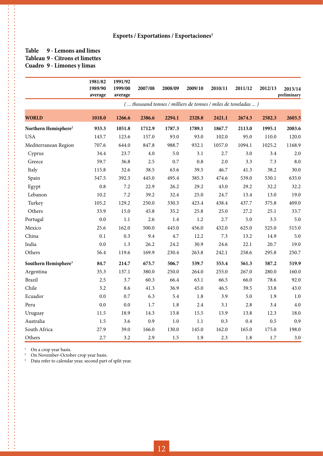#### **Table 9 - Lemons and limes Tableau 9 - Citrons et limettes Cuadro 9 - Limones y limas**

**\*\*\*\*\*\*\*\*\*\*\*\*\*\*\*\*\*** 

. . . . . . . . . .

|                                  | 1981/82<br>1989/90<br>average | 1991/92<br>1999/00<br>average | 2007/08 | 2008/09 | 2009/10 | 2010/11 | 2011/12                                                       | 2012/13 | 2013/14<br>preliminary |
|----------------------------------|-------------------------------|-------------------------------|---------|---------|---------|---------|---------------------------------------------------------------|---------|------------------------|
|                                  |                               |                               |         |         |         |         | ( thousand tonnes / milliers de tonnes / miles de toneladas ) |         |                        |
| <b>WORLD</b>                     | 1018.0                        | 1266.6                        | 2386.6  | 2294.1  | 2328.8  | 2421.1  | 2674.3                                                        | 2582.3  | 2603.5                 |
| Northern Hemisphere <sup>2</sup> | 933.3                         | 1051.8                        | 1712.9  | 1787.3  | 1789.1  | 1867.7  | 2113.0                                                        | 1995.1  | 2083.6                 |
| <b>USA</b>                       | 143.7                         | 123.6                         | 157.0   | 93.0    | 93.0    | 102.0   | 95.0                                                          | 110.0   | 120.0                  |
| Mediterranean Region             | 707.6                         | 644.0                         | 847.8   | 988.7   | 932.1   | 1057.0  | 1094.1                                                        | 1025.2  | 1168.9                 |
| Cyprus                           | 34.4                          | 23.7                          | $4.0\,$ | 5.0     | 3.1     | 2.7     | 3.0                                                           | 3.4     | 2.0                    |
| Greece                           | 59.7                          | 36.8                          | 2.5     | 0.7     | $0.8\,$ | 2.0     | 3.3                                                           | 7.3     | 8.0                    |
| Italy                            | 115.8                         | 32.6                          | 38.5    | 63.6    | 39.5    | 46.7    | 41.3                                                          | 38.2    | 30.0                   |
| Spain                            | 347.5                         | 392.3                         | 445.0   | 495.4   | 385.3   | 474.6   | 539.0                                                         | 530.1   | 635.0                  |
| Egypt                            | $0.8\,$                       | 7.2                           | 22.9    | 26.2    | 29.2    | 43.0    | 29.2                                                          | 32.2    | 32.2                   |
| Lebanon                          | 10.2                          | 7.2                           | 39.2    | 32.4    | 25.0    | 24.7    | 13.4                                                          | 13.0    | 19.0                   |
| Turkey                           | 105.2                         | 129.2                         | 250.0   | 330.3   | 423.4   | 438.4   | 437.7                                                         | 375.8   | 409.0                  |
| Others                           | 33.9                          | 15.0                          | 45.8    | 35.2    | 25.8    | 25.0    | 27.2                                                          | 25.1    | 33.7                   |
| Portugal                         | $0.0\,$                       | 1.1                           | 2.6     | $1.4\,$ | $1.2\,$ | 2.7     | 5.0                                                           | 3.5     | 5.0                    |
| Mexico                           | 25.6                          | 162.0                         | 500.0   | 445.0   | 456.0   | 432.0   | 625.0                                                         | 525.0   | 515.0                  |
| China                            | 0.1                           | 0.3                           | 9.4     | 4.7     | 12.2    | 7.3     | 13.2                                                          | 14.9    | 5.0                    |
| India                            | $0.0\,$                       | 1.3                           | 26.2    | 24.2    | 30.9    | 24.6    | 22.1                                                          | 20.7    | 19.0                   |
| Others                           | 56.4                          | 119.6                         | 169.9   | 230.4   | 263.8   | 242.1   | 258.6                                                         | 295.8   | 250.7                  |
| Southern Hemisphere <sup>3</sup> | 84.7                          | 214.7                         | 673.7   | 506.7   | 539.7   | 553.4   | 561.3                                                         | 587.2   | 519.9                  |
| Argentina                        | 35.3                          | 137.1                         | 380.0   | 250.0   | 264.0   | 255.0   | 267.0                                                         | 280.0   | 160.0                  |
| <b>Brazil</b>                    | 2.5                           | 3.7                           | 60.3    | 66.4    | 63.1    | 66.5    | 66.0                                                          | 78.6    | 92.0                   |
| Chile                            | 3.2                           | 8.6                           | 41.3    | 36.9    | 45.0    | 46.5    | 39.5                                                          | 33.8    | 43.0                   |
| Ecuador                          | $0.0\,$                       | 0.7                           | 6.3     | 5.4     | $1.8\,$ | 3.9     | 5.0                                                           | 1.9     | $1.0\,$                |
| Peru                             | $0.0\,$                       | 0.0                           | $1.7\,$ | $1.8\,$ | 2.4     | 3.1     | 2.8                                                           | 3.4     | 4.0                    |
| Uruguay                          | 11.5                          | 18.9                          | 14.3    | 13.8    | 15.5    | 13.9    | 13.8                                                          | 12.3    | 18.0                   |
| Australia                        | 1.5                           | 3.6                           | 0.9     | $1.0$   | 1.1     | 0.3     | $0.4\,$                                                       | 0.5     | 0.9                    |
| South Africa                     | 27.9                          | 39.0                          | 166.0   | 130.0   | 145.0   | 162.0   | 165.0                                                         | 175.0   | 198.0                  |
| Others                           | 2.7                           | 3.2                           | 2.9     | $1.5\,$ | 1.9     | 2.3     | $1.8\,$                                                       | $1.7\,$ | 3.0                    |

<sup>1</sup> On a crop year basis.

**----------**

 $\frac{1}{2}$ 

<sup>2</sup> On November-October crop year basis.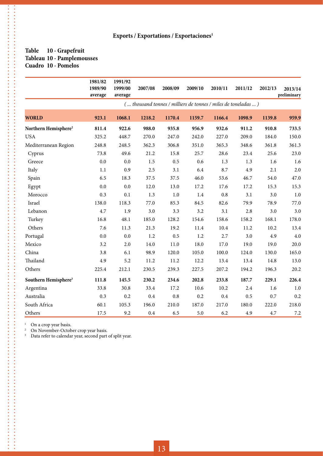#### **Table 10 - Grapefruit Tableau 10 - Pamplemousses Cuadro 10 - Pomelos**

**\*\*\*\*\*\*\*\*\*\*\*\*\*\*\*\*\*** 

|                                  | 1981/82<br>1989/90<br>average | 1991/92<br>1999/00<br>average | 2007/08 | 2008/09 | 2009/10  | 2010/11 | 2011/12                                                       | 2012/13 | 2013/14<br>preliminary |
|----------------------------------|-------------------------------|-------------------------------|---------|---------|----------|---------|---------------------------------------------------------------|---------|------------------------|
|                                  |                               |                               |         |         |          |         | ( thousand tonnes / milliers de tonnes / miles de toneladas ) |         |                        |
| <b>WORLD</b>                     | 923.1                         | 1068.1                        | 1218.2  | 1170.4  | 1159.7   | 1166.4  | 1098.9                                                        | 1139.8  | 959.9                  |
| Northern Hemisphere <sup>2</sup> | 811.4                         | 922.6                         | 988.0   | 935.8   | 956.9    | 932.6   | 911.2                                                         | 910.8   | 733.5                  |
| <b>USA</b>                       | 325.2                         | 448.7                         | 270.0   | 247.0   | 242.0    | 227.0   | 209.0                                                         | 184.0   | 150.0                  |
| Mediterranean Region             | 248.8                         | 248.5                         | 362.3   | 306.8   | 351.0    | 365.3   | 348.6                                                         | 361.8   | 361.3                  |
| Cyprus                           | 73.8                          | 49.6                          | 21.2    | 15.8    | 25.7     | 28.6    | 23.4                                                          | 25.6    | 23.0                   |
| Greece                           | $0.0\,$                       | 0.0                           | $1.5\,$ | 0.5     | 0.6      | 1.3     | 1.3                                                           | 1.6     | 1.6                    |
| Italy                            | 1.1                           | 0.9                           | 2.5     | 3.1     | 6.4      | 8.7     | 4.9                                                           | 2.1     | 2.0                    |
| Spain                            | 6.5                           | 18.3                          | 37.5    | 37.5    | 46.0     | 53.6    | 46.7                                                          | 54.0    | 47.0                   |
| Egypt                            | $0.0\,$                       | 0.0                           | 12.0    | 13.0    | 17.2     | 17.6    | 17.2                                                          | 15.3    | 15.3                   |
| Morocco                          | 0.3                           | 0.1                           | 1.3     | 1.0     | 1.4      | 0.8     | 3.1                                                           | 3.0     | 1.0                    |
| Israel                           | 138.0                         | 118.3                         | 77.0    | 85.3    | 84.5     | 82.6    | 79.9                                                          | 78.9    | 77.0                   |
| Lebanon                          | 4.7                           | 1.9                           | 3.0     | 3.3     | 3.2      | 3.1     | 2.8                                                           | 3.0     | 3.0                    |
| Turkey                           | 16.8                          | 48.1                          | 185.0   | 128.2   | 154.6    | 158.6   | 158.2                                                         | 168.1   | 178.0                  |
| Others                           | 7.6                           | 11.3                          | 21.3    | 19.2    | $11.4\,$ | 10.4    | 11.2                                                          | 10.2    | 13.4                   |
| Portugal                         | 0.0                           | 0.0                           | 1.2     | 0.5     | 1.2      | 2.7     | 3.0                                                           | 4.9     | 4.0                    |
| Mexico                           | 3.2                           | 2.0                           | 14.0    | 11.0    | 18.0     | 17.0    | 19.0                                                          | 19.0    | 20.0                   |
| China                            | 3.8                           | 6.1                           | 98.9    | 120.0   | 105.0    | 100.0   | 124.0                                                         | 130.0   | 165.0                  |
| Thailand                         | 4.9                           | 5.2                           | 11.2    | 11.2    | 12.2     | 13.4    | 13.4                                                          | 14.8    | 13.0                   |
| Others                           | 225.4                         | 212.1                         | 230.5   | 239.3   | 227.5    | 207.2   | 194.2                                                         | 196.3   | 20.2                   |
| Southern Hemisphere <sup>3</sup> | 111.8                         | 145.5                         | 230.2   | 234.6   | 202.8    | 233.8   | 187.7                                                         | 229.1   | 226.4                  |
| Argentina                        | 33.8                          | 30.8                          | 33.4    | 17.2    | 10.6     | 10.2    | 2.4                                                           | 1.6     | 1.0                    |
| Australia                        | 0.3                           | 0.2                           | 0.4     | 0.8     | 0.2      | 0.4     | 0.5                                                           | 0.7     | 0.2                    |
| South Africa                     | 60.1                          | 105.3                         | 196.0   | 210.0   | 187.0    | 217.0   | 180.0                                                         | 222.0   | 218.0                  |
| Others                           | 17.5                          | 9.2                           | 0.4     | 6.5     | 5.0      | 6.2     | 4.9                                                           | 4.7     | 7.2                    |

<sup>1</sup> On a crop year basis.

**\*\*\*\*\*\*\*\*\*\*\*\*\*\*\*\*\*** 

<sup>2</sup> On November-October crop year basis.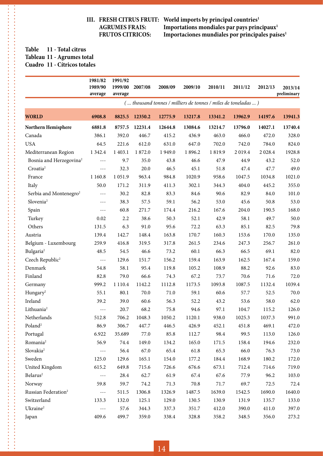**III. FRESH CITRUS FRUIT:** World imports by principal countries<sup>1</sup> AGRUMES FRAIS: Importations mondiales par pays prin AGRUMES FRAIS: **Importations mondiales par pays principaux<sup>1</sup><br>FRUTOS CITRICOS: Importaciones mundiales por principales país Importaciones mundiales por principales países**<sup>1</sup>

#### **Table 11 - Total citrus Tableau 11 - Agrumes total Cuadro 11 - Cítricos totales**

 $\frac{1}{2}$ 

|                                     | 1981/82<br>1989/90<br>average | 1991/92<br>1999/00<br>average | 2007/08 | 2008/09 | 2009/10 | 2010/11                                                       | 2011/12 | 2012/13 | 2013/14<br>preliminary |
|-------------------------------------|-------------------------------|-------------------------------|---------|---------|---------|---------------------------------------------------------------|---------|---------|------------------------|
|                                     |                               |                               |         |         |         | ( thousand tonnes / milliers de tonnes / miles de toneladas ) |         |         |                        |
| <b>WORLD</b>                        | 6908.8                        | 8825.5                        | 12350.2 | 12775.9 | 13217.8 | 13341.2                                                       | 13962.9 | 14197.6 | 13941.3                |
| Northern Hemisphere                 | 6881.8                        | 8757.5                        | 12231.4 | 12644.8 | 13084.6 | 13214.7                                                       | 13796.0 | 14027.1 | 13740.4                |
| Canada                              | 386.1                         | 392.0                         | 446.7   | 415.2   | 436.9   | 463.0                                                         | 466.0   | 472.0   | 328.0                  |
| <b>USA</b>                          | 64.5                          | 221.6                         | 612.0   | 631.0   | 647.0   | 702.0                                                         | 742.0   | 784.0   | 824.0                  |
| Mediterranean Region                | 1 3 4 2.4                     | 1 4 0 3.1                     | 1872.0  | 1949.0  | 1896.2  | 1819.9                                                        | 2019.4  | 2028.4  | 1928.8                 |
| Bosnia and Herzegovina <sup>2</sup> | ---                           | 9.7                           | 35.0    | 43.8    | 46.6    | 47.9                                                          | 44.9    | 43.2    | 52.0                   |
| Croatia <sup>2</sup>                | $- - -$                       | 32.3                          | 20.0    | 46.5    | 45.1    | 51.8                                                          | 47.4    | 47.7    | 49.0                   |
| France                              | 1 1 6 0.8                     | 1051.9                        | 963.4   | 984.8   | 1020.9  | 958.6                                                         | 1047.5  | 1034.8  | 1021.0                 |
| Italy                               | 50.0                          | 171.2                         | 311.9   | 411.3   | 302.1   | 344.3                                                         | 404.0   | 445.2   | 355.0                  |
| Serbia and Montenegro <sup>2</sup>  | $- - -$                       | 30.2                          | 82.8    | 83.3    | 84.6    | 90.6                                                          | 82.9    | 84.0    | 101.0                  |
| Slovenia <sup>2</sup>               | $\qquad \qquad - -$           | 38.3                          | 57.5    | 59.1    | 56.2    | 53.0                                                          | 45.6    | 50.8    | 53.0                   |
| Spain                               | ---                           | 60.8                          | 271.7   | 174.4   | 216.2   | 167.6                                                         | 204.0   | 190.5   | 168.0                  |
| Turkey                              | 0.02                          | 2.2                           | 38.6    | 50.3    | 52.1    | 42.9                                                          | 58.1    | 49.7    | 50.0                   |
| Others                              | 131.5                         | 6.3                           | 91.0    | 95.6    | 72.2    | 63.3                                                          | 85.1    | 82.5    | 79.8                   |
| Austria                             | 139.4                         | 142.7                         | 148.4   | 163.8   | 170.7   | 160.3                                                         | 153.6   | 170.0   | 135.0                  |
| Belgium - Luxembourg                | 259.9                         | 416.8                         | 319.5   | 317.8   | 261.5   | 234.6                                                         | 247.3   | 256.7   | 261.0                  |
| Bulgaria <sup>2</sup>               | 48.5                          | 54.5                          | 46.6    | 73.2    | 60.1    | 66.3                                                          | 66.5    | 69.1    | 82.0                   |
| Czech Republic <sup>2</sup>         | $---$                         | 129.6                         | 151.7   | 156.2   | 159.4   | 163.9                                                         | 162.5   | 167.4   | 159.0                  |
| Denmark                             | 54.8                          | 58.1                          | 95.4    | 119.8   | 105.2   | 108.9                                                         | 88.2    | 92.6    | 83.0                   |
| Finland                             | 82.8                          | 79.0                          | 66.6    | 74.3    | 67.2    | 73.7                                                          | 70.6    | 71.6    | 72.0                   |
| Germany                             | 999.2                         | 1 1 1 0.4                     | 1142.2  | 1112.8  | 1173.5  | 1093.8                                                        | 1087.5  | 1132.4  | 1039.4                 |
| Hungary <sup>2</sup>                | 55.1                          | 80.1                          | 70.0    | 71.0    | 59.1    | 60.6                                                          | 57.7    | 52.5    | 70.0                   |
| Ireland                             | 39.2                          | 39.0                          | 60.6    | 56.3    | 52.2    | 43.2                                                          | 53.6    | 58.0    | 62.0                   |
| Lithuania <sup>2</sup>              | ---                           | 20.7                          | 68.2    | 75.8    | 94.6    | 97.1                                                          | 104.7   | 115.2   | 126.0                  |
| Netherlands                         | 512.8                         | 706.2                         | 1048.3  | 1050.2  | 1120.1  | 938.0                                                         | 1025.3  | 1037.3  | 991.0                  |
| Poland <sup>2</sup>                 | 86.9                          | 306.7                         | 447.7   | 446.5   | 426.9   | 452.1                                                         | 451.8   | 469.1   | 472.0                  |
| Portugal                            | 6.922                         | 35.689                        | 77.0    | 85.8    | 112.7   | 98.4                                                          | 99.5    | 113.0   | 126.0                  |
| Romania <sup>2</sup>                | 56.9                          | 74.4                          | 149.0   | 134.2   | 165.0   | 171.5                                                         | 158.4   | 194.6   | 232.0                  |
| Slovakia <sup>2</sup>               | $\sim$ $\sim$ $\sim$          | 56.4                          | 67.0    | 65.4    | 61.8    | 65.3                                                          | 66.0    | 76.3    | 73.0                   |
| Sweden                              | 125.0                         | 129.6                         | 165.1   | 154.0   | 177.2   | 184.4                                                         | 168.9   | 180.2   | 172.0                  |
| United Kingdom                      | 615.2                         | 649.8                         | 715.6   | 726.6   | 676.6   | 673.1                                                         | 712.4   | 714.6   | 719.0                  |
| Belarus <sup>2</sup>                | $  -$                         | 28.4                          | 62.7    | 61.9    | 67.4    | 67.6                                                          | 77.9    | 96.2    | 103.0                  |
| Norway                              | 59.8                          | 59.7                          | 74.2    | 71.3    | 70.8    | 71.7                                                          | 69.7    | 72.5    | 72.4                   |
| Russian Federation <sup>2</sup>     | $- - -$                       | 511.5                         | 1306.8  | 1326.9  | 1487.5  | 1639.0                                                        | 1542.5  | 1690.0  | 1640.0                 |
| Switzerland                         | 133.3                         | 132.0                         | 125.1   | 129.0   | 130.5   | 130.9                                                         | 131.9   | 135.7   | 133.0                  |
| Ukraine <sup>2</sup>                | $\sim$ $\sim$ $\sim$          | 57.6                          | 344.3   | 337.3   | 351.7   | 412.0                                                         | 390.0   | 411.0   | 397.0                  |
| Japan                               | 409.6                         | 499.7                         | 359.0   | 338.4   | 328.8   | 358.2                                                         | 348.5   | 356.0   | 273.2                  |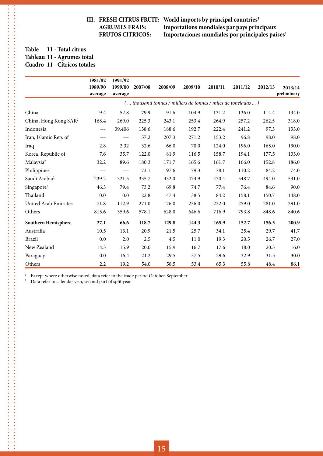**III. FRESH CITRUS FRUIT:** World imports by principal countries<sup>1</sup>  **AGRUMES FRAIS: Importations mondiales par pays principaux1** Importaciones mundiales por principales países<sup>1</sup>

#### **Table 11 - Total citrus Tableau 11 - Agrumes total Cuadro 11 - Cítricos totales**

. . . . . . . . . . . . . .

. . . . . . . . . . . . . . . . . . .

|                                   | 1981/82<br>1989/90<br>average | 1991/92<br>1999/00<br>average | 2007/08 | 2008/09                                                       | 2009/10 | 2010/11 | 2011/12 | 2012/13 | 2013/14<br>preliminary |
|-----------------------------------|-------------------------------|-------------------------------|---------|---------------------------------------------------------------|---------|---------|---------|---------|------------------------|
|                                   |                               |                               |         | ( thousand tonnes / milliers de tonnes / miles de toneladas ) |         |         |         |         |                        |
| China                             | 19.4                          | 52.8                          | 79.9    | 91.6                                                          | 104.9   | 131.2   | 136.0   | 114.4   | 134.0                  |
| China, Hong Kong SAR <sup>2</sup> | 168.4                         | 269.0                         | 225.3   | 243.1                                                         | 253.4   | 264.9   | 257.2   | 262.5   | 318.0                  |
| Indonesia                         | $- - -$                       | 39.406                        | 138.6   | 188.6                                                         | 192.7   | 222.4   | 241.2   | 97.3    | 133.0                  |
| Iran, Islamic Rep. of             | $---$                         | $---$                         | 57.2    | 207.3                                                         | 271.2   | 153.2   | 96.8    | 98.0    | 98.0                   |
| Iraq                              | 2.8                           | 2.32                          | 32.6    | 66.0                                                          | 70.0    | 124.0   | 196.0   | 165.0   | 190.0                  |
| Korea, Republic of                | 7.6                           | 35.7                          | 122.0   | 81.9                                                          | 116.5   | 158.7   | 194.1   | 177.5   | 133.0                  |
| Malaysia <sup>2</sup>             | 32.2                          | 89.6                          | 180.3   | 171.7                                                         | 165.6   | 161.7   | 166.0   | 152.8   | 186.0                  |
| Philippines                       | ---                           | $- - -$                       | 73.1    | 97.6                                                          | 79.3    | 78.1    | 110.2   | 84.2    | 74.0                   |
| Saudi Arabia <sup>2</sup>         | 239.2                         | 321.5                         | 335.7   | 432.0                                                         | 474.9   | 470.4   | 548.7   | 494.0   | 531.0                  |
| Singapore <sup>2</sup>            | 46.3                          | 79.4                          | 73.2    | 69.8                                                          | 74.7    | 77.4    | 76.4    | 84.6    | 90.0                   |
| Thailand                          | 0.0                           | 0.0                           | 22.8    | 47.4                                                          | 38.5    | 84.2    | 158.1   | 150.7   | 148.0                  |
| United Arab Emirates              | 71.8                          | 112.9                         | 271.0   | 176.0                                                         | 236.0   | 222.0   | 259.0   | 281.0   | 291.0                  |
| Others                            | 815.6                         | 359.6                         | 578.1   | 628.0                                                         | 646.6   | 716.9   | 793.8   | 848.6   | 840.6                  |
| Southern Hemisphere               | 27.1                          | 66.6                          | 118.7   | 129.8                                                         | 144.3   | 165.9   | 152.7   | 156.5   | 200.9                  |
| Australia                         | 10.5                          | 13.1                          | 20.9    | 21.5                                                          | 25.7    | 34.1    | 25.4    | 29.7    | 41.7                   |
| <b>Brazil</b>                     | 0.0                           | 2.0                           | 2.5     | 4.5                                                           | 11.0    | 19.3    | 20.5    | 26.7    | 27.0                   |
| New Zealand                       | 14.3                          | 15.9                          | 20.0    | 15.9                                                          | 16.7    | 17.6    | 18.0    | 20.3    | 16.0                   |
| Paraguay                          | 0.0                           | 16.4                          | 21.2    | 29.5                                                          | 37.5    | 29.6    | 32.9    | 31.5    | 30.0                   |
| Others                            | 2.2                           | 19.2                          | 54.0    | 58.5                                                          | 53.4    | 65.3    | 55.8    | 48.4    | 86.1                   |

<sup>1</sup> Except where otherwise noted, data refer to the trade period October-September.<br><sup>2</sup> Data refer to calendar year, second part of split year.

Data refer to calendar year, second part of split year.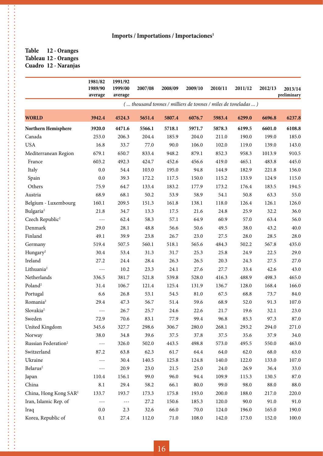**Table 12 - Oranges Tableau 12 - Oranges Cuadro 12 - Naranjas**

**\*\*\*\*\*\*\*\*\*\*\*\*\*\*\*\*** 

|                                   | 1981/82<br>1989/90<br>average | 1991/92<br>1999/00<br>average | 2007/08 | 2008/09  | 2009/10                                                       | 2010/11 | 2011/12 | 2012/13 | 2013/14<br>preliminary |
|-----------------------------------|-------------------------------|-------------------------------|---------|----------|---------------------------------------------------------------|---------|---------|---------|------------------------|
|                                   |                               |                               |         |          | ( thousand tonnes / milliers de tonnes / miles de toneladas ) |         |         |         |                        |
| <b>WORLD</b>                      | 3942.4                        | 4524.3                        | 5651.4  | 5807.4   | 6076.7                                                        | 5983.4  | 6299.0  | 6696.8  | 6237.8                 |
| Northern Hemisphere               | 3920.0                        | 4471.6                        | 5566.1  | 5718.1   | 5971.7                                                        | 5878.3  | 6199.5  | 6601.0  | 6108.8                 |
| Canada                            | 253.0                         | 206.3                         | 204.4   | 185.9    | 204.0                                                         | 211.0   | 190.0   | 199.0   | 185.0                  |
| <b>USA</b>                        | 16.8                          | 33.7                          | 77.0    | 90.0     | 106.0                                                         | 102.0   | 119.0   | 139.0   | 143.0                  |
| Mediterranean Region              | 679.1                         | 650.7                         | 833.4   | 948.2    | 879.1                                                         | 852.3   | 958.3   | 1013.9  | 910.5                  |
| France                            | 603.2                         | 492.3                         | 424.7   | 452.6    | 456.6                                                         | 419.0   | 465.1   | 483.8   | 445.0                  |
| Italy                             | 0.0                           | 54.4                          | 103.0   | 195.0    | 94.8                                                          | 144.9   | 182.9   | 221.8   | 156.0                  |
| Spain                             | 0.0                           | 39.3                          | 172.2   | 117.5    | 150.0                                                         | 115.2   | 133.9   | 124.9   | 115.0                  |
| Others                            | 75.9                          | 64.7                          | 133.4   | 183.2    | 177.9                                                         | 173.2   | 176.4   | 183.5   | 194.5                  |
| Austria                           | 68.9                          | 68.1                          | 50.2    | 53.9     | 58.9                                                          | 54.1    | 50.8    | 63.3    | 55.0                   |
| Belgium - Luxembourg              | 160.1                         | 209.5                         | 151.3   | 161.8    | 138.1                                                         | 118.0   | 126.4   | 126.1   | 126.0                  |
| Bulgaria <sup>2</sup>             | 21.8                          | 34.7                          | 13.3    | 17.5     | 21.6                                                          | 24.8    | 25.9    | 32.2    | 36.0                   |
| Czech Republic <sup>2</sup>       | $- - -$                       | 62.4                          | 58.3    | 57.1     | 64.9                                                          | 60.9    | 57.0    | 63.4    | 56.0                   |
| Denmark                           | 29.0                          | 28.1                          | 48.8    | 56.6     | 50.6                                                          | 49.5    | 38.0    | 43.2    | 40.0                   |
| Finland                           | 49.1                          | 39.9                          | 23.8    | 26.7     | 23.0                                                          | 27.5    | 28.0    | 28.5    | 28.0                   |
| Germany                           | 519.4                         | 507.5                         | 560.1   | 518.1    | 565.6                                                         | 484.3   | 502.2   | 567.8   | 435.0                  |
| Hungary <sup>2</sup>              | 30.4                          | 53.4                          | 31.3    | 31.7     | 25.3                                                          | 25.8    | 24.9    | 22.5    | 29.0                   |
| Ireland                           | 27.2                          | 24.4                          | 28.4    | 26.3     | 26.5                                                          | 20.3    | 24.3    | 27.5    | 27.0                   |
| Lithuania <sup>2</sup>            | $- - -$                       | 10.2                          | 23.3    | 24.1     | 27.6                                                          | 27.7    | 33.4    | 42.6    | 43.0                   |
| Netherlands                       | 336.5                         | 381.7                         | 521.8   | 539.8    | 528.0                                                         | 416.3   | 488.9   | 498.3   | 465.0                  |
| Poland <sup>2</sup>               | 31.4                          | 106.7                         | 121.4   | 125.4    | 131.9                                                         | 136.7   | 128.0   | 168.4   | 166.0                  |
| Portugal                          | 6.6                           | 26.8                          | 53.1    | 54.5     | 81.0                                                          | 67.5    | 68.8    | 73.7    | 84.0                   |
| Romania <sup>2</sup>              | 29.4                          | 47.3                          | 56.7    | 51.4     | 59.6                                                          | 68.9    | 52.0    | 91.3    | 107.0                  |
| Slovakia <sup>2</sup>             | $- - -$                       | 26.7                          | 25.7    | 24.6     | 22.6                                                          | 21.7    | 19.6    | 32.1    | 23.0                   |
| Sweden                            | 72.9                          | 70.6                          | 83.1    | 77.9     | 99.4                                                          | 96.8    | 85.3    | 97.3    | 87.0                   |
| United Kingdom                    | 345.6                         | 327.7                         | 298.6   | 306.7    | 280.0                                                         | 268.1   | 293.2   | 294.0   | 271.0                  |
| Norway                            | 38.0                          | 34.8                          | 39.6    | 37.5     | 37.8                                                          | 37.5    | 35.6    | 37.9    | 34.0                   |
| Russian Federation <sup>2</sup>   | $- - -$                       | 326.0                         | 502.0   | 443.5    | 498.8                                                         | 573.0   | 495.5   | 550.0   | 463.0                  |
| Switzerland                       | 87.2                          | 63.8                          | 62.3    | 61.7     | 64.4                                                          | 64.0    | 62.0    | 68.0    | 63.0                   |
| Ukraine                           | $- - -$                       | 30.4                          | 140.5   | 125.8    | 124.8                                                         | 140.0   | 122.0   | 133.0   | 107.0                  |
| Belarus <sup>2</sup>              | $---$                         | 20.9                          | 23.0    | 21.5     | 25.0                                                          | 24.0    | 26.9    | 36.4    | 33.0                   |
| Japan                             | 110.4                         | 156.1                         | 99.0    | 96.0     | 94.4                                                          | 109.9   | 115.3   | 130.5   | 87.0                   |
| China                             | 8.1                           | 29.4                          | 58.2    | 66.1     | 80.0                                                          | 99.0    | 98.0    | 88.0    | 88.0                   |
| China, Hong Kong SAR <sup>2</sup> | 133.7                         | 193.7                         | 173.3   | 175.8    | 193.0                                                         | 200.0   | 188.0   | 217.0   | 220.0                  |
| Iran, Islamic Rep. of             | $---$                         | $\sim$ $\sim$ $\sim$          | 27.2    | 150.6    | 185.3                                                         | 120.0   | 90.0    | 91.0    | 91.0                   |
| Iraq                              | 0.0                           | 2.3                           | 32.6    | 66.0     | 70.0                                                          | 124.0   | 196.0   | 165.0   | 190.0                  |
| Korea, Republic of                | 0.1                           | 27.4                          | 112.0   | $71.0\,$ | 108.0                                                         | 142.0   | 173.0   | 152.0   | 100.0                  |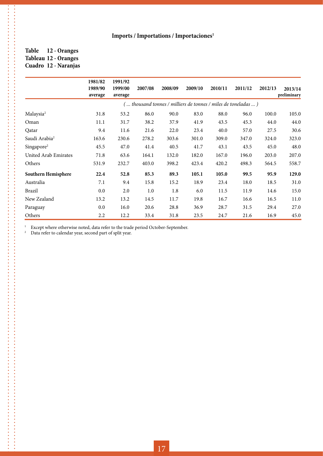#### **Table 12 - Oranges Tableau 12 - Oranges Cuadro 12 - Naranjas**

. . . . . . . . . . . .

|                           | 1981/82<br>1989/90<br>average | 1991/92<br>1999/00<br>average | 2007/08 | 2008/09 | 2009/10                                                       | 2010/11 | 2011/12 | 2012/13 | 2013/14<br>preliminary |
|---------------------------|-------------------------------|-------------------------------|---------|---------|---------------------------------------------------------------|---------|---------|---------|------------------------|
|                           |                               |                               |         |         | ( thousand tonnes / milliers de tonnes / miles de toneladas ) |         |         |         |                        |
| Malaysia <sup>2</sup>     | 31.8                          | 53.2                          | 86.0    | 90.0    | 83.0                                                          | 88.0    | 96.0    | 100.0   | 105.0                  |
| Oman                      | 11.1                          | 31.7                          | 38.2    | 37.9    | 41.9                                                          | 43.5    | 45.3    | 44.0    | 44.0                   |
| Qatar                     | 9.4                           | 11.6                          | 21.6    | 22.0    | 23.4                                                          | 40.0    | 57.0    | 27.5    | 30.6                   |
| Saudi Arabia <sup>2</sup> | 163.6                         | 230.6                         | 278.2   | 303.6   | 301.0                                                         | 309.0   | 347.0   | 324.0   | 323.0                  |
| Singapore <sup>2</sup>    | 45.5                          | 47.0                          | 41.4    | 40.5    | 41.7                                                          | 43.1    | 43.5    | 45.0    | 48.0                   |
| United Arab Emirates      | 71.8                          | 63.6                          | 164.1   | 132.0   | 182.0                                                         | 167.0   | 196.0   | 203.0   | 207.0                  |
| Others                    | 531.9                         | 232.7                         | 403.0   | 398.2   | 423.4                                                         | 420.2   | 498.3   | 564.5   | 558.7                  |
| Southern Hemisphere       | 22.4                          | 52.8                          | 85.3    | 89.3    | 105.1                                                         | 105.0   | 99.5    | 95.9    | 129.0                  |
| Australia                 | 7.1                           | 9.4                           | 15.8    | 15.2    | 18.9                                                          | 23.4    | 18.0    | 18.5    | 31.0                   |
| Brazil                    | 0.0                           | 2.0                           | 1.0     | 1.8     | 6.0                                                           | 11.5    | 11.9    | 14.6    | 15.0                   |
| New Zealand               | 13.2                          | 13.2                          | 14.5    | 11.7    | 19.8                                                          | 16.7    | 16.6    | 16.5    | 11.0                   |
| Paraguay                  | 0.0                           | 16.0                          | 20.6    | 28.8    | 36.9                                                          | 28.7    | 31.5    | 29.4    | 27.0                   |
| Others                    | 2.2                           | 12.2                          | 33.4    | 31.8    | 23.5                                                          | 24.7    | 21.6    | 16.9    | 45.0                   |

<sup>1</sup> Except where otherwise noted, data refer to the trade period October-September.<br><sup>2</sup> Data refer to calendar year, second part of split year.

Data refer to calendar year, second part of split year.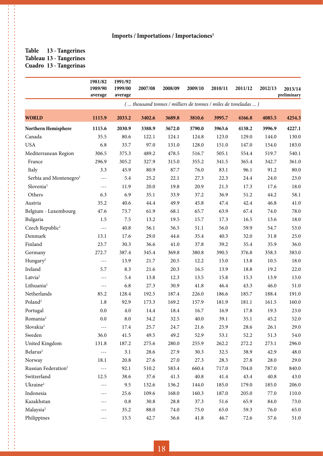#### **Table 13 - Tangerines Tableau 13 - Tangerines Cuadro 13 - Tangerinas**

.<br>.<br>.<br>.<br>.<br>.<br>.

|                                    | 1981/82<br>1989/90<br>average | 1991/92<br>1999/00<br>average | 2007/08                                                       | 2008/09 | 2009/10  | 2010/11 | 2011/12 | 2012/13 | 2013/14<br>preliminary |
|------------------------------------|-------------------------------|-------------------------------|---------------------------------------------------------------|---------|----------|---------|---------|---------|------------------------|
|                                    |                               |                               | ( thousand tonnes / milliers de tonnes / miles de toneladas ) |         |          |         |         |         |                        |
| <b>WORLD</b>                       | 1115.9                        | 2033.2                        | 3402.6                                                        | 3689.8  | 3810.6   | 3995.7  | 4166.8  | 4085.5  | 4254.3                 |
| Northern Hemisphere                | 1115.6                        | 2030.9                        | 3388.9                                                        | 3672.0  | 3790.0   | 3963.6  | 4138.2  | 3996.9  | 4227.1                 |
| Canada                             | 35.5                          | 80.6                          | 122.1                                                         | 124.1   | 124.8    | 123.0   | 129.0   | 144.0   | 130.0                  |
| <b>USA</b>                         | 6.8                           | 33.7                          | 97.0                                                          | 131.0   | 128.0    | 151.0   | 147.0   | 154.0   | 183.0                  |
| Mediterranean Region               | 306.5                         | 375.3                         | 489.2                                                         | 478.5   | 516.7    | 505.1   | 554.4   | 519.7   | 540.1                  |
| France                             | 296.9                         | 305.2                         | 327.9                                                         | 315.0   | 355.2    | 341.5   | 365.4   | 342.7   | 361.0                  |
| Italy                              | 3.3                           | 45.9                          | 80.9                                                          | 87.7    | 76.0     | 83.1    | 96.1    | 91.2    | $80.0\,$               |
| Serbia and Montenegro <sup>2</sup> | $---$                         | 5.4                           | 25.2                                                          | 22.1    | 27.3     | 22.3    | 24.4    | 24.0    | 23.0                   |
| Slovenia <sup>2</sup>              | $-\, -\, -$                   | 11.9                          | 20.0                                                          | 19.8    | 20.9     | 21.3    | 17.3    | 17.6    | 18.0                   |
| Others                             | 6.3                           | 6.9                           | 35.1                                                          | 33.9    | 37.2     | 36.9    | 51.2    | 44.2    | 58.1                   |
| Austria                            | 35.2                          | 40.6                          | 44.4                                                          | 49.9    | 45.8     | 47.4    | 42.4    | 46.8    | 41.0                   |
| Belgium - Luxembourg               | 47.6                          | 73.7                          | 61.9                                                          | 68.1    | 65.7     | 63.9    | 67.4    | 74.0    | 78.0                   |
| Bulgaria                           | 1.5                           | $7.5\,$                       | 13.2                                                          | 19.5    | 15.7     | 17.3    | 16.5    | 13.6    | 18.0                   |
| Czech Republic <sup>2</sup>        | $- - -$                       | 40.8                          | 56.1                                                          | 56.5    | 51.1     | 56.0    | 59.9    | 54.7    | 53.0                   |
| Denmark                            | 13.1                          | 17.6                          | 29.0                                                          | 44.6    | 35.4     | 40.3    | 32.0    | 31.8    | 25.0                   |
| Finland                            | 23.7                          | 30.3                          | 36.6                                                          | 41.0    | 37.8     | 39.2    | 35.4    | 35.9    | 36.0                   |
| Germany                            | 272.7                         | 387.4                         | 345.4                                                         | 369.8   | 380.8    | 390.5   | 376.8   | 358.3   | 383.0                  |
| Hungary <sup>2</sup>               | $- - -$                       | 13.9                          | 21.7                                                          | 20.5    | 12.2     | 15.0    | 13.8    | 10.5    | 18.0                   |
| Ireland                            | 5.7                           | 8.3                           | 21.6                                                          | 20.3    | 16.5     | 13.9    | 18.8    | 19.2    | 22.0                   |
| Latvia <sup>2</sup>                | $- - -$                       | 5.4                           | 13.8                                                          | 12.3    | 13.5     | 15.8    | 15.3    | 13.9    | 13.0                   |
| Lithuania <sup>2</sup>             | $- - -$                       | 6.8                           | 27.3                                                          | 30.9    | 41.8     | 46.4    | 43.3    | 46.0    | 51.0                   |
| Netherlands                        | 85.2                          | 128.4                         | 192.5                                                         | 187.4   | 226.0    | 186.6   | 185.7   | 188.4   | 191.0                  |
| Poland <sup>2</sup>                | 1.8                           | 92.9                          | 173.3                                                         | 169.2   | 157.9    | 181.9   | 181.1   | 161.5   | 160.0                  |
| Portugal                           | 0.0                           | 4.0                           | 14.4                                                          | 18.4    | 16.7     | 16.9    | 17.8    | 19.3    | 23.0                   |
| Romania <sup>2</sup>               | 0.0                           | 8.0                           | 34.2                                                          | 32.5    | 40.0     | 39.1    | 35.1    | 45.2    | 52.0                   |
| Slovakia <sup>2</sup>              | $- - -$                       | 17.4                          | 25.7                                                          | 24.7    | 21.6     | 25.9    | 28.6    | 26.1    | 29.0                   |
| Sweden                             | 36.0                          | 41.5                          | 49.5                                                          | 49.2    | 52.9     | 53.1    | 52.2    | 51.3    | 54.0                   |
| United Kingdom                     | 131.8                         | 187.2                         | 275.6                                                         | 280.0   | 255.9    | 262.2   | 272.2   | 273.1   | 296.0                  |
| $\rm{Belarus^2}$                   | $\sim$ $\sim$ $\sim$          | 3.1                           | 28.6                                                          | 27.9    | 30.3     | 32.5    | 38.9    | 42.9    | 48.0                   |
| Norway                             | 18.1                          | 20.8                          | 27.6                                                          | 27.0    | 27.3     | 28.3    | 27.8    | 28.0    | 29.0                   |
| Russian Federation <sup>2</sup>    | $\sim$ $\sim$ $\sim$          | 92.1                          | 510.2                                                         | 583.4   | 660.4    | 717.0   | 704.0   | 787.0   | 840.0                  |
| Switzerland                        | 12.5                          | 38.6                          | 37.6                                                          | 41.3    | $40.8\,$ | 41.4    | 43.4    | 40.8    | 43.0                   |
| Ukraine <sup>2</sup>               | $---$                         | 9.5                           | 132.6                                                         | 136.2   | 144.0    | 185.0   | 179.0   | 185.0   | 206.0                  |
| Indonesia                          | $---$                         | 25.6                          | 109.6                                                         | 168.0   | 160.3    | 187.0   | 205.0   | 77.0    | 110.0                  |
| Kazakhstan                         | $---$                         | $\rm 0.8$                     | 30.8                                                          | 28.8    | 37.3     | 51.6    | 65.9    | 84.0    | 73.0                   |
| Malaysia <sup>2</sup>              |                               | 35.2                          | 88.0                                                          | 74.0    | 75.0     | 65.0    | 59.3    | 76.0    | 65.0                   |
| Philippines                        | $- - -$                       | 15.5                          | 42.7                                                          | 56.6    | 41.8     | 46.7    | 72.6    | 57.6    | 51.0                   |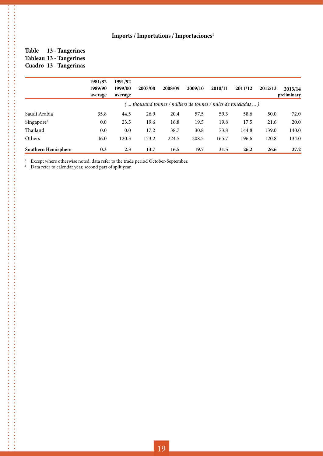#### **Table 13 - Tangerines Tableau 13 - Tangerines Cuadro 13 - Tangerinas**

**\*\*\*\*\*\*\*\*\*\*\*\*\*\*\*\*** 

|                        | 1981/82<br>1989/90<br>average | 1991/92<br>1999/00<br>average | 2007/08                                                         | 2008/09 | 2009/10 | 2010/11 | 2011/12 | 2012/13 | 2013/14<br>preliminary |
|------------------------|-------------------------------|-------------------------------|-----------------------------------------------------------------|---------|---------|---------|---------|---------|------------------------|
|                        |                               |                               | '  thousand tonnes / milliers de tonnes / miles de toneladas  ) |         |         |         |         |         |                        |
| Saudi Arabia           | 35.8                          | 44.5                          | 26.9                                                            | 20.4    | 57.5    | 59.3    | 58.6    | 50.0    | 72.0                   |
| Singapore <sup>2</sup> | 0.0                           | 23.5                          | 19.6                                                            | 16.8    | 19.5    | 19.8    | 17.5    | 21.6    | 20.0                   |
| Thailand               | 0.0                           | 0.0                           | 17.2                                                            | 38.7    | 30.8    | 73.8    | 144.8   | 139.0   | 140.0                  |
| Others                 | 46.0                          | 120.3                         | 173.2                                                           | 224.5   | 208.5   | 165.7   | 196.6   | 120.8   | 134.0                  |
| Southern Hemisphere    | 0.3                           | 2.3                           | 13.7                                                            | 16.5    | 19.7    | 31.5    | 26.2    | 26.6    | 27.2                   |

<sup>1</sup> Except where otherwise noted, data refer to the trade period October-September.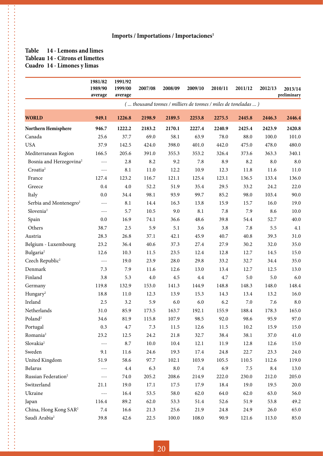#### **Table 14 - Lemons and limes Tableau 14 - Citrons et limettes Cuadro 14 - Limones y limas**

.<br>.<br>.<br>.<br>.<br>.<br>.

的过去式和过去分词 医皮肤性皮肤 医皮肤性皮肤性皮肤性皮肤性皮肤性皮肤性皮肤性皮肤性皮肤性皮肤炎 医皮肤皮肤 医皮肤皮肤 医皮肤皮肤 医皮肤皮肤 医皮肤皮肤 医皮肤皮肤 医皮肤皮肤 医皮肤 

**\*\*\*\*\*\*\*\*\*\*\*\*\*\*\*\*\*\*\*\*\*\*** 

|                                     | 1981/82<br>1989/90<br>average | 1991/92<br>1999/00<br>average | 2007/08                                                       | 2008/09    | 2009/10 | 2010/11 | 2011/12  | 2012/13            | 2013/14<br>preliminary |
|-------------------------------------|-------------------------------|-------------------------------|---------------------------------------------------------------|------------|---------|---------|----------|--------------------|------------------------|
|                                     |                               |                               | ( thousand tonnes / milliers de tonnes / miles de toneladas ) |            |         |         |          |                    |                        |
| <b>WORLD</b>                        | 949.1                         | 1226.8                        | 2198.9                                                        | 2189.5     | 2253.8  | 2275.5  | 2445.8   | 2446.3             | 2446.4                 |
| Northern Hemisphere                 | 946.7                         | 1222.2                        | 2183.2                                                        | 2170.1     | 2227.4  | 2240.9  | 2425.4   | 2423.9             | 2420.8                 |
| Canada                              | 25.6                          | 37.7                          | 69.0                                                          | 58.1       | 63.9    | 78.0    | 88.0     | 100.0              | 101.0                  |
| <b>USA</b>                          | 37.9                          | 142.5                         | 424.0                                                         | 398.0      | 401.0   | 442.0   | 475.0    | 478.0              | 480.0                  |
| Mediterranean Region                | 166.5                         | 205.6                         | 391.0                                                         | 355.3      | 353.2   | 326.4   | 373.6    | 363.3              | 340.1                  |
| Bosnia and Herzegovina <sup>2</sup> | $- - -$                       | 2.8                           | 8.2                                                           | 9.2        | 7.8     | 8.9     | 8.2      | $\boldsymbol{8.0}$ | 8.0                    |
| Croatia <sup>2</sup>                | $- - -$                       | 8.1                           | $11.0$                                                        | 12.2       | 10.9    | 12.3    | 11.8     | 11.6               | 11.0                   |
| France                              | 127.4                         | 123.2                         | 116.7                                                         | 121.1      | 125.4   | 123.1   | 136.5    | 133.4              | 136.0                  |
| Greece                              | 0.4                           | 4.0                           | 52.2                                                          | 51.9       | 35.4    | 29.5    | 33.2     | 24.2               | 22.0                   |
| Italy                               | 0.0                           | 34.4                          | 98.1                                                          | 93.9       | 99.7    | 85.2    | 98.0     | 103.4              | 90.0                   |
| Serbia and Montenegro <sup>2</sup>  | $\qquad \qquad - -$           | 8.1                           | 14.4                                                          | 16.3       | 13.8    | 15.9    | 15.7     | 16.0               | 19.0                   |
| Slovenia <sup>2</sup>               | $\sim$ $\sim$ $\sim$          | 5.7                           | 10.5                                                          | 9.0        | 8.1     | 7.8     | 7.9      | 8.6                | 10.0                   |
| Spain                               | 0.0                           | 16.9                          | 74.1                                                          | 36.6       | 48.6    | 39.8    | 54.4     | 52.7               | 40.0                   |
| Others                              | 38.7                          | 2.5                           | 5.9                                                           | 5.1        | 3.6     | 3.8     | 7.8      | 5.5                | 4.1                    |
| Austria                             | 28.3                          | 26.8                          | 37.1                                                          | 42.1       | 45.9    | 40.7    | 40.8     | 39.3               | 31.0                   |
| Belgium - Luxembourg                | 23.2                          | 36.4                          | 40.6                                                          | 37.3       | 27.4    | 27.9    | 30.2     | 32.0               | 35.0                   |
| Bulgaria <sup>2</sup>               | 12.6                          | 10.3                          | 11.5                                                          | 23.5       | 12.4    | 12.8    | 12.7     | 14.5               | 15.0                   |
| Czech Republic <sup>2</sup>         | $- - -$                       | 19.0                          | 23.9                                                          | 28.0       | 29.8    | 33.2    | 32.7     | 34.4               | 35.0                   |
| Denmark                             | 7.3                           | 7.9                           | 11.6                                                          | 12.6       | 13.0    | 13.4    | 12.7     | 12.5               | 13.0                   |
| Finland                             | 3.8                           | 5.3                           | $4.0\,$                                                       | 4.5        | 4.4     | 4.7     | 5.0      | 5.0                | 6.0                    |
| Germany                             | 119.8                         | 132.9                         | 153.0                                                         | 141.3      | 144.9   | 148.8   | 148.3    | 148.0              | 148.4                  |
| Hungary <sup>2</sup>                | 18.8                          | 11.0                          | 12.3                                                          | 13.9       | 15.3    | 14.3    | 13.4     | 13.2               | 16.0                   |
| Ireland                             | 2.5                           | 3.2                           | 5.9                                                           | 6.0        | 6.0     | 6.2     | 7.0      | 7.6                | 8.0                    |
| Netherlands                         | 31.0                          | 85.9                          | 173.5                                                         | 163.7      | 192.1   | 155.9   | 188.4    | 178.3              | 165.0                  |
| Poland <sup>2</sup>                 | 34.6                          | 81.9                          | 115.8                                                         | 107.9      | 98.5    | 92.0    | 98.6     | 95.9               | 97.0                   |
| Portugal                            | 0.3                           | 4.7                           | 7.3                                                           | 11.5       | 12.6    | 11.5    | $10.2\,$ | 15.9               | 15.0                   |
| Romania <sup>2</sup>                | 23.2                          | 12.5                          | 24.2                                                          | 21.8       | 32.7    | 38.4    | 38.1     | 37.0               | 41.0                   |
| Slovakia <sup>2</sup>               | $\sim$ $\sim$ $\sim$          | 8.7                           | $10.0\,$                                                      | 10.4       | 12.1    | 11.9    | 12.8     | 12.6               | 15.0                   |
| Sweden                              | 9.1                           | 11.6                          | 24.6                                                          | 19.3       | 17.4    | 24.8    | 22.7     | 23.3               | 24.0                   |
| United Kingdom                      | 51.9                          | 58.6                          | 97.7                                                          | 102.1      | 103.9   | 105.5   | 110.5    | 112.6              | 119.0                  |
| Belarus                             | $- - -$                       | $4.4\,$                       | 6.3                                                           | $\ \, 8.0$ | $7.4\,$ | 6.9     | $7.5\,$  | 8.4                | 13.0                   |
| Russian Federation <sup>2</sup>     | $\sim$ $\sim$ $\sim$          | 74.0                          | 205.2                                                         | 208.6      | 214.9   | 222.0   | 230.0    | 212.0              | 205.0                  |
| Switzerland                         | 21.1                          | 19.0                          | 17.1                                                          | 17.5       | 17.9    | 18.4    | 19.0     | 19.5               | 20.0                   |
| Ukraine                             | $- - -$                       | 16.4                          | 53.5                                                          | 58.0       | 62.0    | 64.0    | 62.0     | 63.0               | 56.0                   |
| Japan                               | 116.4                         | 89.2                          | 62.0                                                          | 53.3       | 51.4    | 52.6    | 51.9     | 53.8               | 49.2                   |
| China, Hong Kong SAR <sup>2</sup>   | 7.4                           | 16.6                          | 21.3                                                          | 25.6       | 21.9    | 24.8    | 24.9     | 26.0               | 65.0                   |
| Saudi Arabia <sup>2</sup>           | 39.8                          | 42.6                          | 22.5                                                          | 100.0      | 108.0   | 90.9    | 121.6    | 113.0              | 85.0                   |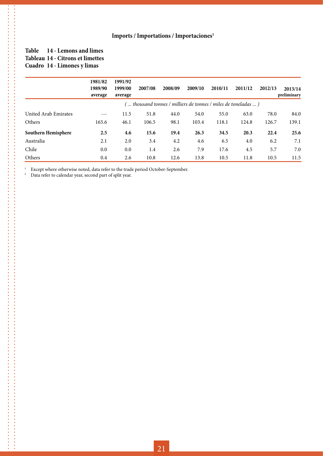#### **Table 14 - Lemons and limes Tableau 14 - Citrons et limettes Cuadro 14 - Limones y limas**

|                      | 1981/82<br>1989/90<br>average | 1991/92<br>1999/00<br>average | 2007/08                                                         | 2008/09 | 2009/10 | 2010/11 | 2011/12 | 2012/13 | 2013/14<br>preliminary |
|----------------------|-------------------------------|-------------------------------|-----------------------------------------------------------------|---------|---------|---------|---------|---------|------------------------|
|                      |                               |                               | (  thousand tonnes / milliers de tonnes / miles de toneladas  ) |         |         |         |         |         |                        |
| United Arab Emirates | $- - -$                       | 11.5                          | 51.8                                                            | 44.0    | 54.0    | 55.0    | 63.0    | 78.0    | 84.0                   |
| Others               | 165.6                         | 46.1                          | 106.5                                                           | 98.1    | 103.4   | 118.1   | 124.8   | 126.7   | 139.1                  |
| Southern Hemisphere  | 2.5                           | 4.6                           | 15.6                                                            | 19.4    | 26.3    | 34.5    | 20.3    | 22.4    | 25.6                   |
| Australia            | 2.1                           | 2.0                           | 3.4                                                             | 4.2     | 4.6     | 6.5     | 4.0     | 6.2     | 7.1                    |
| Chile                | 0.0                           | 0.0                           | 1.4                                                             | 2.6     | 7.9     | 17.6    | 4.5     | 5.7     | 7.0                    |
| Others               | 0.4                           | 2.6                           | 10.8                                                            | 12.6    | 13.8    | 10.5    | 11.8    | 10.5    | 11.5                   |

<sup>1</sup> Except where otherwise noted, data refer to the trade period October-September.<br><sup>2</sup> Data refer to calendar year, second part of split year.

Data refer to calendar year, second part of split year.

 $\frac{1}{2}$ 

**.** . . . . . . . . . . . . . . .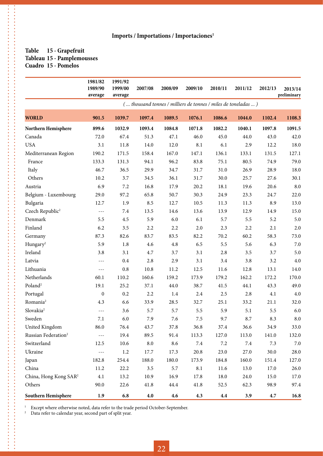#### **Table 15 - Grapefruit Tableau 15 - Pamplemousses Cuadro 15 - Pomelos**

**.** . . . . . . . . . . . . . . .

|                                   | 1981/82<br>1989/90   | 1991/92<br>1999/00 | 2007/08    | 2008/09 | 2009/10                                                       | 2010/11 | 2011/12 | 2012/13 | 2013/14<br>preliminary |
|-----------------------------------|----------------------|--------------------|------------|---------|---------------------------------------------------------------|---------|---------|---------|------------------------|
|                                   | average              | average            |            |         | ( thousand tonnes / milliers de tonnes / miles de toneladas ) |         |         |         |                        |
| <b>WORLD</b>                      | 901.5                | 1039.7             | 1097.4     | 1089.5  | 1076.1                                                        | 1086.6  | 1044.0  | 1102.4  | 1108.3                 |
| Northern Hemisphere               | 899.6                | 1032.9             | 1093.4     | 1084.8  | 1071.8                                                        | 1082.2  | 1040.1  | 1097.8  | 1091.5                 |
| Canada                            | 72.0                 | 67.4               | 51.3       | 47.1    | 46.0                                                          | 45.0    | 44.0    | 43.0    | 42.0                   |
| <b>USA</b>                        | 3.1                  | 11.8               | 14.0       | 12.0    | 8.1                                                           | 6.1     | 2.9     | 12.2    | 18.0                   |
| Mediterranean Region              | 190.2                | 171.5              | 158.4      | 167.0   | 147.1                                                         | 136.1   | 133.1   | 131.5   | 127.1                  |
| France                            | 133.3                | 131.3              | 94.1       | 96.2    | 83.8                                                          | 75.1    | 80.5    | 74.9    | 79.0                   |
| Italy                             | 46.7                 | 36.5               | 29.9       | 34.7    | 31.7                                                          | 31.0    | 26.9    | 28.9    | 18.0                   |
| Others                            | 10.2                 | 3.7                | 34.5       | 36.1    | 31.7                                                          | 30.0    | 25.7    | 27.6    | 30.1                   |
| Austria                           | 6.9                  | 7.2                | 16.8       | 17.9    | 20.2                                                          | 18.1    | 19.6    | 20.6    | 8.0                    |
| Belgium - Luxembourg              | 29.0                 | 97.2               | 65.8       | 50.7    | 30.3                                                          | 24.9    | 23.3    | 24.7    | 22.0                   |
| Bulgaria                          | 12.7                 | 1.9                | 8.5        | 12.7    | 10.5                                                          | 11.3    | 11.3    | 8.9     | 13.0                   |
| Czech Republic <sup>2</sup>       | $---$                | 7.4                | 13.5       | 14.6    | 13.6                                                          | 13.9    | 12.9    | 14.9    | 15.0                   |
| Denmark                           | 5.5                  | 4.5                | 5.9        | 6.0     | 6.1                                                           | 5.7     | 5.5     | 5.2     | 5.0                    |
| Finland                           | 6.2                  | 3.5                | 2.2        | 2.2     | 2.0                                                           | 2.3     | 2.2     | 2.1     | 2.0                    |
| Germany                           | 87.3                 | 82.6               | 83.7       | 83.5    | 82.2                                                          | 70.2    | 60.2    | 58.3    | 73.0                   |
| Hungary <sup>2</sup>              | 5.9                  | $1.8\,$            | 4.6        | 4.8     | 6.5                                                           | 5.5     | 5.6     | 6.3     | $7.0\,$                |
| Ireland                           | 3.8                  | 3.1                | $4.7\,$    | 3.7     | 3.1                                                           | 2.8     | 3.5     | 3.7     | 5.0                    |
| Latvia                            | $---$                | 0.4                | 2.8        | 2.9     | 3.1                                                           | 3.4     | 3.8     | 3.2     | 4.0                    |
| Lithuania                         | $---$                | 0.8                | 10.8       | 11.2    | 12.5                                                          | 11.6    | 12.8    | 13.1    | 14.0                   |
| Netherlands                       | 60.1                 | 110.2              | 160.6      | 159.2   | 173.9                                                         | 179.2   | 162.2   | 172.2   | 170.0                  |
| Poland <sup>2</sup>               | 19.1                 | 25.2               | 37.1       | 44.0    | 38.7                                                          | 41.5    | 44.1    | 43.3    | 49.0                   |
| Portugal                          | $\boldsymbol{0}$     | 0.2                | 2.2        | 1.4     | $2.4\,$                                                       | 2.5     | 2.8     | 4.1     | $4.0\,$                |
| Romania <sup>2</sup>              | 4.3                  | 6.6                | 33.9       | 28.5    | 32.7                                                          | 25.1    | 33.2    | 21.1    | 32.0                   |
| Slovakia <sup>2</sup>             | ---                  | 3.6                | 5.7        | 5.7     | 5.5                                                           | 5.9     | 5.1     | 5.5     | 6.0                    |
| Sweden                            | 7.1                  | 6.0                | 7.9        | 7.6     | 7.5                                                           | 9.7     | 8.7     | 8.3     | 8.0                    |
| United Kingdom                    | 86.0                 | 76.4               | 43.7       | 37.8    | 36.8                                                          | 37.4    | 36.6    | 34.9    | 33.0                   |
| Russian Federation <sup>2</sup>   | $\sim$ $\sim$ $\sim$ | 19.4               | 89.5       | 91.4    | 113.3                                                         | 127.0   | 113.0   | 141.0   | 132.0                  |
| Switzerland                       | 12.5                 | 10.6               | $\ \, 8.0$ | 8.6     | $7.4\,$                                                       | 7.2     | 7.4     | 7.3     | 7.0                    |
| Ukraine                           | $---$                | $1.2\,$            | 17.7       | 17.3    | 20.8                                                          | 23.0    | 27.0    | 30.0    | $28.0\,$               |
| Japan                             | 182.8                | 254.4              | 188.0      | 180.0   | 173.9                                                         | 184.8   | 160.0   | 151.4   | 127.0                  |
| China                             | 11.2                 | 22.2               | $3.5\,$    | 5.7     | 8.1                                                           | 11.6    | 13.0    | 17.0    | 26.0                   |
| China, Hong Kong SAR <sup>2</sup> | 4.1                  | 13.2               | 10.9       | 16.9    | 17.8                                                          | 18.0    | 24.0    | 15.0    | 17.0                   |
| Others                            | 90.0                 | 22.6               | 41.8       | 44.4    | 41.8                                                          | 52.5    | 62.3    | 98.9    | 97.4                   |
| Southern Hemisphere               | 1.9                  | 6.8                | 4.0        | 4.6     | 4.3                                                           | 4.4     | 3.9     | 4.7     | 16.8                   |

<sup>1</sup> Except where otherwise noted, data refer to the trade period October-September.<br><sup>2</sup> Data refer to calendar year, second part of split year.

Data refer to calendar year, second part of split year.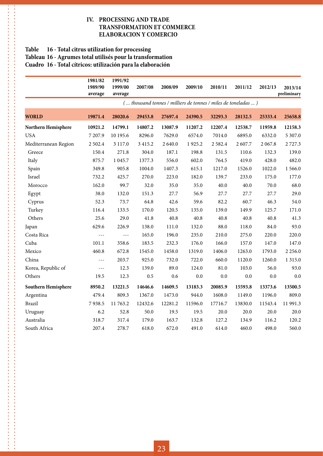#### **IV. PROCESSING AND TRADE TRANSFORMATION ET COMMERCE ELABORACION Y COMERCIO**

#### **Table 16 - Total citrus utilization for processing Tableau 16 - Agrumes total utilisés pour la transformation Cuadro 16 - Total cítricos: utilización para la elaboración**

 $\ddot{\phantom{a}}$  $\frac{1}{2}$ 

|                      | 1981/82<br>1989/90<br>average | 1991/92<br>1999/00<br>average | 2007/08     | 2008/09 | 2009/10                                                       | 2010/11     | 2011/12 | 2012/13   | 2013/14<br>preliminary |
|----------------------|-------------------------------|-------------------------------|-------------|---------|---------------------------------------------------------------|-------------|---------|-----------|------------------------|
|                      |                               |                               |             |         | ( thousand tonnes / milliers de tonnes / miles de toneladas ) |             |         |           |                        |
| <b>WORLD</b>         | 19871.4                       | 28020.6                       | 29453.8     | 27697.4 | 24390.5                                                       | 32293.3     | 28132.5 | 25333.4   | 25658.8                |
| Northern Hemisphere  | 10921.2                       | 14799.1                       | 14807.2     | 13087.9 | 11207.2                                                       | 12207.4     | 12538.7 | 11959.8   | 12158.3                |
| <b>USA</b>           | 7 207.9                       | 10 195.6                      | 8296.0      | 7629.0  | 6574.0                                                        | 7014.0      | 6895.0  | 6332.0    | 5 307.0                |
| Mediterranean Region | 2 502.4                       | 3 1 1 7 .0                    | 3 4 1 5 . 2 | 2 640.0 | 1925.2                                                        | 2 5 8 2 . 4 | 2607.7  | 2 0 6 7.8 | 2727.3                 |
| Greece               | 150.4                         | 271.8                         | 304.0       | 187.1   | 198.8                                                         | 131.5       | 110.6   | 132.3     | 139.0                  |
| Italy                | 875.7                         | 1 0 4 5 .7                    | 1377.3      | 556.0   | 602.0                                                         | 764.5       | 419.0   | 428.0     | 482.0                  |
| Spain                | 349.8                         | 905.8                         | 1004.0      | 1407.3  | 615.1                                                         | 1217.0      | 1526.0  | 1022.0    | 1 566.0                |
| Israel               | 732.2                         | 425.7                         | 270.0       | 223.0   | 182.0                                                         | 139.7       | 233.0   | 175.0     | 177.0                  |
| Morocco              | 162.0                         | 99.7                          | 32.0        | 35.0    | 35.0                                                          | 40.0        | 40.0    | 70.0      | 68.0                   |
| Egypt                | 38.0                          | 132.0                         | 151.3       | 27.7    | 56.9                                                          | 27.7        | 27.7    | 27.7      | 29.0                   |
| Cyprus               | 52.3                          | 73.7                          | 64.8        | 42.6    | 59.6                                                          | 82.2        | 60.7    | 46.3      | 54.0                   |
| Turkey               | 116.4                         | 133.5                         | 170.0       | 120.5   | 135.0                                                         | 139.0       | 149.9   | 125.7     | 171.0                  |
| Others               | 25.6                          | 29.0                          | 41.8        | 40.8    | 40.8                                                          | 40.8        | 40.8    | 40.8      | 41.3                   |
| Japan                | 629.6                         | 226.9                         | 138.0       | 111.0   | 132.0                                                         | 88.0        | 118.0   | 84.0      | 93.0                   |
| Costa Rica           | ---                           | $- - -$                       | 165.0       | 196.0   | 235.0                                                         | 210.0       | 275.0   | 220.0     | 220.0                  |
| Cuba                 | 101.1                         | 358.6                         | 183.5       | 232.3   | 176.0                                                         | 166.0       | 157.0   | 147.0     | 147.0                  |
| Mexico               | 460.8                         | 672.8                         | 1545.0      | 1458.0  | 1319.0                                                        | 1406.0      | 1263.0  | 1793.0    | 2 2 5 6 .0             |
| China                | $---$                         | 203.7                         | 925.0       | 732.0   | 722.0                                                         | 660.0       | 1120.0  | 1260.0    | 1 3 1 5 .0             |
| Korea, Republic of   | $- - -$                       | 12.3                          | 139.0       | 89.0    | 124.0                                                         | 81.0        | 103.0   | 56.0      | 93.0                   |
| Others               | 19.5                          | 12.3                          | 0.5         | 0.6     | 0.0                                                           | 0.0         | 0.0     | 0.0       | 0.0                    |
| Southern Hemisphere  | 8950.2                        | 13221.5                       | 14646.6     | 14609.5 | 13183.3                                                       | 20085.9     | 15593.8 | 13373.6   | 13500.5                |
| Argentina            | 479.4                         | 809.3                         | 1367.0      | 1473.0  | 944.0                                                         | 1608.0      | 1149.0  | 1196.0    | 809.0                  |
| Brazil               | 7938.5                        | 11763.2                       | 12432.6     | 12281.2 | 11596.0                                                       | 17716.7     | 13830.0 | 11543.4   | 11 991.3               |
| Uruguay              | 6.2                           | 52.8                          | 50.0        | 19.5    | 19.5                                                          | 20.0        | 20.0    | 20.0      | 20.0                   |
| Australia            | 318.7                         | 317.4                         | 179.0       | 163.7   | 132.8                                                         | 127.2       | 134.9   | 116.2     | 120.2                  |
| South Africa         | 207.4                         | 278.7                         | 618.0       | 672.0   | 491.0                                                         | 614.0       | 460.0   | 498.0     | 560.0                  |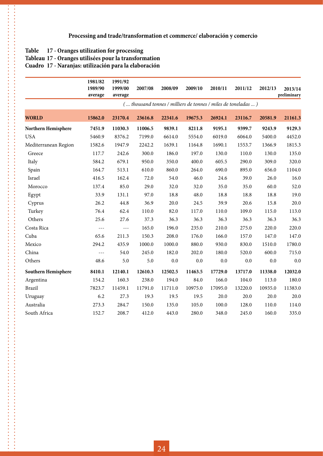#### **Table 17 - Oranges utilization for processing**

**.......**  $\frac{1}{2}$ 

#### **Tableau 17 - Oranges utilisées pour la transformation**

**Cuadro 17 - Naranjas: utilización para la elaboración**

|                      | 1981/82<br>1989/90<br>average | 1991/92<br>1999/00<br>average | 2007/08 | 2008/09 | 2009/10                                                       | 2010/11 | 2011/12 | 2012/13 | 2013/14<br>preliminary |
|----------------------|-------------------------------|-------------------------------|---------|---------|---------------------------------------------------------------|---------|---------|---------|------------------------|
|                      |                               |                               |         |         | ( thousand tonnes / milliers de tonnes / miles de toneladas ) |         |         |         |                        |
| <b>WORLD</b>         | 15862.0                       | 23170.4                       | 23616.8 | 22341.6 | 19675.3                                                       | 26924.1 | 23116.7 | 20581.9 | 21161.3                |
| Northern Hemisphere  | 7451.9                        | 11030.3                       | 11006.5 | 9839.1  | 8211.8                                                        | 9195.1  | 9399.7  | 9243.9  | 9129.3                 |
| <b>USA</b>           | 5460.9                        | 8376.2                        | 7199.0  | 6614.0  | 5554.0                                                        | 6019.0  | 6064.0  | 5400.0  | 4452.0                 |
| Mediterranean Region | 1582.6                        | 1947.9                        | 2242.2  | 1639.1  | 1164.8                                                        | 1690.1  | 1553.7  | 1366.9  | 1815.3                 |
| Greece               | 117.7                         | 242.6                         | 300.0   | 186.0   | 197.0                                                         | 130.0   | 110.0   | 130.0   | 135.0                  |
| Italy                | 584.2                         | 679.1                         | 950.0   | 350.0   | 400.0                                                         | 605.5   | 290.0   | 309.0   | 320.0                  |
| Spain                | 164.7                         | 513.1                         | 610.0   | 860.0   | 264.0                                                         | 690.0   | 895.0   | 656.0   | 1104.0                 |
| Israel               | 416.5                         | 162.4                         | 72.0    | 54.0    | 46.0                                                          | 24.6    | 39.0    | 26.0    | 16.0                   |
| Morocco              | 137.4                         | 85.0                          | 29.0    | 32.0    | 32.0                                                          | 35.0    | 35.0    | 60.0    | 52.0                   |
| Egypt                | 33.9                          | 131.1                         | 97.0    | 18.8    | 48.0                                                          | 18.8    | 18.8    | 18.8    | 19.0                   |
| Cyprus               | 26.2                          | 44.8                          | 36.9    | 20.0    | 24.5                                                          | 39.9    | 20.6    | 15.8    | 20.0                   |
| Turkey               | 76.4                          | 62.4                          | 110.0   | 82.0    | 117.0                                                         | 110.0   | 109.0   | 115.0   | 113.0                  |
| Others               | 25.6                          | 27.6                          | 37.3    | 36.3    | 36.3                                                          | 36.3    | 36.3    | 36.3    | 36.3                   |
| Costa Rica           | $---$                         | $- - -$                       | 165.0   | 196.0   | 235.0                                                         | 210.0   | 275.0   | 220.0   | 220.0                  |
| Cuba                 | 65.6                          | 211.3                         | 150.3   | 208.0   | 176.0                                                         | 166.0   | 157.0   | 147.0   | 147.0                  |
| Mexico               | 294.2                         | 435.9                         | 1000.0  | 1000.0  | 880.0                                                         | 930.0   | 830.0   | 1510.0  | 1780.0                 |
| China                | $---$                         | 54.0                          | 245.0   | 182.0   | 202.0                                                         | 180.0   | 520.0   | 600.0   | 715.0                  |
| Others               | 48.6                          | 5.0                           | 5.0     | $0.0\,$ | 0.0                                                           | 0.0     | $0.0\,$ | 0.0     | 0.0                    |
| Southern Hemisphere  | 8410.1                        | 12140.1                       | 12610.3 | 12502.5 | 11463.5                                                       | 17729.0 | 13717.0 | 11338.0 | 12032.0                |
| Argentina            | 154.2                         | 160.3                         | 238.0   | 194.0   | 84.0                                                          | 166.0   | 104.0   | 113.0   | 180.0                  |
| <b>Brazil</b>        | 7823.7                        | 11459.1                       | 11791.0 | 11711.0 | 10975.0                                                       | 17095.0 | 13220.0 | 10935.0 | 11383.0                |
| Uruguay              | 6.2                           | 27.3                          | 19.3    | 19.5    | 19.5                                                          | 20.0    | 20.0    | 20.0    | 20.0                   |
| Australia            | 273.3                         | 284.7                         | 150.0   | 135.0   | 105.0                                                         | 100.0   | 128.0   | 110.0   | 114.0                  |
| South Africa         | 152.7                         | 208.7                         | 412.0   | 443.0   | 280.0                                                         | 348.0   | 245.0   | 160.0   | 335.0                  |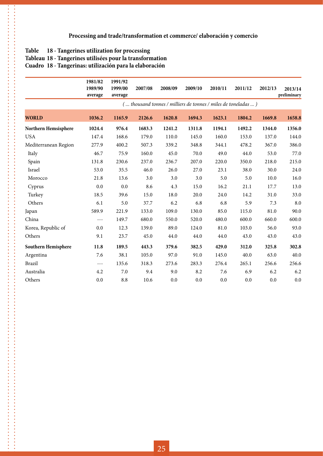#### **Table 18 - Tangerines utilization for processing**

 $\frac{1}{2}$ 

#### **Tableau 18 - Tangerines utilisées pour la transformation**

**Cuadro 18 - Tangerinas: utilización para la elaboración**

|                      | 1981/82<br>1989/90<br>average | 1991/92<br>1999/00<br>average | 2007/08 | 2008/09 | 2009/10 | 2010/11 | 2011/12                                                       | 2012/13 | 2013/14<br>preliminary |
|----------------------|-------------------------------|-------------------------------|---------|---------|---------|---------|---------------------------------------------------------------|---------|------------------------|
|                      |                               |                               |         |         |         |         | ( thousand tonnes / milliers de tonnes / miles de toneladas ) |         |                        |
| <b>WORLD</b>         | 1036.2                        | 1165.9                        | 2126.6  | 1620.8  | 1694.3  | 1623.1  | 1804.2                                                        | 1669.8  | 1658.8                 |
| Northern Hemsisphere | 1024.4                        | 976.4                         | 1683.3  | 1241.2  | 1311.8  | 1194.1  | 1492.2                                                        | 1344.0  | 1356.0                 |
| <b>USA</b>           | 147.4                         | 168.6                         | 179.0   | 110.0   | 145.0   | 160.0   | 153.0                                                         | 137.0   | 144.0                  |
| Mediterranean Region | 277.9                         | 400.2                         | 507.3   | 339.2   | 348.8   | 344.1   | 478.2                                                         | 367.0   | 386.0                  |
| Italy                | 46.7                          | 75.9                          | 160.0   | 45.0    | 70.0    | 49.0    | 44.0                                                          | 53.0    | 77.0                   |
| Spain                | 131.8                         | 230.6                         | 237.0   | 236.7   | 207.0   | 220.0   | 350.0                                                         | 218.0   | 215.0                  |
| Israel               | 53.0                          | 35.5                          | 46.0    | 26.0    | 27.0    | 23.1    | 38.0                                                          | 30.0    | 24.0                   |
| Morocco              | 21.8                          | 13.6                          | 3.0     | 3.0     | 3.0     | 5.0     | 5.0                                                           | 10.0    | 16.0                   |
| Cyprus               | 0.0                           | 0.0                           | 8.6     | 4.3     | 15.0    | 16.2    | 21.1                                                          | 17.7    | 13.0                   |
| Turkey               | 18.5                          | 39.6                          | 15.0    | 18.0    | 20.0    | 24.0    | 14.2                                                          | 31.0    | 33.0                   |
| Others               | 6.1                           | 5.0                           | 37.7    | 6.2     | 6.8     | 6.8     | 5.9                                                           | 7.3     | 8.0                    |
| Japan                | 589.9                         | 221.9                         | 133.0   | 109.0   | 130.0   | 85.0    | 115.0                                                         | 81.0    | 90.0                   |
| China                | ---                           | 149.7                         | 680.0   | 550.0   | 520.0   | 480.0   | 600.0                                                         | 660.0   | 600.0                  |
| Korea, Republic of   | 0.0                           | 12.3                          | 139.0   | 89.0    | 124.0   | 81.0    | 103.0                                                         | 56.0    | 93.0                   |
| Others               | 9.1                           | 23.7                          | 45.0    | 44.0    | 44.0    | 44.0    | 43.0                                                          | 43.0    | 43.0                   |
| Southern Hemisphere  | 11.8                          | 189.5                         | 443.3   | 379.6   | 382.5   | 429.0   | 312.0                                                         | 325.8   | 302.8                  |
| Argentina            | 7.6                           | 38.1                          | 105.0   | 97.0    | 91.0    | 145.0   | 40.0                                                          | 63.0    | 40.0                   |
| <b>Brazil</b>        | $---$                         | 135.6                         | 318.3   | 273.6   | 283.3   | 276.4   | 265.1                                                         | 256.6   | 256.6                  |
| Australia            | 4.2                           | 7.0                           | 9.4     | 9.0     | 8.2     | 7.6     | 6.9                                                           | 6.2     | 6.2                    |
| Others               | $0.0\,$                       | 8.8                           | 10.6    | 0.0     | 0.0     | 0.0     | 0.0                                                           | $0.0\,$ | 0.0                    |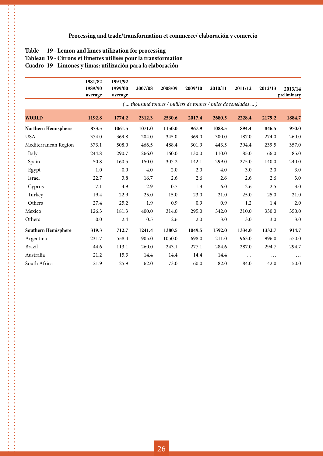#### **Table 19 - Lemon and limes utilization for processing**

 $\ddot{\cdot}$ 

**Tableau 19 - Citrons et limettes utilisés pour la transformation**

**Cuadro 19 - Limones y limas: utilización para la elaboración**

|                      | 1981/82<br>1989/90<br>average | 1991/92<br>1999/00<br>average | 2007/08 | 2008/09 | 2009/10 | 2010/11 | 2011/12                                                       | 2012/13  | 2013/14<br>preliminary |
|----------------------|-------------------------------|-------------------------------|---------|---------|---------|---------|---------------------------------------------------------------|----------|------------------------|
|                      |                               |                               |         |         |         |         | ( thousand tonnes / milliers de tonnes / miles de toneladas ) |          |                        |
| <b>WORLD</b>         | 1192.8                        | 1774.2                        | 2312.3  | 2530.6  | 2017.4  | 2680.5  | 2228.4                                                        | 2179.2   | 1884.7                 |
| Northern Hemisphere  | 873.5                         | 1061.5                        | 1071.0  | 1150.0  | 967.9   | 1088.5  | 894.4                                                         | 846.5    | 970.0                  |
| <b>USA</b>           | 374.0                         | 369.8                         | 204.0   | 345.0   | 369.0   | 300.0   | 187.0                                                         | 274.0    | 260.0                  |
| Mediterranean Region | 373.1                         | 508.0                         | 466.5   | 488.4   | 301.9   | 443.5   | 394.4                                                         | 239.5    | 357.0                  |
| Italy                | 244.8                         | 290.7                         | 266.0   | 160.0   | 130.0   | 110.0   | 85.0                                                          | 66.0     | 85.0                   |
| Spain                | 50.8                          | 160.5                         | 150.0   | 307.2   | 142.1   | 299.0   | 275.0                                                         | 140.0    | 240.0                  |
| Egypt                | 1.0                           | 0.0                           | $4.0\,$ | 2.0     | 2.0     | $4.0\,$ | 3.0                                                           | 2.0      | 3.0                    |
| Israel               | 22.7                          | 3.8                           | 16.7    | 2.6     | 2.6     | 2.6     | 2.6                                                           | 2.6      | $3.0\,$                |
| Cyprus               | 7.1                           | 4.9                           | 2.9     | 0.7     | 1.3     | 6.0     | 2.6                                                           | 2.5      | 3.0                    |
| Turkey               | 19.4                          | 22.9                          | 25.0    | 15.0    | 23.0    | 21.0    | 25.0                                                          | 25.0     | 21.0                   |
| Others               | 27.4                          | 25.2                          | 1.9     | 0.9     | 0.9     | 0.9     | 1.2                                                           | 1.4      | 2.0                    |
| Mexico               | 126.3                         | 181.3                         | 400.0   | 314.0   | 295.0   | 342.0   | 310.0                                                         | 330.0    | 350.0                  |
| Others               | 0.0                           | 2.4                           | 0.5     | 2.6     | 2.0     | 3.0     | 3.0                                                           | 3.0      | 3.0                    |
| Southern Hemisphere  | 319.3                         | 712.7                         | 1241.4  | 1380.5  | 1049.5  | 1592.0  | 1334.0                                                        | 1332.7   | 914.7                  |
| Argentina            | 231.7                         | 558.4                         | 905.0   | 1050.0  | 698.0   | 1211.0  | 963.0                                                         | 996.0    | 570.0                  |
| <b>Brazil</b>        | 44.6                          | 113.1                         | 260.0   | 243.1   | 277.1   | 284.6   | 287.0                                                         | 294.7    | 294.7                  |
| Australia            | 21.2                          | 15.3                          | 14.4    | 14.4    | 14.4    | 14.4    | $\cdots$                                                      | $\cdots$ | $\ddots$               |
| South Africa         | 21.9                          | 25.9                          | 62.0    | 73.0    | 60.0    | 82.0    | 84.0                                                          | 42.0     | 50.0                   |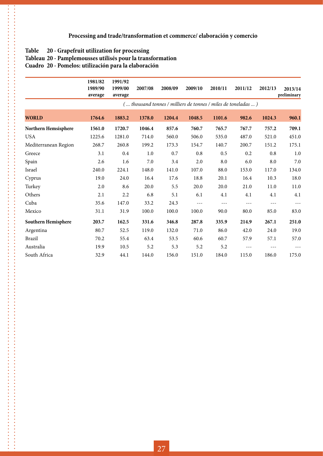### **Table 20 - Grapefruit utilization for processing**

. . . . . . . . .  $\frac{1}{2}$ 

### **Tableau 20 - Pamplemousses utilisés pour la transformation**

#### **Cuadro 20 - Pomelos: utilización para la elaboración**

|                      | 1981/82<br>1989/90<br>average | 1991/92<br>1999/00<br>average | 2007/08 | 2008/09 | 2009/10 | 2010/11 | 2011/12                                                       | 2012/13 | 2013/14<br>preliminary |
|----------------------|-------------------------------|-------------------------------|---------|---------|---------|---------|---------------------------------------------------------------|---------|------------------------|
|                      |                               |                               |         |         |         |         | ( thousand tonnes / milliers de tonnes / miles de toneladas ) |         |                        |
| <b>WORLD</b>         | 1764.6                        | 1883.2                        | 1378.0  | 1204.4  | 1048.5  | 1101.6  | 982.6                                                         | 1024.3  | 960.1                  |
| Northern Hemsisphere | 1561.0                        | 1720.7                        | 1046.4  | 857.6   | 760.7   | 765.7   | 767.7                                                         | 757.2   | 709.1                  |
| <b>USA</b>           | 1225.6                        | 1281.0                        | 714.0   | 560.0   | 506.0   | 535.0   | 487.0                                                         | 521.0   | 451.0                  |
| Mediterranean Region | 268.7                         | 260.8                         | 199.2   | 173.3   | 154.7   | 140.7   | 200.7                                                         | 151.2   | 175.1                  |
| Greece               | 3.1                           | 0.4                           | 1.0     | 0.7     | 0.8     | 0.5     | 0.2                                                           | 0.8     | 1.0                    |
| Spain                | 2.6                           | 1.6                           | 7.0     | 3.4     | 2.0     | 8.0     | 6.0                                                           | 8.0     | 7.0                    |
| Israel               | 240.0                         | 224.1                         | 148.0   | 141.0   | 107.0   | 88.0    | 153.0                                                         | 117.0   | 134.0                  |
| Cyprus               | 19.0                          | 24.0                          | 16.4    | 17.6    | 18.8    | 20.1    | 16.4                                                          | 10.3    | 18.0                   |
| Turkey               | 2.0                           | 8.6                           | 20.0    | 5.5     | 20.0    | 20.0    | 21.0                                                          | 11.0    | 11.0                   |
| Others               | 2.1                           | 2.2                           | 6.8     | 5.1     | 6.1     | 4.1     | 4.1                                                           | 4.1     | 4.1                    |
| Cuba                 | 35.6                          | 147.0                         | 33.2    | 24.3    | $---$   | $---$   | $- - -$                                                       | $- - -$ | $- - -$                |
| Mexico               | 31.1                          | 31.9                          | 100.0   | 100.0   | 100.0   | 90.0    | 80.0                                                          | 85.0    | 83.0                   |
| Southern Hemisphere  | 203.7                         | 162.5                         | 331.6   | 346.8   | 287.8   | 335.9   | 214.9                                                         | 267.1   | 251.0                  |
| Argentina            | 80.7                          | 52.5                          | 119.0   | 132.0   | 71.0    | 86.0    | 42.0                                                          | 24.0    | 19.0                   |
| <b>Brazil</b>        | 70.2                          | 55.4                          | 63.4    | 53.5    | 60.6    | 60.7    | 57.9                                                          | 57.1    | 57.0                   |
| Australia            | 19.9                          | 10.5                          | 5.2     | 5.3     | 5.2     | 5.2     | $---$                                                         |         | $---$                  |
| South Africa         | 32.9                          | 44.1                          | 144.0   | 156.0   | 151.0   | 184.0   | 115.0                                                         | 186.0   | 175.0                  |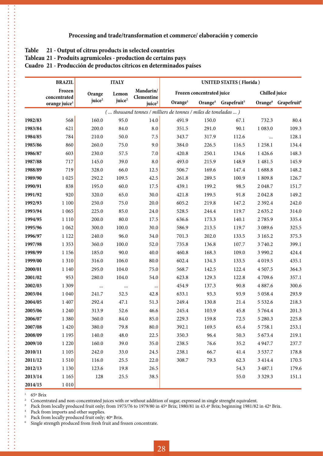#### **Table 21 - Output of citrus products in selected countries**

**Tableau 21 - Produits agrumicoles - production de certains pays**

**Cuadro 21 - Producción de productos cítricos en determinados países**

|         | <b>BRAZIL</b>                             |                    | <b>ITALY</b>       |                                  |                                                               |                           | <b>UNITED STATES (Florida)</b>              |               |                                             |
|---------|-------------------------------------------|--------------------|--------------------|----------------------------------|---------------------------------------------------------------|---------------------------|---------------------------------------------|---------------|---------------------------------------------|
|         | Frozen                                    | Orange             | Lemon              | Mandarin/                        |                                                               | Frozen concentrated juice |                                             | Chilled juice |                                             |
|         | concentrated<br>orange juice <sup>1</sup> | juice <sup>2</sup> | juice <sup>2</sup> | Clementine<br>juice <sup>2</sup> | Orange $3$                                                    |                           | Orange <sup>4</sup> Grapefruit <sup>5</sup> |               | Orange <sup>6</sup> Grapefruit <sup>6</sup> |
|         |                                           |                    |                    |                                  | ( thousand tonnes / milliers de tonnes / miles de toneladas ) |                           |                                             |               |                                             |
| 1982/83 | 568                                       | 160.0              | 95.0               | 14.0                             | 491.9                                                         | 150.0                     | 67.1                                        | 732.3         | 80.4                                        |
| 1983/84 | 621                                       | 200.0              | 84.0               | 8.0                              | 351.5                                                         | 291.0                     | 90.1                                        | 1 083.0       | 109.3                                       |
| 1984/85 | 784                                       | 210.0              | 50.0               | $7.5\,$                          | 343.7                                                         | 317.9                     | 112.6                                       | $\cdots$      | 128.1                                       |
| 1985/86 | 860                                       | 260.0              | 75.0               | 9.0                              | 384.0                                                         | 226.5                     | 116.5                                       | 1 2 5 8 .1    | 134.4                                       |
| 1986/87 | 603                                       | 230.0              | 57.5               | 7.0                              | 420.8                                                         | 250.1                     | 134.6                                       | 1 4 2 6 . 6   | 148.3                                       |
| 1987/88 | 717                                       | 145.0              | 39.0               | $\boldsymbol{8.0}$               | 493.0                                                         | 215.9                     | 148.9                                       | 1 481.5       | 145.9                                       |
| 1988/89 | 719                                       | 328.0              | 66.0               | 12.5                             | 506.7                                                         | 169.6                     | 147.4                                       | 1688.8        | 148.2                                       |
| 1989/90 | 1 0 25                                    | 292.2              | 109.5              | 42.5                             | 261.8                                                         | 289.5                     | 100.9                                       | 1 809.8       | 126.7                                       |
| 1990/91 | 838                                       | 195.0              | 60.0               | 17.5                             | 439.1                                                         | 199.2                     | 98.5                                        | 2 0 48.7      | 151.7                                       |
| 1991/92 | 920                                       | 320.0              | 65.0               | 30.0                             | 421.8                                                         | 199.5                     | 91.8                                        | 2 042.8       | 149.2                                       |
| 1992/93 | 1 100                                     | 250.0              | 75.0               | 20.0                             | 605.2                                                         | 219.8                     | 147.2                                       | 2 3 9 2.4     | 242.0                                       |
| 1993/94 | 1 0 6 5                                   | 225.0              | 85.0               | 24.0                             | 528.5                                                         | 244.4                     | 119.7                                       | 2635.2        | 314.0                                       |
| 1994/95 | 1 1 1 0                                   | 200.0              | 80.0               | 17.5                             | 636.6                                                         | 173.3                     | 140.1                                       | 2785.9        | 335.4                                       |
| 1995/96 | 1 0 6 2                                   | 300.0              | 100.0              | 30.0                             | 586.9                                                         | 213.5                     | 119.7                                       | 3 0 8 9.6     | 325.5                                       |
| 1996/97 | 1 1 2 2                                   | 240.0              | 96.0               | 34.0                             | 701.3                                                         | 202.0                     | 133.5                                       | 3 1 6 5 .2    | 375.3                                       |
| 1997/98 | 1 3 5 3                                   | 360.0              | 100.0              | 52.0                             | 735.8                                                         | 136.8                     | 107.7                                       | 3740.2        | 399.1                                       |
| 1998/99 | 1 1 5 6                                   | 185.0              | 90.0               | 40.0                             | 460.8                                                         | 168.3                     | 109.0                                       | 3 9 9 0.2     | 424.4                                       |
| 1999/00 | 1310                                      | 316.0              | 106.0              | 80.0                             | 602.4                                                         | 134.3                     | 133.5                                       | 4 0 1 9.5     | 435.1                                       |
| 2000/01 | 1 1 4 0                                   | 295.0              | 104.0              | 75.0                             | 568.7                                                         | 142.5                     | 122.4                                       | 4 5 0 7.5     | 364.3                                       |
| 2001/02 | 953                                       | 280.0              | 104.0              | 54.0                             | 623.8                                                         | 129.3                     | 122.8                                       | 4709.6        | 357.1                                       |
| 2002/03 | 1 3 0 9                                   | $\ldots$           | $\cdots$           | $\cdots$                         | 454.9                                                         | 137.3                     | 90.8                                        | 4 8 8 7.6     | 300.6                                       |
| 2003/04 | 1 0 4 0                                   | 241.7              | 52.5               | 42.8                             | 633.1                                                         | 93.3                      | 93.9                                        | 5 0 5 8.4     | 293.9                                       |
| 2004/05 | 1 407                                     | 292.4              | 47.1               | 51.3                             | 249.4                                                         | 130.8                     | 21.4                                        | 5 5 3 2.6     | 218.3                                       |
| 2005/06 | 1 2 4 0                                   | 313.9              | 52.6               | 46.6                             | 245.4                                                         | 103.9                     | 45.8                                        | 5764.4        | 201.3                                       |
| 2006/07 | 1380                                      | 360.0              | 84.0               | 85.0                             | 229.3                                                         | 159.8                     | 72.5                                        | 5 2 8 0.3     | 225.8                                       |
| 2007/08 | 1420                                      | 380.0              | 79.8               | 80.0                             | 392.1                                                         | 169.5                     | 65.4                                        | 5 7 5 8.1     | 253.1                                       |
| 2008/09 | 1 1 9 5                                   | 140.0              | 48.0               | 22.5                             | 350.3                                                         | 96.4                      | 50.3                                        | 5 673.4       | 219.1                                       |
| 2009/10 | 1 2 2 0                                   | 160.0              | 39.0               | 35.0                             | 238.5                                                         | 76.6                      | 35.2                                        | 4947.7        | 237.7                                       |
| 2010/11 | 1 1 0 5                                   | 242.0              | 33.0               | 24.5                             | 238.1                                                         | 66.7                      | 41.4                                        | 3 5 3 7 .7    | 178.8                                       |
| 2011/12 | 1510                                      | 116.0              | 25.5               | 22.0                             | 308.7                                                         | 79.3                      | 62.3                                        | 3 4 1 4 .4    | 170.5                                       |
| 2012/13 | 1 1 3 0                                   | 123.6              | 19.8               | 26.5                             |                                                               |                           | 54.3                                        | 3 4 8 7 . 1   | 179.6                                       |
| 2013/14 | 1 1 6 5                                   | 128                | 25.5               | 38.5                             |                                                               |                           | 55.0                                        | 3 3 2 9 . 3   | 151.1                                       |
| 2014/15 | 1010                                      |                    |                    |                                  |                                                               |                           |                                             |               |                                             |

 $1\quad 65^\circ$  Brix

<sup>2</sup> Concentrated and non-concentrated juices with or without addition of sugar, expressed in single strenght equivalent.

<sup>3</sup> Pack from locally produced fruit only; from 1975/76 to 1979/80 in 45° Brix; 1980/81 in 43.4° Brix; beginning 1981/82 in 42° Brix.

<sup>4</sup> Pack from imports and other supplies.<br><sup>5</sup> Pack from locally produced fruit only:

<sup>5</sup> Pack from locally produced fruit only; 40° Brix.<br><sup>6</sup> Single strength produced from fresh fruit and fr

Single strength produced from fresh fruit and frozen concentrate.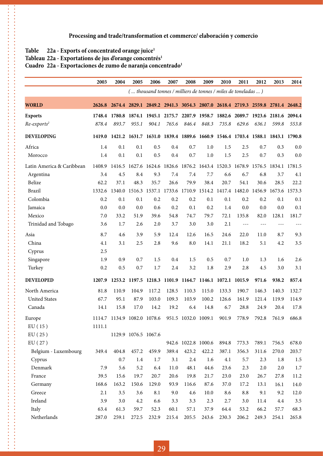#### Table 22a - Exports of concentrated orange juice<sup>1</sup>

 $\ddot{\phantom{a}}$ 

#### Tableau 22a - Exportations de jus d'orange concentrés<sup>1</sup>

#### **Cuadro 22a - Exportaciones de zumo de naranja concentrado1**

|                           | 2003   | 2004                                                                                | 2005                 | 2006  | 2007                                                                         | 2008                | 2009                | 2010  | 2011       | 2012  | 2013  | 2014  |
|---------------------------|--------|-------------------------------------------------------------------------------------|----------------------|-------|------------------------------------------------------------------------------|---------------------|---------------------|-------|------------|-------|-------|-------|
|                           |        |                                                                                     |                      |       | ( thousand tonnes / milliers de tonnes / miles de toneladas )                |                     |                     |       |            |       |       |       |
| <b>WORLD</b>              |        | 2626.8 2674.4 2829.1 2849.2 2941.3 3054.3 2807.0 2618.4 2719.3 2559.8 2781.4 2648.2 |                      |       |                                                                              |                     |                     |       |            |       |       |       |
| <b>Exports</b>            |        | 1748.4 1780.8 1874.1 1945.1 2175.7 2207.9 1958.7 1882.6 2089.7 1923.6 2181.6 2094.4 |                      |       |                                                                              |                     |                     |       |            |       |       |       |
| $Re-exports2$             | 878.4  | 893.7                                                                               | 955.1                | 904.1 | 765.6                                                                        | 846.4               | 848.3               | 735.8 | 629.6      | 636.1 | 599.8 | 553.8 |
| <b>DEVELOPING</b>         | 1419.0 |                                                                                     |                      |       | 1421.2 1631.7 1631.0 1839.4 1889.6 1660.9 1546.4 1703.4 1588.1 1843.1 1790.8 |                     |                     |       |            |       |       |       |
| Africa                    | 1.4    | 0.1                                                                                 | 0.1                  | 0.5   | 0.4                                                                          | 0.7                 | 1.0                 | 1.5   | 2.5        | 0.7   | 0.3   | 0.0   |
| Morocco                   | 1.4    | 0.1                                                                                 | 0.1                  | 0.5   | 0.4                                                                          | 0.7                 | 1.0                 | 1.5   | 2.5        | 0.7   | 0.3   | 0.0   |
| Latin America & Caribbean | 1408.9 | 1416.5 1627.6 1624.6 1826.6 1876.2 1643.4 1520.3 1678.9 1576.5 1834.1 1781.5        |                      |       |                                                                              |                     |                     |       |            |       |       |       |
| Argentina                 | 3.4    | 4.5                                                                                 | 8.4                  | 9.3   | 7.4                                                                          | 7.4                 | 7.7                 | 6.6   | 6.7        | 6.8   | 3.7   | 4.1   |
| Belize                    | 62.2   | 37.1                                                                                | 48.3                 | 35.7  | 26.6                                                                         | 79.9                | 38.4                | 20.7  | 54.1       | 30.6  | 28.5  | 22.2  |
| Brazil                    | 1332.6 | 1340.0 1516.3                                                                       |                      |       | 1537.1 1733.6 1710.9 1514.2 1417.4 1482.0 1456.9 1673.6 1573.3               |                     |                     |       |            |       |       |       |
| Colombia                  | 0.2    | 0.1                                                                                 | 0.1                  | 0.2   | 0.2                                                                          | 0.2                 | 0.1                 | 0.1   | 0.2        | 0.2   | 0.1   | 0.1   |
| Jamaica                   | 0.0    | 0.0                                                                                 | 0.0                  | 0.6   | 0.2                                                                          | 0.1                 | 0.2                 | 1.4   | 0.0        | 0.0   | 0.0   | 0.1   |
| Mexico                    | 7.0    | 33.2                                                                                | 51.9                 | 39.6  | 54.8                                                                         | 74.7                | 79.7                | 72.1  | 135.8      | 82.0  | 128.1 | 181.7 |
| Trinidad and Tobago       | 3.6    | 1.7                                                                                 | 2.6                  | 2.0   | 3.7                                                                          | 3.0                 | 3.0                 | 2.1   | $- - -$    | $---$ | $---$ |       |
| Asia                      | 8.7    | 4.6                                                                                 | 3.9                  | 5.9   | 12.4                                                                         | 12.6                | 16.5                | 24.6  | 22.0       | 11.0  | 8.7   | 9.3   |
| China                     | 4.1    | 3.1                                                                                 | 2.5                  | 2.8   | 9.6                                                                          | 8.0                 | 14.1                | 21.1  | 18.2       | 5.1   | 4.2   | 3.5   |
| Cyprus                    | 2.5    |                                                                                     |                      |       |                                                                              |                     |                     |       |            |       |       |       |
| Singapore                 | 1.9    | 0.9                                                                                 | 0.7                  | 1.5   | 0.4                                                                          | 1.5                 | 0.5                 | 0.7   | 1.0        | 1.3   | 1.6   | 2.6   |
| Turkey                    | 0.2    | 0.5                                                                                 | 0.7                  | 1.7   | 2.4                                                                          | 3.2                 | 1.8                 | 2.9   | 2.8        | 4.5   | 3.0   | 3.1   |
| <b>DEVELOPED</b>          | 1207.9 |                                                                                     |                      |       | 1253.2 1197.5 1218.3 1101.9 1164.7 1146.1 1072.1 1015.9                      |                     |                     |       |            | 971.6 | 938.2 | 857.4 |
| North America             | 81.8   | 110.9                                                                               | 104.9                | 117.2 | 128.5                                                                        | 110.3               | 115.0               | 133.3 | 190.7      | 146.3 | 140.3 | 132.7 |
| <b>United States</b>      | 67.7   | 95.1                                                                                | 87.9                 | 103.0 | 109.3                                                                        | 103.9               | 100.2               | 126.6 | 161.9      | 121.4 | 119.9 | 114.9 |
| Canada                    | 14.1   | 15.8                                                                                | 17.0                 | 14.2  | 19.2                                                                         | 6.4                 | 14.8                | 6.7   | 28.8       | 24.9  | 20.4  | 17.8  |
| Europe                    |        | 1114.7 1134.9 1082.0 1078.6                                                         |                      |       |                                                                              | 951.5 1032.0 1009.1 |                     | 901.9 | 778.9      | 792.8 | 761.9 | 686.8 |
| EU(15)                    | 1111.1 |                                                                                     |                      |       |                                                                              |                     |                     |       |            |       |       |       |
| EU(25)                    |        |                                                                                     | 1129.9 1076.5 1067.6 |       |                                                                              |                     |                     |       |            |       |       |       |
| EU(27)                    |        |                                                                                     |                      |       |                                                                              |                     | 942.6 1022.8 1000.6 | 894.8 | 773.3      | 789.1 | 756.5 | 678.0 |
| Belgium - Luxembourg      | 349.4  | 404.8                                                                               | 457.2                | 459.9 | 389.4                                                                        | 423.2               | 422.2               | 387.1 | 356.3      | 311.6 | 270.0 | 203.7 |
| Cyprus                    |        | 0.7                                                                                 | 1.4                  | 1.7   | 3.1                                                                          | 2.4                 | 1.6                 | 4.1   | 5.7        | 2.3   | 1.8   | 1.5   |
| Denmark                   | 7.9    | 5.6                                                                                 | 5.2                  | 6.4   | 11.0                                                                         | 48.1                | 44.6                | 23.6  | 2.3        | 2.0   | 2.0   | 1.7   |
| France                    | 39.5   | 15.6                                                                                | 19.7                 | 20.7  | 20.6                                                                         | 19.8                | 21.7                | 23.0  | 23.0       | 26.7  | 27.8  | 11.2  |
| Germany                   | 168.6  | 163.2                                                                               | 150.6                | 129.0 | 93.9                                                                         | 116.6               | 87.6                | 37.0  | 17.2       | 13.1  | 16.1  | 14.0  |
| Greece                    | 2.1    | $3.5\,$                                                                             | 3.6                  | 8.1   | 9.0                                                                          | 4.6                 | 10.0                | 8.6   | $\ \, 8.8$ | 9.1   | 9.2   | 12.0  |
| Ireland                   | 3.9    | 3.0                                                                                 | 4.2                  | 6.6   | 3.3                                                                          | 3.3                 | 2.3                 | 2.7   | 3.0        | 11.4  | 4.4   | 3.5   |
| Italy                     | 63.4   | 61.3                                                                                | 59.7                 | 52.3  | 60.1                                                                         | 57.1                | 37.9                | 64.4  | 53.2       | 66.2  | 57.7  | 68.3  |
| Netherlands               | 287.0  | 259.1                                                                               | 272.5                | 232.9 | 215.4                                                                        | 205.5               | 243.6               | 230.3 | 206.2      | 249.3 | 254.1 | 265.8 |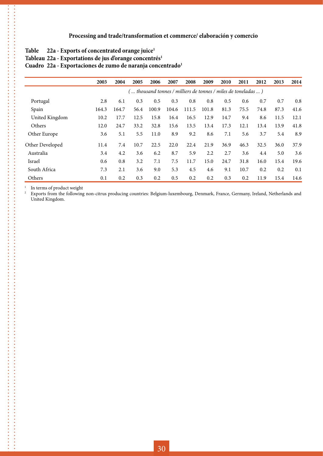#### Table 22a - Exports of concentrated orange juice<sup>1</sup>

#### Tableau 22a - Exportations de jus d'orange concentrés<sup>1</sup>

#### Cuadro 22a - Exportaciones de zumo de naranja concentrado<sup>1</sup>

|                 | 2003  | 2004  | 2005 | 2006  | 2007  | 2008  | 2009                                                            | 2010 | 2011 | 2012 | 2013 | 2014 |
|-----------------|-------|-------|------|-------|-------|-------|-----------------------------------------------------------------|------|------|------|------|------|
|                 |       |       |      |       |       |       | (  thousand tonnes / milliers de tonnes / miles de toneladas  ) |      |      |      |      |      |
| Portugal        | 2.8   | 6.1   | 0.3  | 0.5   | 0.3   | 0.8   | 0.8                                                             | 0.5  | 0.6  | 0.7  | 0.7  | 0.8  |
| Spain           | 164.3 | 164.7 | 56.4 | 100.9 | 104.6 | 111.5 | 101.8                                                           | 81.3 | 75.5 | 74.8 | 87.3 | 41.6 |
| United Kingdom  | 10.2  | 17.7  | 12.5 | 15.8  | 16.4  | 16.5  | 12.9                                                            | 14.7 | 9.4  | 8.6  | 11.5 | 12.1 |
| Others          | 12.0  | 24.7  | 33.2 | 32.8  | 15.6  | 13.5  | 13.4                                                            | 17.3 | 12.1 | 13.4 | 13.9 | 41.8 |
| Other Europe    | 3.6   | 5.1   | 5.5  | 11.0  | 8.9   | 9.2   | 8.6                                                             | 7.1  | 5.6  | 3.7  | 5.4  | 8.9  |
| Other Developed | 11.4  | 7.4   | 10.7 | 22.5  | 22.0  | 22.4  | 21.9                                                            | 36.9 | 46.3 | 32.5 | 36.0 | 37.9 |
| Australia       | 3.4   | 4.2   | 3.6  | 6.2   | 8.7   | 5.9   | 2.2                                                             | 2.7  | 3.6  | 4.4  | 5.0  | 3.6  |
| Israel          | 0.6   | 0.8   | 3.2  | 7.1   | 7.5   | 11.7  | 15.0                                                            | 24.7 | 31.8 | 16.0 | 15.4 | 19.6 |
| South Africa    | 7.3   | 2.1   | 3.6  | 9.0   | 5.3   | 4.5   | 4.6                                                             | 9.1  | 10.7 | 0.2  | 0.2  | 0.1  |
| Others          | 0.1   | 0.2   | 0.3  | 0.2   | 0.5   | 0.2   | 0.2                                                             | 0.3  | 0.2  | 11.9 | 15.4 | 14.6 |

<sup>1</sup> In terms of product weight<br><sup>2</sup> Exports from the following

,,,,,,,,,,,,,,,,,,,,,,,,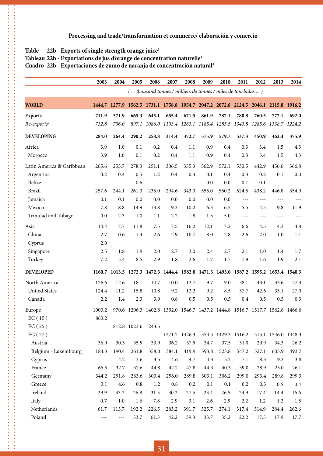#### Table 22b - Exports of single strength orange juice<sup>1</sup>

 $\ddot{\phantom{a}}$ 

#### Tableau 22b - Exportations de jus d'orange de concentration naturelle<sup>1</sup>

#### **Cuadro 22b - Exportaciones de zumo de naranja de concentración natural1**

|                           | 2003    | 2004    | 2005                                            | 2006  | 2007  | 2008                                                          | 2009  | 2010  | 2011  | 2012  | 2013                                                                         | 2014    |
|---------------------------|---------|---------|-------------------------------------------------|-------|-------|---------------------------------------------------------------|-------|-------|-------|-------|------------------------------------------------------------------------------|---------|
|                           |         |         |                                                 |       |       | ( thousand tonnes / milliers de tonnes / miles de toneladas ) |       |       |       |       |                                                                              |         |
| <b>WORLD</b>              | 1444.7  |         |                                                 |       |       |                                                               |       |       |       |       | 1277.9 1562.5 1731.1 1758.8 1954.7 2047.2 2072.6 2124.5 2046.1 2115.8 1916.2 |         |
| <b>Exports</b>            | 711.9   | 571.9   | 665.3                                           | 645.1 | 655.4 | 671.5                                                         | 861.9 | 787.1 | 780.8 | 760.5 | 777.1                                                                        | 692.0   |
| $Re-exports2$             | 732.8   | 706.0   |                                                 |       |       | 897.1 1086.0 1103.4 1283.1 1185.4 1285.5                      |       |       |       |       | 1343.8 1285.6 1338.7 1224.2                                                  |         |
| <b>DEVELOPING</b>         | 284.0   | 264.4   | 290.2                                           | 258.8 | 314.4 | 372.7                                                         | 575.9 | 579.7 | 537.3 | 450.9 | 462.4                                                                        | 375.9   |
| Africa                    | 3.9     | 1.0     | 0.1                                             | 0.2   | 0.4   | 1.1                                                           | 0.9   | 0.4   | 0.3   | 3.4   | 1.5                                                                          | 4.3     |
| Morocco                   | 3.9     | 1.0     | 0.1                                             | 0.2   | 0.4   | 1.1                                                           | 0.9   | 0.4   | 0.3   | 3.4   | 1.5                                                                          | 4.3     |
| Latin America & Caribbean | 265.6   | 255.7   | 278.3                                           | 251.1 | 306.5 | 355.3                                                         | 562.9 | 572.1 | 530.5 | 442.9 | 456.6                                                                        | 366.8   |
| Argentina                 | 0.2     | 0.4     | 0.5                                             | 1.2   | 0.4   | 0.3                                                           | 0.1   | 0.4   | 0.3   | 0.2   | 0.1                                                                          | $0.0\,$ |
| Belize                    | ---     | $---$   | 0.6                                             | ---   | $---$ | ---                                                           | 0.0   | 0.0   | 0.1   | 0.1   | $---$                                                                        | $---$   |
| <b>Brazil</b>             | 257.6   | 244.1   | 261.3                                           | 235.0 | 294.6 | 343.0                                                         | 555.0 | 560.2 | 524.5 | 438.2 | 446.8                                                                        | 354.9   |
| Jamaica                   | 0.1     | 0.1     | 0.0                                             | 0.0   | 0.0   | 0.0                                                           | 0.0   | 0.0   | ---   | $---$ | $---$                                                                        | $---$   |
| Mexico                    | 7.8     | 8.8     | 14.9                                            | 13.8  | 9.3   | 10.2                                                          | 6.3   | 6.5   | 5.5   | 4.5   | 9.8                                                                          | 11.9    |
| Trinidad and Tobago       | 0.0     | 2.3     | 1.0                                             | 1.1   | 2.2   | 1.8                                                           | 1.5   | 5.0   | ---   | $---$ | $---$                                                                        | $---$   |
| Asia                      | 14.4    | 7.7     | 11.8                                            | 7.5   | 7.5   | 16.2                                                          | 12.1  | 7.2   | 6.6   | 4.5   | 4.3                                                                          | 4.8     |
| China                     | 2.7     | 0.6     | 1.4                                             | 2.6   | 2.9   | 10.7                                                          | 8.0   | 2.8   | 2.6   | 2.0   | 1.0                                                                          | 1.1     |
| Cyprus                    | 2.0     |         |                                                 |       |       |                                                               |       |       |       |       |                                                                              |         |
| Singapore                 | 2.5     | 1.8     | 1.9                                             | 2.0   | 2.7   | 3.0                                                           | 2.4   | 2.7   | 2.1   | 1.0   | 1.4                                                                          | 1.7     |
| Turkey                    | 7.2     | 5.4     | 8.5                                             | 2.9   | 1.8   | 2.6                                                           | 1.7   | 1.7   | 1.9   | 1.6   | 1.9                                                                          | 2.1     |
| <b>DEVELOPED</b>          | 1160.7  |         |                                                 |       |       |                                                               |       |       |       |       | 1013.5 1272.3 1472.3 1444.4 1582.0 1471.3 1493.0 1587.2 1595.2 1653.4 1540.3 |         |
| North America             | 126.6   | 12.6    | 18.1                                            | 14.7  | 10.0  | 12.7                                                          | 9.7   | 9.0   | 38.1  | 43.1  | 33.6                                                                         | 27.3    |
| <b>United States</b>      | 124.4   | 11.2    | 15.8                                            | 10.8  | 9.2   | 12.2                                                          | 9.2   | 8.5   | 37.7  | 42.6  | 33.1                                                                         | 27.0    |
| Canada                    | 2.2     | 1.4     | 2.3                                             | 3.9   | 0.8   | 0.5                                                           | 0.5   | 0.5   | 0.4   | 0.5   | 0.5                                                                          | 0.3     |
| Europe                    | 1003.2  |         | 970.6 1206.3 1402.8 1392.0 1546.7 1437.2 1444.8 |       |       |                                                               |       |       |       |       | 1516.7 1517.7 1562.8 1466.6                                                  |         |
| EC(15)                    | 863.2   |         |                                                 |       |       |                                                               |       |       |       |       |                                                                              |         |
| EC(25)                    |         |         | 812.8 1023.6 1243.5                             |       |       |                                                               |       |       |       |       |                                                                              |         |
| EC(27)                    |         |         |                                                 |       |       |                                                               |       |       |       |       | 1271.7 1426.3 1354.5 1429.3 1516.2 1515.1 1546.0 1448.3                      |         |
| Austria                   | 36.9    | 30.3    | 35.9                                            | 33.9  | 36.2  | 37.9                                                          | 34.7  | 37.5  | 31.0  | 29.9  | 34.3                                                                         | 26.2    |
| Belgium - Luxembourg      | 184.3   | 190.4   | 261.8                                           | 358.0 | 384.1 | 419.9                                                         | 393.8 | 523.8 | 547.2 | 527.1 | 603.9                                                                        | 493.7   |
| Cyprus                    |         | 4.2     | 3.6                                             | 3.5   | 4.6   | 4.7                                                           | 4.3   | 5.2   | 7.1   | 8.3   | 9.3                                                                          | 3.8     |
| France                    | 65.6    | 32.7    | 37.6                                            | 44.8  | 42.2  | 47.8                                                          | 44.3  | 40.3  | 39.0  | 28.9  | 25.0                                                                         | 26.1    |
| Germany                   | 344.2   | 291.8   | 263.6                                           | 303.4 | 256.0 | 289.8                                                         | 303.1 | 306.2 | 299.0 | 293.4 | 289.8                                                                        | 299.3   |
| Greece                    | 3.1     | 4.6     | 0.8                                             | 1.2   | 0.8   | 0.2                                                           | 0.1   | 0.1   | 0.2   | 0.3   | 0.5                                                                          | 0.4     |
| Ireland                   | 29.9    | 33.2    | 26.8                                            | 31.5  | 30.2  | 27.5                                                          | 23.4  | 26.5  | 24.9  | 17.4  | 14.4                                                                         | 16.6    |
| Italy                     | $0.7\,$ | $1.0\,$ | 1.6                                             | 7.8   | 2.9   | 3.1                                                           | 2.6   | 2.9   | 2.2   | 1.2   | 1.2                                                                          | 1.5     |
| Netherlands               | 61.7    | 113.7   | 192.2                                           | 226.5 | 283.2 | 391.7                                                         | 325.7 | 274.1 | 317.4 | 314.9 | 284.4                                                                        | 262.6   |
| Poland                    | ---     | $  -$   | 53.7                                            | 61.3  | 42.2  | 39.3                                                          | 33.7  | 35.2  | 22.2  | 17.5  | 17.9                                                                         | 17.7    |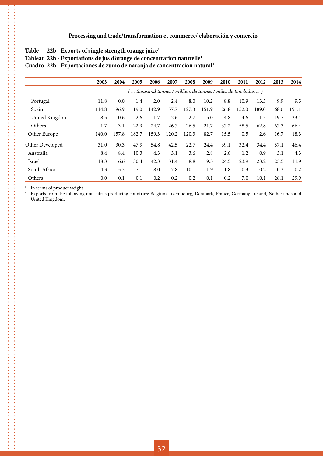#### Table 22b - Exports of single strength orange juice<sup>1</sup>

|  | Tableau 22b - Exportations de jus d'orange de concentration naturelle <sup>1</sup> |  |  |  |  |
|--|------------------------------------------------------------------------------------|--|--|--|--|
|--|------------------------------------------------------------------------------------|--|--|--|--|

**Cuadro 22b - Exportaciones de zumo de naranja de concentración natural1**

|                 | 2003  | 2004  | 2005  | 2006  | 2007  | 2008  | 2009                                                            | 2010  | 2011  | 2012  | 2013  | 2014  |
|-----------------|-------|-------|-------|-------|-------|-------|-----------------------------------------------------------------|-------|-------|-------|-------|-------|
|                 |       |       |       |       |       |       | (  thousand tonnes / milliers de tonnes / miles de toneladas  ) |       |       |       |       |       |
| Portugal        | 11.8  | 0.0   | 1.4   | 2.0   | 2.4   | 8.0   | 10.2                                                            | 8.8   | 10.9  | 13.3  | 9.9   | 9.5   |
| Spain           | 114.8 | 96.9  | 119.0 | 142.9 | 157.7 | 127.3 | 151.9                                                           | 126.8 | 152.0 | 189.0 | 168.6 | 191.1 |
| United Kingdom  | 8.5   | 10.6  | 2.6   | 1.7   | 2.6   | 2.7   | 5.0                                                             | 4.8   | 4.6   | 11.3  | 19.7  | 33.4  |
| Others          | 1.7   | 3.1   | 22.9  | 24.7  | 26.7  | 26.5  | 21.7                                                            | 37.2  | 58.5  | 62.8  | 67.3  | 66.4  |
| Other Europe    | 140.0 | 157.8 | 182.7 | 159.3 | 120.2 | 120.3 | 82.7                                                            | 15.5  | 0.5   | 2.6   | 16.7  | 18.3  |
| Other Developed | 31.0  | 30.3  | 47.9  | 54.8  | 42.5  | 22.7  | 24.4                                                            | 39.1  | 32.4  | 34.4  | 57.1  | 46.4  |
| Australia       | 8.4   | 8.4   | 10.3  | 4.3   | 3.1   | 3.6   | 2.8                                                             | 2.6   | 1.2   | 0.9   | 3.1   | 4.3   |
| Israel          | 18.3  | 16.6  | 30.4  | 42.3  | 31.4  | 8.8   | 9.5                                                             | 24.5  | 23.9  | 23.2  | 25.5  | 11.9  |
| South Africa    | 4.3   | 5.3   | 7.1   | 8.0   | 7.8   | 10.1  | 11.9                                                            | 11.8  | 0.3   | 0.2   | 0.3   | 0.2   |
| Others          | 0.0   | 0.1   | 0.1   | 0.2   | 0.2   | 0.2   | 0.1                                                             | 0.2   | 7.0   | 10.1  | 28.1  | 29.9  |

<sup>1</sup> In terms of product weight<br><sup>2</sup> Exports from the following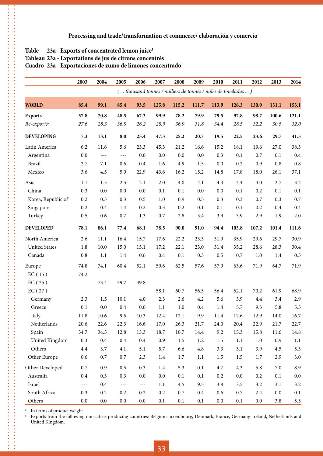#### Table 23a - Exports of concentrated lemon juice<sup>1</sup>

#### Tableau 23a - Exportations de jus de citrons concentrés<sup>1</sup>

#### Cuadro 23a - Exportaciones de zumo de limones concentrado<sup>1</sup>

|                         | 2003                 | 2004    | 2005    | 2006    | 2007    | 2008                                                          | 2009    | 2010    | 2011    | 2012    | 2013    | 2014     |
|-------------------------|----------------------|---------|---------|---------|---------|---------------------------------------------------------------|---------|---------|---------|---------|---------|----------|
|                         |                      |         |         |         |         | ( thousand tonnes / milliers de tonnes / miles de toneladas ) |         |         |         |         |         |          |
| <b>WORLD</b>            | 85.4                 | 99.1    | 85.4    | 93.5    | 125.8   | 115.2                                                         | 111.7   | 113.9   | 126.3   | 130.9   | 131.1   | 153.1    |
| <b>Exports</b>          | 57.8                 | 70.8    | 48.5    | 67.3    | 99.9    | 78.2                                                          | 79.9    | 79.5    | 97.8    | 98.7    | 100.6   | 121.1    |
| Re-exports <sup>2</sup> | 27.6                 | 28.3    | 36.9    | 26.2    | 25.9    | 36.9                                                          | 31.8    | 34.4    | 28.5    | 32.2    | 30.5    | 32.0     |
| <b>DEVELOPING</b>       | 7.3                  | 13.1    | 8.0     | 25.4    | 47.3    | 25.2                                                          | 20.7    | 19.5    | 22.5    | 23.6    | 29.7    | 41.5     |
| Latin America           | 6.2                  | 11.6    | 5.6     | 23.3    | 45.3    | 21.2                                                          | 16.6    | 15.2    | 18.1    | 19.6    | 27.0    | 38.3     |
| Argentina               | 0.0                  | $- - -$ | $- - -$ | 0.0     | 0.0     | 0.0                                                           | 0.0     | 0.3     | 0.1     | 0.7     | 0.1     | 0.4      |
| <b>Brazil</b>           | 2.7                  | 7.1     | 0.6     | 0.4     | 1.6     | 4.9                                                           | 1.5     | 0.0     | 0.2     | 0.9     | 0.8     | 0.8      |
| Mexico                  | 3.6                  | 4.5     | 5.0     | 22.9    | 43.6    | 16.2                                                          | 15.2    | 14.8    | 17.8    | 18.0    | 26.1    | 37.1     |
| Asia                    | 1.1                  | 1.5     | 2.5     | 2.1     | 2.0     | 4.0                                                           | 4.1     | 4.4     | 4.4     | 4.0     | 2.7     | 3.2      |
| China                   | 0.3                  | 0.0     | 0.0     | 0.0     | 0.1     | 0.1                                                           | 0.0     | 0.0     | 0.1     | 0.2     | 0.1     | 0.1      |
| Korea, Republic of      | 0.2                  | 0.5     | 0.3     | 0.5     | 1.0     | 0.9                                                           | 0.5     | 0.3     | 0.3     | 0.7     | 0.3     | $0.7\,$  |
| Singapore               | 0.2                  | 0.4     | 1.4     | 0.2     | 0.3     | 0.2                                                           | 0.1     | 0.1     | 0.1     | 0.2     | $0.4\,$ | 0.4      |
| Turkey                  | 0.5                  | 0.6     | 0.7     | 1.3     | 0.7     | 2.8                                                           | 3.4     | 3.9     | 3.9     | 2.9     | 1.9     | 2.0      |
| <b>DEVELOPED</b>        | 78.1                 | 86.1    | 77.4    | 68.1    | 78.5    | 90.0                                                          | 91.0    | 94.4    | 103.8   | 107.2   | 101.4   | 111.6    |
| North America           | 2.6                  | 11.1    | 16.4    | 15.7    | 17.6    | 22.2                                                          | 23.3    | 31.9    | 35.9    | 29.6    | 29.7    | 30.9     |
| <b>United States</b>    | 1.8                  | 10.0    | 15.0    | 15.1    | 17.2    | 22.1                                                          | 23.0    | 31.4    | 35.2    | 28.6    | 28.3    | 30.4     |
| Canada                  | 0.8                  | 1.1     | 1.4     | 0.6     | 0.4     | 0.1                                                           | 0.3     | 0.5     | 0.7     | 1.0     | $1.4\,$ | 0.5      |
| Europe                  | 74.8                 | 74.1    | 60.4    | 52.1    | 59.6    | 62.5                                                          | 57.6    | 57.9    | 63.6    | 71.9    | 64.7    | 71.9     |
| EC(15)                  | 74.2                 |         |         |         |         |                                                               |         |         |         |         |         |          |
| EC(25)                  |                      | 73.4    | 59.7    | 49.8    |         |                                                               |         |         |         |         |         |          |
| EC(27)                  |                      |         |         |         | 58.1    | 60.7                                                          | 56.5    | 56.4    | 62.1    | 70.2    | 61.9    | 68.9     |
| Germany                 | 2.3                  | 1.5     | 10.1    | 4.0     | 2.3     | 2.6                                                           | 4.2     | 5.6     | 3.9     | 4.4     | 3.4     | 2.9      |
| Greece                  | 0.1                  | 0.0     | 0.4     | 0.0     | 1.1     | 1.0                                                           | 0.4     | 1.4     | 5.7     | 9.3     | 5.8     | 5.5      |
| Italy                   | 11.8                 | 10.6    | 9.6     | 10.3    | 12.4    | 12.1                                                          | 9.9     | 11.4    | 12.6    | 12.9    | 14.0    | 16.7     |
| Netherlands             | 20.6                 | 22.6    | 22.3    | 16.6    | 17.0    | 26.3                                                          | 21.7    | 24.0    | 20.4    | 22.9    | 21.7    | 22.7     |
| Spain                   | 34.7                 | 34.5    | 12.8    | 13.3    | 18.7    | 10.7                                                          | 14.4    | 9.2     | 15.3    | 15.8    | 11.6    | $14.8\,$ |
| United Kingdom          | 0.3                  | $0.4\,$ | $0.4\,$ | $0.4\,$ | 0.9     | $1.5\,$                                                       | 1.2     | $1.5\,$ | $1.1\,$ | $1.0\,$ | 0.9     | 1.1      |
| Others                  | $4.4\,$              | 3.7     | 4.1     | 5.1     | 5.7     | 6.6                                                           | $4.8\,$ | 3.3     | 3.1     | 3.9     | $4.5\,$ | 5.3      |
| Other Europe            | 0.6                  | $0.7\,$ | $0.7\,$ | 2.3     | 1.4     | 1.7                                                           | 1.1     | 1.5     | 1.5     | 1.7     | 2.9     | $3.0\,$  |
| Other Developed         | $0.7\,$              | 0.9     | $0.5\,$ | 0.3     | $1.4\,$ | 5.3                                                           | 10.1    | 4.7     | 4.3     | 5.8     | $7.0\,$ | 8.9      |
| Australia               | $0.4\,$              | 0.3     | 0.3     | $0.0\,$ | 0.0     | $0.1\,$                                                       | 0.1     | 0.2     | $0.0\,$ | 0.2     | 0.1     | $0.0\,$  |
| Israel                  | $\sim$ $\sim$ $\sim$ | $0.4\,$ | ---     | ---     | 1.1     | 4.5                                                           | 9.5     | 3.8     | 3.5     | 3.2     | 3.1     | 3.2      |
| South Africa            | 0.3                  | 0.2     | 0.2     | 0.2     | 0.2     | 0.7                                                           | $0.4\,$ | 0.6     | $0.7\,$ | 2.4     | $0.0\,$ | 0.1      |
| Others                  | 0.0                  | $0.0\,$ | $0.0\,$ | 0.0     | 0.1     | 0.1                                                           | $0.1\,$ | $0.0\,$ | 0.1     | $0.0\,$ | 3.8     | $5.5\,$  |

<sup>1</sup> In terms of product weight<br><sup>2</sup> Exports from the following

**...............** ,,,,,,,,,,,,,,,,,

 $\ddot{\cdot}$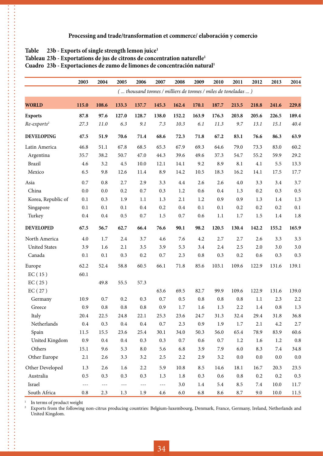#### Table 23b - Exports of single strength lemon juice<sup>1</sup>

#### **Tableau 23b - Exportations de jus de citrons de concentration naturelle1**

**Cuadro 23b - Exportaciones de zumo de limones de concentración natural1**

|                      | 2003     | 2004    | 2005    | 2006      | 2007    | 2008                                                          | 2009    | 2010    | 2011    | 2012    | 2013    | 2014     |
|----------------------|----------|---------|---------|-----------|---------|---------------------------------------------------------------|---------|---------|---------|---------|---------|----------|
|                      |          |         |         |           |         | ( thousand tonnes / milliers de tonnes / miles de toneladas ) |         |         |         |         |         |          |
| <b>WORLD</b>         | 115.0    | 108.6   | 133.3   | 137.7     | 145.3   | 162.4                                                         | 170.1   | 187.7   | 213.5   | 218.8   | 241.6   | 229.8    |
| <b>Exports</b>       | 87.8     | 97.6    | 127.0   | 128.7     | 138.0   | 152.2                                                         | 163.9   | 176.3   | 203.8   | 205.6   | 226.5   | 189.4    |
| $Re-exports2$        | 27.3     | 11.0    | 6.3     | 9.1       | 7.3     | 10.3                                                          | 6.1     | 11.3    | 9.7     | 13.1    | 15.1    | $40.4\,$ |
| <b>DEVELOPING</b>    | 47.5     | 51.9    | 70.6    | 71.4      | 68.6    | 72.3                                                          | 71.8    | 67.2    | 83.1    | 76.6    | 86.3    | 63.9     |
| Latin America        | 46.8     | 51.1    | 67.8    | 68.5      | 65.3    | 67.9                                                          | 69.3    | 64.6    | 79.0    | 73.3    | 83.0    | 60.2     |
| Argentina            | 35.7     | 38.2    | 50.7    | 47.0      | 44.3    | 39.6                                                          | 49.6    | 37.3    | 54.7    | 55.2    | 59.9    | 29.2     |
| <b>Brazil</b>        | 4.6      | 3.2     | 4.5     | 10.0      | 12.1    | 14.1                                                          | 9.2     | 8.9     | 8.1     | 4.1     | 5.5     | 13.3     |
| Mexico               | 6.5      | 9.8     | 12.6    | 11.4      | 8.9     | 14.2                                                          | 10.5    | 18.3    | 16.2    | 14.1    | 17.5    | 17.7     |
| Asia                 | 0.7      | 0.8     | 2.7     | 2.9       | 3.3     | $4.4\,$                                                       | 2.6     | 2.6     | 4.0     | 3.3     | 3.4     | 3.7      |
| China                | 0.0      | 0.0     | 0.2     | 0.7       | 0.3     | 1.2                                                           | 0.6     | 0.4     | 1.3     | 0.2     | 0.3     | 0.5      |
| Korea, Republic of   | 0.1      | 0.3     | 1.9     | 1.1       | 1.3     | 2.1                                                           | 1.2     | 0.9     | 0.9     | 1.3     | 1.4     | 1.3      |
| Singapore            | 0.1      | 0.1     | 0.1     | 0.4       | 0.2     | 0.4                                                           | 0.1     | 0.1     | 0.2     | 0.2     | 0.2     | 0.1      |
| Turkey               | 0.4      | 0.4     | 0.5     | 0.7       | 1.5     | 0.7                                                           | 0.6     | 1.1     | 1.7     | 1.5     | $1.4\,$ | 1.8      |
| <b>DEVELOPED</b>     | 67.5     | 56.7    | 62.7    | 66.4      | 76.6    | 90.1                                                          | 98.2    | 120.5   | 130.4   | 142.2   | 155.2   | 165.9    |
| North America        | 4.0      | 1.7     | 2.4     | 3.7       | 4.6     | 7.6                                                           | 4.2     | 2.7     | 2.7     | 2.6     | 3.3     | 3.3      |
| <b>United States</b> | 3.9      | 1.6     | 2.1     | 3.5       | 3.9     | 5.3                                                           | 3.4     | 2.4     | 2.5     | 2.0     | 3.0     | 3.0      |
| Canada               | 0.1      | 0.1     | 0.3     | 0.2       | 0.7     | 2.3                                                           | 0.8     | 0.3     | 0.2     | 0.6     | 0.3     | 0.3      |
| Europe               | 62.2     | 52.4    | 58.8    | 60.5      | 66.1    | 71.8                                                          | 85.6    | 103.1   | 109.6   | 122.9   | 131.6   | 139.1    |
| EC(15)               | 60.1     |         |         |           |         |                                                               |         |         |         |         |         |          |
| EC(25)               |          | 49.8    | 55.5    | 57.3      |         |                                                               |         |         |         |         |         |          |
| EC(27)               |          |         |         |           | 63.6    | 69.5                                                          | 82.7    | 99.9    | 109.6   | 122.9   | 131.6   | 139.0    |
| Germany              | 10.9     | 0.7     | 0.2     | 0.3       | 0.7     | 0.5                                                           | 0.8     | 0.8     | 0.8     | 1.1     | 2.3     | 2.2      |
| Greece               | 0.9      | 0.8     | 0.8     | 0.8       | 0.9     | 1.7                                                           | 1.6     | 1.3     | 2.2     | 1.4     | 0.8     | 1.3      |
| Italy                | 20.4     | 22.5    | 24.8    | 22.1      | 25.3    | 23.6                                                          | 24.7    | 31.3    | 32.4    | 29.4    | 31.8    | 36.8     |
| Netherlands          | $0.4\,$  | 0.3     | $0.4\,$ | $0.4\,$   | $0.7\,$ | 2.3                                                           | 0.9     | 1.9     | 1.7     | 2.1     | 4.2     | $2.7\,$  |
| Spain                | $11.5\,$ | 15.5    | 23.6    | 25.4      | 30.1    | 34.0                                                          | 50.3    | 56.0    | 65.4    | 78.9    | 83.9    | 60.6     |
| United Kingdom       | 0.9      | $0.4\,$ | $0.4\,$ | 0.3       | 0.3     | $0.7\,$                                                       | 0.6     | $0.7\,$ | 1.2     | 1.6     | 1.2     | $0.8\,$  |
| Others               | 15.1     | 9.6     | 5.3     | $\rm 8.0$ | 5.6     | 6.8                                                           | 3.9     | 7.9     | $6.0\,$ | 8.3     | 7.4     | 34.8     |
| Other Europe         | 2.1      | 2.6     | 3.3     | 3.2       | $2.5\,$ | $2.2\,$                                                       | 2.9     | 3.2     | $0.0\,$ | 0.0     | $0.0\,$ | $0.0\,$  |
| Other Developed      | 1.3      | 2.6     | 1.6     | 2.2       | 5.9     | $10.8\,$                                                      | 8.5     | 14.6    | 18.1    | 16.7    | 20.3    | 23.5     |
| Australia            | $0.5\,$  | 0.3     | 0.3     | 0.3       | 1.3     | $1.8\,$                                                       | 0.3     | $0.6\,$ | $0.8\,$ | $0.2\,$ | 0.2     | $0.3\,$  |
| Israel               | $---$    | ---     | $---$   | ---       | $---$   | $3.0\,$                                                       | $1.4\,$ | 5.4     | 8.5     | $7.4\,$ | 10.0    | 11.7     |
| South Africa         | 0.8      | 2.3     | 1.3     | 1.9       | 4.6     | 6.0                                                           | 6.8     | 8.6     | 8.7     | 9.0     | 10.0    | 11.5     |

<sup>1</sup> In terms of product weight<br><sup>2</sup> Exports from the following

**\*\*\*\*\*\*\*\*\*\*\*\*\*\***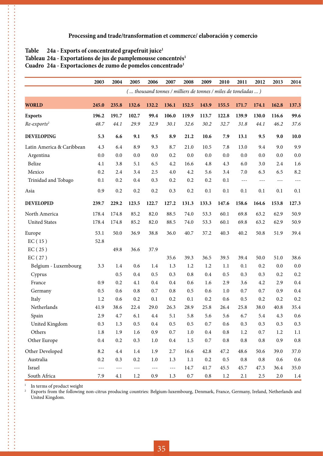#### Table 24a - Exports of concentrated grapefruit juice<sup>1</sup>

. . . . . . . . . . . . . . . . .

#### Tableau 24a - Exportations de jus de pamplemousse concentrés<sup>1</sup>

Cuadro 24a - Exportaciones de zumo de pomelos concentrado<sup>1</sup>

|                           | 2003    | 2004           | 2005    | 2006      | 2007    | 2008                                                          | 2009    | 2010      | 2011      | 2012      | 2013    | 2014      |
|---------------------------|---------|----------------|---------|-----------|---------|---------------------------------------------------------------|---------|-----------|-----------|-----------|---------|-----------|
|                           |         |                |         |           |         | ( thousand tonnes / milliers de tonnes / miles de toneladas ) |         |           |           |           |         |           |
| <b>WORLD</b>              | 245.0   | 235.8          | 132.6   | 132.2     | 136.1   | 152.5                                                         | 143.9   | 155.5     | 171.7     | 174.1     | 162.8   | 137.3     |
| <b>Exports</b>            | 196.2   | 191.7          | 102.7   | 99.4      | 106.0   | 119.9                                                         | 113.7   | 122.8     | 139.9     | 130.0     | 116.6   | 99.6      |
| $Re-exports2$             | 48.7    | 44.1           | 29.9    | 32.9      | 30.1    | 32.6                                                          | 30.2    | 32.7      | 31.8      | 44.1      | 46.2    | 37.6      |
| <b>DEVELOPING</b>         | 5.3     | 6.6            | 9.1     | 9.5       | 8.9     | 21.2                                                          | 10.6    | 7.9       | 13.1      | 9.5       | 9.0     | 10.0      |
| Latin America & Caribbean | 4.3     | 6.4            | 8.9     | 9.3       | 8.7     | 21.0                                                          | 10.5    | 7.8       | 13.0      | 9.4       | 9.0     | 9.9       |
| Argentina                 | 0.0     | 0.0            | 0.0     | 0.0       | 0.2     | 0.0                                                           | 0.0     | 0.0       | 0.0       | 0.0       | 0.0     | 0.0       |
| Belize                    | 4.1     | 3.8            | 5.1     | 6.5       | 4.2     | 16.6                                                          | 4.8     | 4.3       | 6.0       | 3.0       | 2.4     | 1.6       |
| Mexico                    | 0.2     | 2.4            | 3.4     | 2.5       | 4.0     | 4.2                                                           | 5.6     | 3.4       | 7.0       | 6.3       | 6.5     | 8.2       |
| Trinidad and Tobago       | 0.1     | 0.2            | 0.4     | 0.3       | 0.2     | 0.2                                                           | 0.2     | 0.1       | $- - -$   | $---$     | $---$   | $- - -$   |
| Asia                      | 0.9     | 0.2            | 0.2     | 0.2       | 0.3     | 0.2                                                           | 0.1     | 0.1       | 0.1       | 0.1       | 0.1     | 0.1       |
| <b>DEVELOPED</b>          | 239.7   | 229.2          | 123.5   | 122.7     | 127.2   | 131.3                                                         | 133.3   | 147.6     | 158.6     | 164.6     | 153.8   | 127.3     |
| North America             | 178.4   | 174.8          | 85.2    | 82.0      | 88.5    | 74.0                                                          | 53.3    | 60.1      | 69.8      | 63.2      | 62.9    | 50.9      |
| <b>United States</b>      | 178.4   | 174.8          | 85.2    | 82.0      | 88.5    | 74.0                                                          | 53.3    | 60.1      | 69.8      | 63.2      | 62.9    | 50.9      |
| Europe                    | 53.1    | 50.0           | 36.9    | 38.8      | 36.0    | 40.7                                                          | 37.2    | 40.3      | 40.2      | 50.8      | 51.9    | 39.4      |
| EC(15)                    | 52.8    |                |         |           |         |                                                               |         |           |           |           |         |           |
| EC(25)                    |         | 49.8           | 36.6    | 37.9      |         |                                                               |         |           |           |           |         |           |
| EC(27)                    |         |                |         |           | 35.6    | 39.3                                                          | 36.5    | 39.5      | 39.4      | 50.0      | 51.0    | 38.6      |
| Belgium - Luxembourg      | 3.3     | 1.4            | 0.6     | 1.4       | 1.3     | 1.2                                                           | 1.2     | $1.1\,$   | 0.1       | 0.2       | 0.0     | $0.0\,$   |
| Cyprus                    |         | 0.5            | 0.4     | 0.5       | 0.3     | 0.8                                                           | 0.4     | 0.5       | 0.3       | 0.3       | 0.2     | 0.2       |
| France                    | 0.9     | 0.2            | 4.1     | 0.4       | 0.4     | 0.6                                                           | 1.6     | 2.9       | 3.6       | 4.2       | 2.9     | 0.4       |
| Germany                   | 0.5     | 0.6            | 0.8     | 0.7       | 0.8     | 0.5                                                           | 0.6     | 1.0       | 0.7       | 0.7       | 0.9     | 0.4       |
| Italy                     | 1.2     | 0.6            | 0.2     | 0.1       | 0.2     | 0.1                                                           | 0.2     | 0.6       | 0.5       | 0.2       | 0.2     | 0.2       |
| Netherlands               | 41.9    | 38.6           | 22.4    | 29.0      | 26.3    | 28.9                                                          | 25.8    | 26.4      | 25.8      | 38.0      | 40.8    | 35.4      |
| Spain                     | 2.9     | 4.7            | 6.1     | 4.4       | 5.1     | 5.8                                                           | 5.6     | 5.6       | 6.7       | 5.4       | 4.3     | 0.6       |
| United Kingdom            | 0.3     | 1.3            | $0.5\,$ | $\rm 0.4$ | $0.5\,$ | 0.5                                                           | 0.7     | $0.6\,$   | 0.3       | 0.3       | 0.3     | 0.3       |
| Others                    | $1.8\,$ | 1.9            | 1.6     | 0.9       | 0.7     | $1.0\,$                                                       | $0.4\,$ | $\rm 0.8$ | $1.2\,$   | 0.7       | $1.2\,$ | $1.1\,$   |
| Other Europe              | $0.4\,$ | $0.2\,$        | 0.3     | $1.0\,$   | $0.4\,$ | $1.5\,$                                                       | $0.7\,$ | $\rm 0.8$ | $\rm 0.8$ | $\rm 0.8$ | 0.9     | $\rm 0.8$ |
| Other Developed           | 8.2     | $4.4\,$        | $1.4\,$ | 1.9       | 2.7     | 16.6                                                          | 42.8    | 47.2      | 48.6      | 50.6      | 39.0    | 37.0      |
| Australia                 | $0.2\,$ | 0.3            | $0.2\,$ | $1.0\,$   | $1.3$   | $1.1\,$                                                       | $0.2\,$ | $0.5\,$   | $\rm 0.8$ | $\rm 0.8$ | $0.6\,$ | $0.6\,$   |
| Israel                    | $- - -$ | $\sim$ $ \sim$ | $  -$   | $---$     | $ -$    | 14.7                                                          | 41.7    | 45.5      | 45.7      | 47.3      | 36.4    | 35.0      |
| South Africa              | 7.9     | 4.1            | 1.2     | 0.9       | 1.3     | $0.7\,$                                                       | $0.8\,$ | 1.2       | 2.1       | $2.5\,$   | 2.0     | 1.4       |

<sup>1</sup> In terms of product weight<br><sup>2</sup> Exports from the following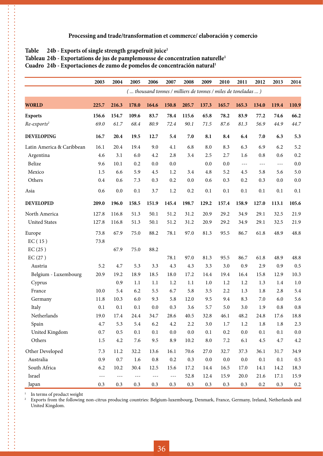#### Table 24b - Exports of single strength grapefruit juice<sup>1</sup>

#### Tableau 24b - Exportations de jus de pamplemousse de concentration naturelle<sup>1</sup>

**Cuadro 24b - Exportaciones de zumo de pomelos de concentración natural1**

|                           | 2003    | 2004                 | 2005  | 2006      | 2007    | 2008                                                          | 2009       | 2010    | 2011    | 2012    | 2013    | 2014    |
|---------------------------|---------|----------------------|-------|-----------|---------|---------------------------------------------------------------|------------|---------|---------|---------|---------|---------|
|                           |         |                      |       |           |         | ( thousand tonnes / milliers de tonnes / miles de toneladas ) |            |         |         |         |         |         |
| <b>WORLD</b>              | 225.7   | 216.3                | 178.0 | 164.6     | 150.8   | 205.7                                                         | 137.3      | 165.7   | 165.3   | 134.0   | 119.4   | 110.9   |
| <b>Exports</b>            | 156.6   | 154.7                | 109.6 | 83.7      | 78.4    | 115.6                                                         | 65.8       | 78.2    | 83.9    | 77.2    | 74.6    | 66.2    |
| Re-exports <sup>2</sup>   | 69.0    | 61.7                 | 68.4  | 80.9      | 72.4    | 90.1                                                          | 71.5       | 87.6    | 81.3    | 56.9    | 44.9    | 44.7    |
| <b>DEVELOPING</b>         | 16.7    | 20.4                 | 19.5  | 12.7      | 5.4     | 7.0                                                           | 8.1        | 8.4     | 6.4     | 7.0     | 6.3     | 5.3     |
| Latin America & Caribbean | 16.1    | 20.4                 | 19.4  | 9.0       | 4.1     | 6.8                                                           | 8.0        | 8.3     | 6.3     | 6.9     | 6.2     | 5.2     |
| Argentina                 | 4.6     | 3.1                  | 6.0   | 4.2       | 2.8     | 3.4                                                           | 2.5        | 2.7     | 1.6     | 0.8     | 0.6     | 0.2     |
| Belize                    | 9.6     | 10.1                 | 0.2   | 0.0       | 0.0     |                                                               | 0.0        | 0.0     | $---$   | $- - -$ | $- - -$ | 0.0     |
| Mexico                    | 1.5     | 6.6                  | 5.9   | 4.5       | 1.2     | 3.4                                                           | 4.8        | 5.2     | 4.5     | 5.8     | 5.6     | 5.0     |
| Others                    | 0.4     | 0.6                  | 7.3   | 0.3       | 0.2     | 0.0                                                           | 0.6        | 0.3     | 0.2     | 0.3     | 0.0     | 0.0     |
| Asia                      | 0.6     | 0.0                  | 0.1   | 3.7       | 1.2     | 0.2                                                           | 0.1        | 0.1     | 0.1     | 0.1     | 0.1     | 0.1     |
| <b>DEVELOPED</b>          | 209.0   | 196.0                | 158.5 | 151.9     | 145.4   | 198.7                                                         | 129.2      | 157.4   | 158.9   | 127.0   | 113.1   | 105.6   |
| North America             | 127.8   | 116.8                | 51.3  | 50.1      | 51.2    | 31.2                                                          | 20.9       | 29.2    | 34.9    | 29.1    | 32.5    | 21.9    |
| <b>United States</b>      | 127.8   | 116.8                | 51.3  | 50.1      | 51.2    | 31.2                                                          | 20.9       | 29.2    | 34.9    | 29.1    | 32.5    | 21.9    |
| Europe                    | 73.8    | 67.9                 | 75.0  | 88.2      | 78.1    | 97.0                                                          | 81.3       | 95.5    | 86.7    | 61.8    | 48.9    | 48.8    |
| EC(15)                    | 73.8    |                      |       |           |         |                                                               |            |         |         |         |         |         |
| EC(25)                    |         | 67.9                 | 75.0  | 88.2      |         |                                                               |            |         |         |         |         |         |
| EC(27)                    |         |                      |       |           | 78.1    | 97.0                                                          | 81.3       | 95.5    | 86.7    | 61.8    | 48.9    | 48.8    |
| Austria                   | 5.2     | 4.7                  | 5.3   | 3.3       | 4.3     | 4.3                                                           | 3.3        | 3.0     | 0.9     | 2.9     | 0.9     | 0.5     |
| Belgium - Luxembourg      | 20.9    | 19.2                 | 18.9  | 18.5      | 18.0    | 17.2                                                          | 14.4       | 19.4    | 16.4    | 15.8    | 12.9    | 10.3    |
| Cyprus                    |         | 0.9                  | 1.1   | 1.1       | 1.2     | 1.1                                                           | 1.0        | 1.2     | 1.2     | 1.3     | 1.4     | 1.0     |
| France                    | 10.0    | 5.4                  | 6.2   | 5.5       | 6.7     | 5.8                                                           | 3.5        | 2.2     | 1.3     | 1.8     | 2.8     | 5.4     |
| Germany                   | 11.8    | 10.3                 | 6.0   | 9.3       | 5.8     | 12.0                                                          | 9.5        | 9.4     | 8.3     | 7.0     | 6.0     | 5.6     |
| Italy                     | 0.1     | 0.1                  | 0.1   | 0.0       | 0.3     | 3.6                                                           | 5.7        | 5.0     | 3.0     | 1.9     | 0.8     | 0.8     |
| Netherlands               | 19.0    | 17.4                 | 24.4  | 34.7      | 28.6    | 40.5                                                          | 32.8       | 46.1    | 48.2    | 24.8    | 17.6    | 18.8    |
| Spain                     | 4.7     | 5.3                  | 5.4   | 6.2       | $4.2\,$ | 2.2                                                           | 3.0        | $1.7\,$ | 1.2     | $1.8\,$ | 1.8     | 2.3     |
| United Kingdom            | $0.7\,$ | 0.5                  | 0.1   | 0.1       | $0.0\,$ | 0.0                                                           | 0.1        | 0.2     | $0.0\,$ | 0.1     | 0.1     | $0.0\,$ |
| Others                    | $1.5\,$ | $4.2\,$              | 7.6   | 9.5       | 8.9     | 10.2                                                          | $\ \, 8.0$ | $7.2\,$ | 6.1     | $4.5\,$ | 4.7     | 4.2     |
| Other Developed           | $7.3\,$ | 11.2                 | 32.2  | 13.6      | 16.1    | 70.6                                                          | 27.0       | 32.7    | 37.3    | 36.1    | 31.7    | 34.9    |
| Australia                 | 0.9     | $0.7\,$              | 1.6   | $\rm 0.8$ | $0.2\,$ | 0.3                                                           | $0.0\,$    | $0.0\,$ | $0.0\,$ | 0.1     | $0.1\,$ | $0.5\,$ |
| South Africa              | 6.2     | 10.2                 | 30.4  | 12.5      | 15.6    | 17.2                                                          | 14.4       | 16.5    | 17.0    | 14.1    | 14.2    | 18.3    |
| Israel                    | $---$   | $\sim$ $\sim$ $\sim$ | $---$ | $- - -$   | $- - -$ | 52.8                                                          | 12.4       | 15.9    | 20.0    | 21.6    | 17.1    | 15.9    |
| Japan                     | 0.3     | 0.3                  | 0.3   | 0.3       | 0.3     | 0.3                                                           | 0.3        | 0.3     | 0.3     | $0.2\,$ | 0.3     | $0.2\,$ |

<sup>1</sup> In terms of product weight<br><sup>2</sup> Exports from the following

. . . . . . . . . . . . . . . . . **-----------**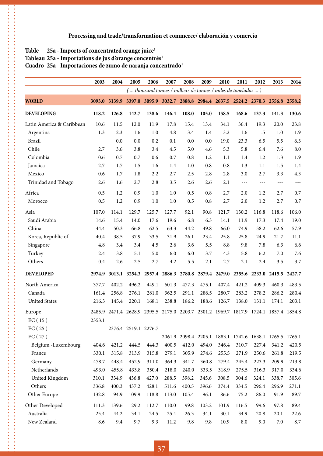#### Table 25a - Imports of concentrated orange juice<sup>1</sup>

 $\ddot{\phantom{a}}$  $\frac{1}{2}$ 

#### Tableau 25a - Importations de jus d'orange concentrés<sup>1</sup>

#### Cuadro 25a - Importaciones de zumo de naranja concentrado<sup>1</sup>

|                           | 2003   | 2004          | 2005                 | 2006  | 2007  | 2008  | 2009  | 2010                                                                                | 2011       | 2012          | 2013  | 2014          |
|---------------------------|--------|---------------|----------------------|-------|-------|-------|-------|-------------------------------------------------------------------------------------|------------|---------------|-------|---------------|
|                           |        |               |                      |       |       |       |       | ( thousand tonnes / milliers de tonnes / miles de toneladas )                       |            |               |       |               |
| <b>WORLD</b>              |        | 3093.0 3139.9 |                      |       |       |       |       | 3397.0 3095.9 3032.7 2888.8 2984.4 2637.5 2524.2 2370.3 2556.8 2558.2               |            |               |       |               |
| <b>DEVELOPING</b>         | 118.2  | 126.8         | 142.7                | 138.6 | 146.4 | 108.0 | 105.0 | 158.5                                                                               | 168.6      | 137.3         | 141.3 | 130.6         |
| Latin America & Caribbean | 10.6   | 11.5          | 12.0                 | 11.9  | 17.8  | 15.4  | 13.4  | 34.1                                                                                | 36.4       | 19.3          | 20.0  | 23.8          |
| Argentina                 | 1.3    | 2.3           | 1.6                  | 1.0   | 4.8   | 3.4   | 1.4   | 3.2                                                                                 | 1.6        | 1.5           | 1.0   | 1.9           |
| <b>Brazil</b>             |        | 0.0           | 0.0                  | 0.2   | 0.1   | 0.0   | 0.0   | 19.0                                                                                | 23.3       | 6.5           | 5.5   | 6.3           |
| Chile                     | 2.7    | 3.6           | 3.8                  | 3.4   | 4.5   | 5.0   | 4.6   | 5.3                                                                                 | 5.8        | 6.4           | 7.6   | 8.0           |
| Colombia                  | 0.6    | 0.7           | 0.7                  | 0.6   | 0.7   | 0.8   | 1.2   | 1.1                                                                                 | 1.4        | 1.2           | 1.3   | 1.9           |
| Jamaica                   | 2.7    | 1.7           | 1.5                  | 1.6   | 1.4   | 1.0   | 0.8   | 0.8                                                                                 | 1.3        | 1.1           | 1.5   | 1.4           |
| Mexico                    | 0.6    | 1.7           | 1.8                  | 2.2   | 2.7   | 2.5   | 2.8   | 2.8                                                                                 | 3.0        | 2.7           | 3.3   | 4.3           |
| Trinidad and Tobago       | 2.6    | 1.6           | 2.7                  | 2.8   | 3.5   | 2.6   | 2.6   | 2.1                                                                                 | ---        | $---$         | $---$ | $- - -$       |
| Africa                    | 0.5    | 1.2           | 0.9                  | 1.0   | 1.0   | 0.5   | 0.8   | 2.7                                                                                 | 2.0        | 1.2           | 2.7   | 0.7           |
| Morocco                   | 0.5    | 1.2           | 0.9                  | $1.0$ | 1.0   | 0.5   | 0.8   | 2.7                                                                                 | 2.0        | 1.2           | 2.7   | 0.7           |
| Asia                      | 107.0  | 114.1         | 129.7                | 125.7 | 127.7 | 92.1  | 90.8  | 121.7                                                                               | 130.2      | 116.8         | 118.6 | 106.0         |
| Saudi Arabia              | 14.6   | 15.4          | 14.0                 | 17.6  | 19.6  | 6.8   | 6.3   | 14.1                                                                                | 11.9       | 17.3          | 17.4  | 19.0          |
| China                     | 44.4   | 50.3          | 66.8                 | 62.5  | 63.3  | 44.2  | 49.8  | 66.0                                                                                | 74.9       | 58.2          | 62.6  | 57.9          |
| Korea, Republic of        | 40.4   | 38.5          | 37.9                 | 33.5  | 31.9  | 26.1  | 23.4  | 25.8                                                                                | 25.8       | 24.9          | 21.7  | 11.1          |
| Singapore                 | 4.8    | 3.4           | 3.4                  | 4.5   | 2.6   | 3.6   | 5.5   | 8.8                                                                                 | 9.8        | 7.8           | 6.3   | 6.6           |
| Turkey                    | 2.4    | 3.8           | 5.1                  | 5.0   | 6.0   | 6.0   | 3.7   | 4.3                                                                                 | 5.8        | 6.2           | 7.0   | 7.6           |
| Others                    | 0.4    | 2.6           | 2.5                  | 2.7   | 4.2   | 5.5   | 2.1   | 2.7                                                                                 | 2.1        | 2.4           | 3.5   | 3.7           |
| <b>DEVELOPED</b>          | 2974.9 | 3013.1        | 3254.3               |       |       |       |       | 2957.4 2886.3 2780.8 2879.4 2479.0                                                  |            | 2355.6 2233.0 |       | 2415.5 2427.7 |
| North America             | 377.7  | 402.2         | 496.2                | 449.1 | 601.3 | 477.3 | 475.1 | 407.4                                                                               | 421.2      | 409.3         | 460.3 | 483.5         |
| Canada                    | 161.4  | 256.8         | 276.1                | 281.0 | 362.5 | 291.1 | 286.5 | 280.7                                                                               | 283.2      | 278.2         | 286.2 | 280.4         |
| <b>United States</b>      | 216.3  | 145.4         | 220.1                | 168.1 | 238.8 | 186.2 | 188.6 | 126.7                                                                               | 138.0      | 131.1         | 174.1 | 203.1         |
| Europe                    |        |               |                      |       |       |       |       | 2485.9 2471.4 2628.9 2395.5 2175.0 2203.7 2301.2 1969.7 1817.9 1724.1 1857.4 1854.8 |            |               |       |               |
| EC(15)                    | 2353.1 |               |                      |       |       |       |       |                                                                                     |            |               |       |               |
| EC(25)                    |        |               | 2376.4 2519.1 2276.7 |       |       |       |       |                                                                                     |            |               |       |               |
| EC(27)                    |        |               |                      |       |       |       |       | 2061.9 2098.4 2205.1 1883.1 1742.6 1638.1 1765.5 1765.1                             |            |               |       |               |
| Belgium -Luxembourg       | 404.6  | 421.2         | 444.5                | 444.3 | 400.5 | 412.0 | 494.0 | 346.4                                                                               | 310.7      | 227.4         | 341.2 | 420.5         |
| France                    | 330.1  | 315.8         | 313.9                | 315.8 | 279.1 | 305.9 | 274.6 | 255.5                                                                               | 271.9      | 250.6         | 261.8 | 219.5         |
| Germany                   | 478.7  | 448.4         | 452.9                | 311.0 | 364.3 | 341.7 | 360.8 | 279.4                                                                               | 245.4      | 223.3         | 209.9 | 213.8         |
| Netherlands               | 493.0  | 455.8         | 433.8                | 350.4 | 218.0 | 240.0 | 333.5 | 318.9                                                                               | 275.5      | 316.3         | 317.0 | 334.6         |
| United Kingdom            | 310.1  | 334.9         | 436.8                | 427.0 | 288.5 | 398.2 | 345.6 | 308.5                                                                               | 304.6      | 324.1         | 338.7 | 305.6         |
| Others                    | 336.8  | 400.3         | 437.2                | 428.1 | 511.6 | 400.5 | 396.6 | 374.4                                                                               | 334.5      | 296.4         | 296.9 | 271.1         |
| Other Europe              | 132.8  | 94.9          | 109.9                | 118.8 | 113.0 | 105.4 | 96.1  | 86.6                                                                                | 75.2       | 86.0          | 91.9  | 89.7          |
| Other Developed           | 111.3  | 139.6         | 129.2                | 112.7 | 110.0 | 99.8  | 103.2 | 101.9                                                                               | 116.5      | 99.6          | 97.8  | 89.4          |
| Australia                 | 25.4   | 44.2          | 34.1                 | 24.5  | 25.4  | 26.3  | 34.1  | 30.1                                                                                | 34.9       | 20.8          | 20.1  | 22.6          |
| New Zealand               | 8.6    | 9.4           | 9.7                  | 9.3   | 11.2  | 9.8   | 9.8   | 10.9                                                                                | $\ \, 8.0$ | 9.0           | 7.0   | 8.7           |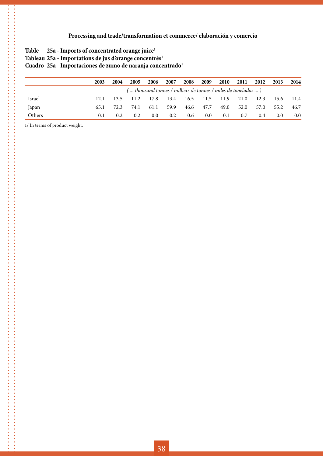- Table 25a Imports of concentrated orange juice<sup>1</sup>
- Tableau 25a Importations de jus d'orange concentrés<sup>1</sup>

Cuadro 25a - Importaciones de zumo de naranja concentrado<sup>1</sup>

|        | 2003 | 2004 | 2005                                                          | 2006    | 2007 | 2008 | 2009             | 2010 | 2011 | 2012 | 2013 | 2014 |
|--------|------|------|---------------------------------------------------------------|---------|------|------|------------------|------|------|------|------|------|
|        |      |      | ( thousand tonnes / milliers de tonnes / miles de toneladas ) |         |      |      |                  |      |      |      |      |      |
| Israel |      | 13.5 | 11.2                                                          | 17.8    | 13.4 | 16.5 | 11.5             | 11.9 | 21.0 | 12.3 | 15.6 | 11.4 |
| Japan  | 65.1 | 72.3 | 74.1                                                          | 61.1    | 59.9 | 46.6 | 47.7             | 49.0 | 52.0 | 57.0 | 55.2 | 46.7 |
| Others | 0.1  | 0.2. | 0.2                                                           | $0.0\,$ | 0.2  | 0.6  | 0.0 <sub>1</sub> | 0.1  | 0.7  | 0.4  | 0.0  | 0.0  |

1/ In terms of product weight.

.<br>.<br>.<br>.<br>.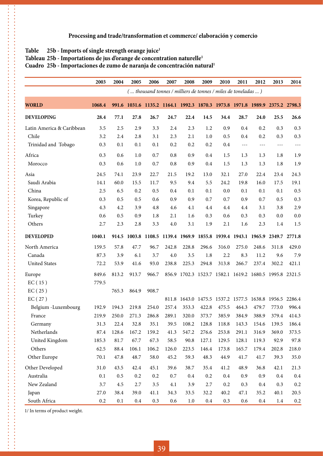#### Table 25b - Imports of single strength orange juice<sup>1</sup>

 $\ddot{\phantom{a}}$ 

#### **Tableau 25b - Importations de jus d'orange de concentration naturelle1**

**Cuadro 25b - Importaciones de zumo de naranja de concentración natural1**

|                           | 2003    | 2004  | 2005    | 2006          | 2007    | 2008    | 2009    | 2010                                                                  | 2011    | 2012    | 2013    | 2014    |
|---------------------------|---------|-------|---------|---------------|---------|---------|---------|-----------------------------------------------------------------------|---------|---------|---------|---------|
|                           |         |       |         |               |         |         |         | ( thousand tonnes / milliers de tonnes / miles de toneladas )         |         |         |         |         |
| <b>WORLD</b>              | 1068.4  | 991.6 |         |               |         |         |         | 1031.6 1135.2 1164.1 1992.3 1870.3 1973.8 1971.8 1989.9 2375.2 2798.3 |         |         |         |         |
| <b>DEVELOPING</b>         | 28.4    | 77.1  | 27.8    | 26.7          | 24.7    | 22.4    | 14.5    | 34.4                                                                  | 28.7    | 24.0    | 25.5    | 26.6    |
| Latin America & Caribbean | 3.5     | 2.5   | 2.9     | 3.3           | 2.4     | 2.3     | 1.2     | 0.9                                                                   | 0.4     | 0.2     | 0.3     | 0.3     |
| Chile                     | 3.2     | 2.4   | 2.8     | 3.1           | 2.3     | 2.1     | 1.0     | 0.5                                                                   | 0.4     | 0.2     | 0.3     | 0.3     |
| Trinidad and Tobago       | 0.3     | 0.1   | 0.1     | 0.1           | 0.2     | 0.2     | 0.2     | 0.4                                                                   | ---     | $---$   | $- - -$ | $---$   |
| Africa                    | 0.3     | 0.6   | 1.0     | 0.7           | 0.8     | 0.9     | 0.4     | 1.5                                                                   | 1.3     | 1.3     | 1.8     | 1.9     |
| Morocco                   | 0.3     | 0.6   | 1.0     | 0.7           | 0.8     | 0.9     | 0.4     | 1.5                                                                   | 1.3     | 1.3     | 1.8     | 1.9     |
| Asia                      | 24.5    | 74.1  | 23.9    | 22.7          | 21.5    | 19.2    | 13.0    | 32.1                                                                  | 27.0    | 22.4    | 23.4    | 24.3    |
| Saudi Arabia              | 14.1    | 60.0  | 15.5    | 11.7          | 9.5     | 9.4     | 5.5     | 24.2                                                                  | 19.8    | 16.0    | 17.5    | 19.1    |
| China                     | 2.5     | 6.5   | 0.2     | 0.5           | 0.4     | 0.1     | 0.1     | 0.0                                                                   | 0.1     | 0.1     | 0.1     | 0.5     |
| Korea, Republic of        | 0.3     | 0.5   | 0.5     | 0.6           | 0.9     | 0.9     | 0.7     | 0.7                                                                   | 0.9     | 0.7     | 0.5     | 0.3     |
| Singapore                 | 4.3     | 4.2   | 3.9     | 4.8           | 4.6     | 4.1     | 4.4     | 4.4                                                                   | 4.4     | 3.1     | 3.8     | 2.9     |
| Turkey                    | 0.6     | 0.5   | 0.9     | 1.8           | 2.1     | 1.6     | 0.3     | 0.6                                                                   | 0.3     | 0.3     | 0.0     | 0.0     |
| Others                    | 2.7     | 2.3   | 2.8     | 3.3           | 4.0     | 3.1     | 1.9     | 2.1                                                                   | 1.6     | 2.3     | 1.4     | 1.5     |
| <b>DEVELOPED</b>          | 1040.1  | 914.5 |         | 1003.8 1108.5 |         |         |         | 1139.4 1969.9 1855.8 1939.4 1943.1 1965.9 2349.7 2771.8               |         |         |         |         |
| North America             | 159.5   | 57.8  | 47.7    | 96.7          | 242.8   | 228.8   | 296.6   | 316.0                                                                 | 275.0   | 248.6   | 311.8   | 429.0   |
| Canada                    | 87.3    | 3.9   | 6.1     | 3.7           | 4.0     | 3.5     | 1.8     | 2.2                                                                   | 8.3     | 11.2    | 9.6     | 7.9     |
| <b>United States</b>      | 72.2    | 53.9  | 41.6    | 93.0          | 238.8   | 225.3   | 294.8   | 313.8                                                                 | 266.7   | 237.4   | 302.2   | 421.1   |
| Europe                    | 849.6   | 813.2 | 913.7   | 966.7         |         |         |         | 856.9 1702.3 1523.7 1582.1 1619.2 1680.5 1995.8 2321.5                |         |         |         |         |
| EC(15)                    | 779.5   |       |         |               |         |         |         |                                                                       |         |         |         |         |
| EC(25)                    |         | 765.3 | 864.9   | 908.7         |         |         |         |                                                                       |         |         |         |         |
| EC(27)                    |         |       |         |               |         |         |         | 811.8 1643.0 1475.5 1537.2 1577.5 1638.8 1956.5 2286.4                |         |         |         |         |
| Belgium -Luxembourg       | 192.9   | 194.3 | 219.8   | 254.0         | 257.4   | 353.3   | 422.8   | 475.5                                                                 | 464.3   | 479.7   | 773.0   | 996.4   |
| France                    | 219.9   | 250.0 | 271.3   | 286.8         | 289.1   | 320.0   | 373.7   | 385.9                                                                 | 384.9   | 388.9   | 379.4   | 414.3   |
| Germany                   | 31.3    | 22.4  | 32.8    | 35.1          | 39.5    | 108.2   | 128.8   | 118.8                                                                 | 143.3   | 154.6   | 139.5   | 186.4   |
| Netherlands               | 87.4    | 128.6 | 167.2   | 159.2         | 41.3    | 547.2   | 276.6   | 253.8                                                                 | 291.1   | 316.9   | 369.0   | 373.5   |
| United Kingdom            | 185.3   | 81.7  | 67.7    | 67.3          | 58.5    | 90.8    | 127.1   | 129.5                                                                 | 128.1   | 119.3   | 92.9    | 97.8    |
| Others                    | 62.5    | 88.4  | 106.1   | 106.2         | 126.0   | 223.5   | 146.4   | 173.8                                                                 | 165.7   | 179.4   | 202.8   | 218.0   |
| Other Europe              | 70.1    | 47.8  | 48.7    | 58.0          | 45.2    | 59.3    | 48.3    | 44.9                                                                  | 41.7    | 41.7    | 39.3    | 35.0    |
| Other Developed           | 31.0    | 43.5  | 42.4    | 45.1          | 39.6    | 38.7    | 35.4    | 41.2                                                                  | 48.9    | 36.8    | 42.1    | 21.3    |
| Australia                 | 0.1     | 0.5   | 0.2     | 0.2           | $0.7\,$ | $0.4\,$ | 0.2     | $0.4\,$                                                               | 0.9     | 0.9     | 0.4     | 0.4     |
| New Zealand               | 3.7     | 4.5   | 2.7     | 3.5           | 4.1     | 3.9     | 2.7     | 0.2                                                                   | 0.3     | 0.4     | 0.3     | 0.2     |
| Japan                     | 27.0    | 38.4  | 39.0    | 41.1          | 34.3    | 33.5    | 32.2    | 40.2                                                                  | 47.1    | 35.2    | 40.1    | 20.5    |
| South Africa              | $0.2\,$ | 0.1   | $0.4\,$ | 0.3           | 0.6     | $1.0\,$ | $0.4\,$ | 0.3                                                                   | $0.6\,$ | $0.4\,$ | 1.4     | $0.2\,$ |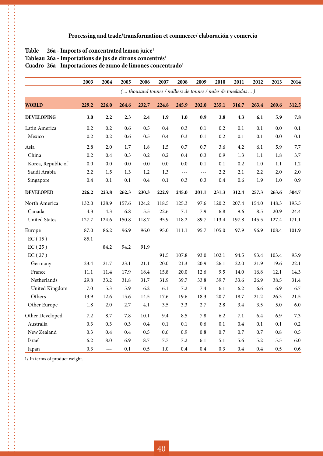#### Table 26a - Imports of concentrated lemon juice<sup>1</sup>

 $\ddot{\cdot}$ 

#### Tableau 26a - Importations de jus de citrons concentrés<sup>1</sup>

#### Cuadro 26a - Importaciones de zumo de limones concentrado<sup>1</sup>

|                      | 2003    | 2004          | 2005  | 2006  | 2007                                                          | 2008  | 2009                    | 2010  | 2011  | 2012  | 2013    | 2014  |
|----------------------|---------|---------------|-------|-------|---------------------------------------------------------------|-------|-------------------------|-------|-------|-------|---------|-------|
|                      |         |               |       |       | ( thousand tonnes / milliers de tonnes / miles de toneladas ) |       |                         |       |       |       |         |       |
| <b>WORLD</b>         | 229.2   | 226.0         | 264.6 | 232.7 | 224.8                                                         | 245.9 | 202.0                   | 235.1 | 316.7 | 263.4 | 269.6   | 312.5 |
| <b>DEVELOPING</b>    | 3.0     | 2.2           | 2.3   | 2.4   | 1.9                                                           | 1.0   | 0.9                     | 3.8   | 4.3   | 6.1   | 5.9     | 7.8   |
| Latin America        | 0.2     | 0.2           | 0.6   | 0.5   | 0.4                                                           | 0.3   | 0.1                     | 0.2   | 0.1   | 0.1   | 0.0     | 0.1   |
| Mexico               | 0.2     | 0.2           | 0.6   | 0.5   | 0.4                                                           | 0.3   | $0.1\,$                 | 0.2   | 0.1   | 0.1   | $0.0\,$ | 0.1   |
| Asia                 | 2.8     | 2.0           | 1.7   | 1.8   | 1.5                                                           | 0.7   | 0.7                     | 3.6   | 4.2   | 6.1   | 5.9     | 7.7   |
| China                | 0.2     | 0.4           | 0.3   | 0.2   | 0.2                                                           | 0.4   | 0.3                     | 0.9   | 1.3   | 1.1   | 1.8     | 3.7   |
| Korea, Republic of   | 0.0     | 0.0           | 0.0   | 0.0   | 0.0                                                           | 0.0   | 0.1                     | 0.1   | 0.2   | 1.0   | 1.1     | 1.2   |
| Saudi Arabia         | 2.2     | 1.5           | 1.3   | 1.2   | 1.3                                                           | $ -$  | $\perp$ $\perp$ $\perp$ | 2.2   | 2.1   | 2.2   | 2.0     | 2.0   |
| Singapore            | 0.4     | 0.1           | 0.1   | 0.4   | 0.1                                                           | 0.3   | 0.3                     | 0.4   | 0.6   | 1.9   | 1.0     | 0.9   |
| <b>DEVELOPED</b>     | 226.2   | 223.8         | 262.3 | 230.3 | 222.9                                                         | 245.0 | 201.1                   | 231.3 | 312.4 | 257.3 | 263.6   | 304.7 |
| North America        | 132.0   | 128.9         | 157.6 | 124.2 | 118.5                                                         | 125.3 | 97.6                    | 120.2 | 207.4 | 154.0 | 148.3   | 195.5 |
| Canada               | 4.3     | 4.3           | 6.8   | 5.5   | 22.6                                                          | 7.1   | 7.9                     | 6.8   | 9.6   | 8.5   | 20.9    | 24.4  |
| <b>United States</b> | 127.7   | 124.6         | 150.8 | 118.7 | 95.9                                                          | 118.2 | 89.7                    | 113.4 | 197.8 | 145.5 | 127.4   | 171.1 |
| Europe               | 87.0    | 86.2          | 96.9  | 96.0  | 95.0                                                          | 111.1 | 95.7                    | 105.0 | 97.9  | 96.9  | 108.4   | 101.9 |
| EC(15)               | 85.1    |               |       |       |                                                               |       |                         |       |       |       |         |       |
| EC(25)               |         | 84.2          | 94.2  | 91.9  |                                                               |       |                         |       |       |       |         |       |
| EC(27)               |         |               |       |       | 91.5                                                          | 107.8 | 93.0                    | 102.1 | 94.5  | 93.4  | 103.4   | 95.9  |
| Germany              | 23.4    | 21.7          | 23.1  | 21.1  | 20.0                                                          | 21.3  | 20.9                    | 26.1  | 22.0  | 21.9  | 19.6    | 22.1  |
| France               | 11.1    | 11.4          | 17.9  | 18.4  | 15.8                                                          | 20.0  | 12.6                    | 9.5   | 14.0  | 16.8  | 12.1    | 14.3  |
| Netherlands          | 29.8    | 33.2          | 31.8  | 31.7  | 31.9                                                          | 39.7  | 33.8                    | 39.7  | 33.6  | 26.9  | 38.5    | 31.4  |
| United Kingdom       | $7.0\,$ | 5.3           | 5.9   | 6.2   | 6.1                                                           | 7.2   | $7.4\,$                 | 6.1   | 6.2   | 6.6   | 6.9     | 6.7   |
| Others               | 13.9    | 12.6          | 15.6  | 14.5  | 17.6                                                          | 19.6  | 18.3                    | 20.7  | 18.7  | 21.2  | 26.3    | 21.5  |
| Other Europe         | 1.8     | 2.0           | 2.7   | 4.1   | 3.5                                                           | 3.3   | 2.7                     | 2.8   | 3.4   | 3.5   | 5.0     | 6.0   |
| Other Developed      | 7.2     | 8.7           | 7.8   | 10.1  | 9.4                                                           | 8.5   | 7.8                     | 6.2   | 7.1   | 6.4   | 6.9     | 7.3   |
| Australia            | 0.3     | 0.3           | 0.3   | 0.4   | 0.1                                                           | 0.1   | 0.6                     | 0.1   | 0.4   | 0.1   | 0.1     | 0.2   |
| New Zealand          | 0.3     | 0.4           | 0.4   | 0.5   | 0.6                                                           | 0.9   | 0.8                     | 0.7   | 0.7   | 0.7   | 0.8     | 0.5   |
| Israel               | 6.2     | 8.0           | 6.9   | 8.7   | 7.7                                                           | 7.2   | 6.1                     | 5.1   | 5.6   | 5.2   | 5.5     | 6.0   |
| Japan                | 0.3     | $\frac{1}{2}$ | 0.1   | 0.5   | $1.0\,$                                                       | 0.4   | 0.4                     | 0.3   | 0.4   | 0.4   | 0.5     | 0.6   |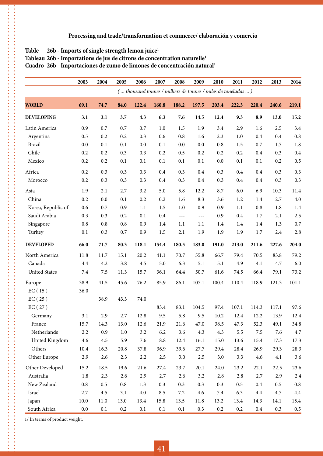#### Table 26b - Imports of single strength lemon juice<sup>1</sup>

 $\ddot{\phantom{a}}$ 

#### Tableau 26b - Importations de jus de citrons de concentration naturelle<sup>1</sup>

**Cuadro 26b - Importaciones de zumo de limones de concentración natural1**

|                      | 2003    | 2004     | 2005    | 2006    | 2007    | 2008                                                          | 2009                 | 2010    | 2011  | 2012    | 2013    | 2014      |
|----------------------|---------|----------|---------|---------|---------|---------------------------------------------------------------|----------------------|---------|-------|---------|---------|-----------|
|                      |         |          |         |         |         | ( thousand tonnes / milliers de tonnes / miles de toneladas ) |                      |         |       |         |         |           |
| <b>WORLD</b>         | 69.1    | 74.7     | 84.0    | 122.4   | 160.8   | 188.2                                                         | 197.5                | 203.4   | 222.3 | 220.4   | 240.6   | 219.1     |
| <b>DEVELOPING</b>    | 3.1     | 3.1      | 3.7     | 4.3     | 6.3     | 7.6                                                           | 14.5                 | 12.4    | 9.3   | 8.9     | 13.0    | 15.2      |
| Latin America        | 0.9     | 0.7      | 0.7     | 0.7     | $1.0\,$ | 1.5                                                           | 1.9                  | 3.4     | 2.9   | 1.6     | 2.5     | 3.4       |
| Argentina            | 0.5     | 0.2      | 0.2     | 0.3     | 0.6     | 0.8                                                           | 1.6                  | 2.3     | 1.0   | 0.4     | 0.4     | 0.8       |
| <b>Brazil</b>        | 0.0     | 0.1      | 0.1     | 0.0     | 0.1     | 0.0                                                           | 0.0                  | 0.8     | 1.5   | 0.7     | 1.7     | $1.8\,$   |
| Chile                | 0.2     | 0.2      | 0.3     | 0.3     | 0.2     | 0.5                                                           | 0.2                  | 0.2     | 0.2   | $0.4\,$ | 0.3     | 0.4       |
| Mexico               | 0.2     | 0.2      | 0.1     | 0.1     | 0.1     | 0.1                                                           | 0.1                  | $0.0\,$ | 0.1   | 0.1     | 0.2     | 0.5       |
| Africa               | 0.2     | 0.3      | 0.3     | 0.3     | $0.4\,$ | 0.3                                                           | 0.4                  | 0.3     | 0.4   | 0.4     | 0.3     | 0.3       |
| Morocco              | 0.2     | 0.3      | 0.3     | 0.3     | 0.4     | 0.3                                                           | 0.4                  | 0.3     | 0.4   | $0.4\,$ | 0.3     | 0.3       |
| Asia                 | 1.9     | 2.1      | 2.7     | 3.2     | 5.0     | 5.8                                                           | 12.2                 | 8.7     | 6.0   | 6.9     | 10.3    | 11.4      |
| China                | 0.2     | 0.0      | 0.1     | 0.2     | 0.2     | 1.6                                                           | 8.3                  | 3.6     | 1.2   | 1.4     | 2.7     | $4.0\,$   |
| Korea, Republic of   | 0.6     | 0.7      | 0.9     | 1.1     | $1.5\,$ | 1.0                                                           | 0.9                  | 0.9     | 1.1   | $0.8\,$ | 1.8     | 1.4       |
| Saudi Arabia         | 0.3     | 0.3      | 0.2     | 0.1     | $0.4\,$ | $\sim$ $\sim$ $\sim$                                          | $\sim$ $\sim$ $\sim$ | 0.9     | 0.4   | 1.7     | 2.1     | 2.5       |
| Singapore            | 0.8     | 0.8      | 0.8     | 0.9     | 1.4     | 1.1                                                           | 1.1                  | 1.4     | 1.4   | 1.4     | 1.3     | 0.7       |
| Turkey               | 0.1     | 0.3      | 0.7     | 0.9     | $1.5\,$ | 2.1                                                           | 1.9                  | 1.9     | 1.9   | $1.7\,$ | 2.4     | 2.8       |
| <b>DEVELOPED</b>     | 66.0    | 71.7     | 80.3    | 118.1   | 154.4   | 180.5                                                         | 183.0                | 191.0   | 213.0 | 211.6   | 227.6   | 204.0     |
| North America        | 11.8    | 11.7     | 15.1    | 20.2    | 41.1    | 70.7                                                          | 55.8                 | 66.7    | 79.4  | 70.5    | 83.8    | 79.2      |
| Canada               | 4.4     | 4.2      | 3.8     | 4.5     | 5.0     | 6.3                                                           | 5.1                  | 5.1     | 4.9   | 4.1     | 4.7     | 6.0       |
| <b>United States</b> | 7.4     | 7.5      | 11.3    | 15.7    | 36.1    | 64.4                                                          | 50.7                 | 61.6    | 74.5  | 66.4    | 79.1    | 73.2      |
| Europe               | 38.9    | 41.5     | 45.6    | 76.2    | 85.9    | 86.1                                                          | 107.1                | 100.4   | 110.4 | 118.9   | 121.3   | 101.1     |
| EC(15)               | 36.0    |          |         |         |         |                                                               |                      |         |       |         |         |           |
| EC(25)               |         | 38.9     | 43.3    | 74.0    |         |                                                               |                      |         |       |         |         |           |
| EC(27)               |         |          |         |         | 83.4    | 83.1                                                          | 104.5                | 97.4    | 107.1 | 114.3   | 117.1   | 97.6      |
| Germany              | 3.1     | 2.9      | 2.7     | 12.8    | 9.5     | 5.8                                                           | 9.5                  | 10.2    | 12.4  | 12.2    | 13.9    | 12.4      |
| France               | 15.7    | 14.3     | 13.0    | 12.6    | 21.9    | 21.6                                                          | 47.0                 | 38.5    | 47.3  | 52.3    | 49.1    | 34.8      |
| Netherlands          | 2.2     | 0.9      | $1.0\,$ | 3.2     | 6.2     | 3.6                                                           | 4.3                  | 4.3     | 5.5   | 7.5     | 7.6     | $4.7\,$   |
| United Kingdom       | 4.6     | 4.5      | 5.9     | 7.6     | 8.8     | 12.4                                                          | 16.1                 | 15.0    | 13.6  | 15.4    | 17.3    | 17.3      |
| Others               | 10.4    | 16.3     | 20.8    | 37.8    | 36.9    | 39.6                                                          | 27.7                 | 29.4    | 28.4  | 26.9    | 29.3    | 28.3      |
| Other Europe         | 2.9     | 2.6      | 2.3     | $2.2\,$ | 2.5     | 3.0                                                           | $2.5\,$              | 3.0     | 3.3   | 4.6     | 4.1     | 3.6       |
| Other Developed      | 15.2    | 18.5     | 19.6    | 21.6    | 27.4    | 23.7                                                          | 20.1                 | 24.0    | 23.2  | 22.1    | 22.5    | 23.6      |
| Australia            | 1.8     | 2.3      | 2.6     | 2.9     | 2.7     | 2.6                                                           | 3.2                  | 2.8     | 2.8   | 2.7     | 2.9     | 2.4       |
| New Zealand          | $0.8\,$ | 0.5      | $0.8\,$ | 1.3     | 0.3     | 0.3                                                           | 0.3                  | 0.3     | 0.5   | $0.4\,$ | $0.5\,$ | $\rm 0.8$ |
| Israel               | 2.7     | 4.5      | 3.1     | 4.0     | 8.5     | $7.2\,$                                                       | 4.6                  | 7.4     | 6.3   | 4.4     | 4.7     | $4.4\,$   |
| Japan                | 10.0    | $11.0\,$ | 13.0    | 13.4    | 15.8    | 13.5                                                          | 11.8                 | 13.2    | 13.4  | 14.3    | 14.1    | 15.4      |
| South Africa         | $0.0\,$ | 0.1      | 0.2     | 0.1     | 0.1     | 0.1                                                           | 0.3                  | $0.2\,$ | 0.2   | $0.4\,$ | 0.3     | $0.5\,$   |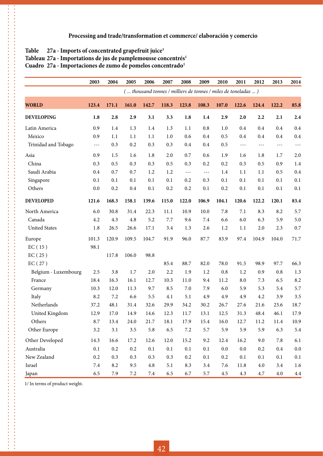#### Table 27a - Imports of concentrated grapefruit juice<sup>1</sup>

.<br>.<br>.<br>.<br>.

#### Tableau 27a - Importations de jus de pamplemousse concentrés<sup>1</sup>

Cuadro 27a - Importaciones de zumo de pomelos concentrado<sup>1</sup>

|                      | 2003                 | 2004    | 2005    | 2006    | 2007                                                          | 2008                 | 2009    | 2010    | 2011    | 2012    | 2013     | 2014    |
|----------------------|----------------------|---------|---------|---------|---------------------------------------------------------------|----------------------|---------|---------|---------|---------|----------|---------|
|                      |                      |         |         |         | ( thousand tonnes / milliers de tonnes / miles de toneladas ) |                      |         |         |         |         |          |         |
| <b>WORLD</b>         | 123.4                | 171.1   | 161.0   | 142.7   | 118.3                                                         | 123.8                | 108.3   | 107.0   | 122.6   | 124.4   | 122.2    | 85.8    |
| <b>DEVELOPING</b>    | 1.8                  | 2.8     | 2.9     | 3.1     | 3.3                                                           | 1.8                  | 1.4     | 2.9     | 2.0     | 2.2     | 2.1      | 2.4     |
| Latin America        | 0.9                  | 1.4     | 1.3     | 1.4     | 1.3                                                           | 1.1                  | 0.8     | 1.0     | 0.4     | 0.4     | 0.4      | 0.4     |
| Mexico               | 0.9                  | 1.1     | 1.1     | 1.1     | 1.0                                                           | 0.6                  | 0.4     | 0.5     | 0.4     | 0.4     | 0.4      | 0.4     |
| Trinidad and Tobago  | $\sim$ $\sim$ $\sim$ | 0.3     | 0.2     | 0.3     | 0.3                                                           | 0.4                  | 0.4     | 0.5     | $- - -$ | $- - -$ | $- - -$  | $---$   |
| Asia                 | 0.9                  | 1.5     | 1.6     | $1.8\,$ | 2.0                                                           | 0.7                  | 0.6     | 1.9     | 1.6     | 1.8     | 1.7      | 2.0     |
| China                | 0.3                  | 0.5     | 0.3     | 0.3     | 0.5                                                           | 0.3                  | 0.2     | 0.2     | 0.3     | 0.5     | 0.9      | 1.4     |
| Saudi Arabia         | 0.4                  | 0.7     | 0.7     | 1.2     | 1.2                                                           | $\sim$ $\sim$ $\sim$ | $- - -$ | 1.4     | 1.1     | 1.1     | 0.5      | 0.4     |
| Singapore            | 0.1                  | 0.1     | 0.1     | 0.1     | 0.1                                                           | 0.2                  | 0.3     | 0.1     | 0.1     | 0.1     | 0.1      | 0.1     |
| Others               | 0.0                  | 0.2     | 0.4     | 0.1     | 0.2                                                           | 0.2                  | 0.1     | 0.2     | 0.1     | 0.1     | 0.1      | 0.1     |
| <b>DEVELOPED</b>     | 121.6                | 168.3   | 158.1   | 139.6   | 115.0                                                         | 122.0                | 106.9   | 104.1   | 120.6   | 122.2   | 120.1    | 83.4    |
| North America        | 6.0                  | 30.8    | 31.4    | 22.3    | 11.1                                                          | 10.9                 | 10.0    | 7.8     | 7.1     | 8.3     | 8.2      | 5.7     |
| Canada               | 4.2                  | 4.3     | 4.8     | 5.2     | 7.7                                                           | 9.6                  | 7.4     | 6.6     | 6.0     | 6.3     | 5.9      | 5.0     |
| <b>United States</b> | 1.8                  | 26.5    | 26.6    | 17.1    | 3.4                                                           | 1.3                  | 2.6     | 1.2     | 1.1     | 2.0     | 2.3      | 0.7     |
| Europe               | 101.3                | 120.9   | 109.5   | 104.7   | 91.9                                                          | 96.0                 | 87.7    | 83.9    | 97.4    | 104.9   | 104.0    | 71.7    |
| EC(15)               | 98.1                 |         |         |         |                                                               |                      |         |         |         |         |          |         |
| EC(25)               |                      | 117.8   | 106.0   | 98.8    |                                                               |                      |         |         |         |         |          |         |
| EC(27)               |                      |         |         |         | 85.4                                                          | 88.7                 | 82.0    | 78.0    | 91.5    | 98.9    | 97.7     | 66.3    |
| Belgium - Luxembourg | 2.5                  | 3.8     | 1.7     | 2.0     | 2.2                                                           | 1.9                  | 1.2     | 0.8     | 1.2     | 0.9     | 0.8      | 1.3     |
| France               | 18.4                 | 16.3    | 16.1    | 12.7    | 10.3                                                          | 11.0                 | 9.4     | 11.2    | 8.0     | 7.3     | 6.5      | 8.2     |
| Germany              | 10.3                 | 12.0    | 11.3    | 9.7     | 8.5                                                           | 7.0                  | 7.9     | 6.0     | 5.9     | 5.3     | 5.4      | 5.7     |
| Italy                | 8.2                  | 7.2     | 6.6     | 5.5     | 4.1                                                           | 5.1                  | 4.9     | 4.9     | 4.9     | 4.2     | 3.9      | 3.5     |
| Netherlands          | 37.2                 | 48.1    | 31.4    | 32.6    | 29.9                                                          | 34.2                 | 30.2    | 26.7    | 27.6    | 21.6    | 23.6     | 18.7    |
| United Kingdom       | 12.9                 | 17.0    | 14.9    | 14.6    | 12.3                                                          | 11.7                 | 13.1    | 12.5    | 31.3    | 48.4    | 46.1     | 17.9    |
| Others               | $8.7\,$              | 13.4    | 24.0    | 21.7    | 18.1                                                          | 17.9                 | 15.4    | 16.0    | 12.7    | 11.2    | $11.4\,$ | 10.9    |
| Other Europe         | 3.2                  | 3.1     | $3.5\,$ | 5.8     | 6.5                                                           | $7.2\,$              | 5.7     | 5.9     | 5.9     | 5.9     | 6.3      | 5.4     |
| Other Developed      | 14.3                 | 16.6    | 17.2    | 12.6    | 12.0                                                          | 15.2                 | 9.2     | 12.4    | 16.2    | 9.0     | 7.8      | 6.1     |
| Australia            | 0.1                  | $0.2\,$ | $0.2\,$ | 0.1     | 0.1                                                           | 0.1                  | 0.1     | $0.0\,$ | 0.0     | 0.2     | $0.4\,$  | $0.0\,$ |
| New Zealand          | 0.2                  | 0.3     | 0.3     | 0.3     | 0.3                                                           | 0.2                  | 0.1     | 0.2     | 0.1     | 0.1     | 0.1      | $0.1\,$ |
| Israel               | 7.4                  | 8.2     | 9.5     | $4.8\,$ | $5.1\,$                                                       | 8.3                  | 3.4     | 7.6     | 11.8    | $4.0\,$ | 3.4      | 1.6     |
| Japan                | 6.5                  | 7.9     | $7.2\,$ | $7.4\,$ | 6.5                                                           | 6.7                  | 5.7     | 4.5     | 4.3     | 4.7     | 4.0      | 4.4     |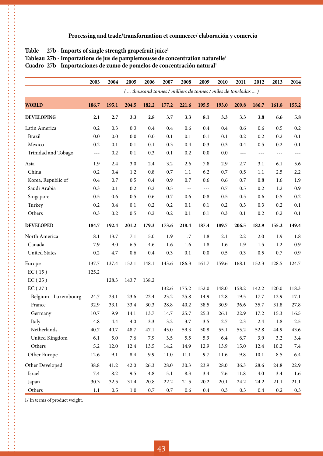#### Table 27b - Imports of single strength grapefruit juice<sup>1</sup>

 $\ddot{\phantom{a}}$ 

Tableau 27b - Importations de jus de pamplemousse de concentration naturelle<sup>1</sup>

Cuadro 27b - Importaciones de zumo de pomelos de concentración natural<sup>1</sup>

|                      | 2003                 | 2004    | 2005    | 2006    | 2007    | 2008                                                          | 2009    | 2010  | 2011                 | 2012    | 2013    | 2014    |
|----------------------|----------------------|---------|---------|---------|---------|---------------------------------------------------------------|---------|-------|----------------------|---------|---------|---------|
|                      |                      |         |         |         |         | ( thousand tonnes / milliers de tonnes / miles de toneladas ) |         |       |                      |         |         |         |
| <b>WORLD</b>         | 186.7                | 195.1   | 204.5   | 182.2   | 177.2   | 221.6                                                         | 195.5   | 193.0 | 209.8                | 186.7   | 161.8   | 155.2   |
| <b>DEVELOPING</b>    | 2.1                  | $2.7\,$ | 3.3     | 2.8     | 3.7     | 3.3                                                           | 8.1     | 3.3   | 3.3                  | 3.8     | 6.6     | 5.8     |
| Latin America        | 0.2                  | 0.3     | 0.3     | 0.4     | 0.4     | 0.6                                                           | 0.4     | 0.4   | 0.6                  | 0.6     | 0.5     | 0.2     |
| <b>Brazil</b>        | 0.0                  | 0.0     | 0.0     | 0.0     | 0.1     | 0.1                                                           | 0.1     | 0.1   | 0.2                  | 0.2     | 0.2     | 0.1     |
| Mexico               | 0.2                  | 0.1     | 0.1     | 0.1     | 0.3     | 0.4                                                           | 0.3     | 0.3   | 0.4                  | 0.5     | 0.2     | 0.1     |
| Trinidad and Tobago  | $\sim$ $\sim$ $\sim$ | 0.2     | 0.1     | 0.3     | 0.1     | 0.2                                                           | 0.0     | 0.0   | $\sim$ $\sim$ $\sim$ | $- - -$ | $- - -$ | $- - -$ |
| Asia                 | 1.9                  | 2.4     | 3.0     | 2.4     | 3.2     | 2.6                                                           | 7.8     | 2.9   | 2.7                  | 3.1     | 6.1     | 5.6     |
| China                | 0.2                  | 0.4     | 1.2     | 0.8     | 0.7     | 1.1                                                           | 6.2     | 0.7   | 0.5                  | 1.1     | 2.5     | 2.2     |
| Korea, Republic of   | 0.4                  | 0.7     | 0.5     | $0.4\,$ | 0.9     | 0.7                                                           | 0.6     | 0.6   | 0.7                  | 0.8     | 1.6     | 1.9     |
| Saudi Arabia         | 0.3                  | 0.1     | 0.2     | 0.2     | 0.5     | $\sim$ $-$                                                    | ---     | 0.7   | 0.5                  | 0.2     | 1.2     | 0.9     |
| Singapore            | 0.5                  | 0.6     | 0.5     | 0.6     | 0.7     | 0.6                                                           | 0.8     | 0.5   | 0.5                  | 0.6     | 0.5     | 0.2     |
| Turkey               | 0.2                  | 0.4     | 0.1     | 0.2     | 0.2     | 0.1                                                           | 0.1     | 0.2   | 0.3                  | 0.3     | 0.2     | 0.1     |
| Others               | 0.3                  | 0.2     | 0.5     | 0.2     | 0.2     | 0.1                                                           | 0.1     | 0.3   | 0.1                  | 0.2     | 0.2     | 0.1     |
| <b>DEVELOPED</b>     | 184.7                | 192.4   | 201.2   | 179.3   | 173.6   | 218.4                                                         | 187.4   | 189.7 | 206.5                | 182.9   | 155.2   | 149.4   |
| North America        | 8.1                  | 13.7    | 7.1     | 5.0     | 1.9     | 1.7                                                           | 1.8     | 2.1   | 2.2                  | 2.0     | 1.9     | 1.8     |
| Canada               | 7.9                  | 9.0     | 6.5     | 4.6     | 1.6     | 1.6                                                           | 1.8     | 1.6   | 1.9                  | 1.5     | 1.2     | 0.9     |
| <b>United States</b> | 0.2                  | 4.7     | 0.6     | 0.4     | 0.3     | 0.1                                                           | 0.0     | 0.5   | 0.3                  | 0.5     | 0.7     | 0.9     |
| Europe               | 137.7                | 137.4   | 152.1   | 148.1   | 143.6   | 186.3                                                         | 161.7   | 159.6 | 168.1                | 152.3   | 128.5   | 124.7   |
| EC(15)               | 125.2                |         |         |         |         |                                                               |         |       |                      |         |         |         |
| EC(25)               |                      | 128.3   | 143.7   | 138.2   |         |                                                               |         |       |                      |         |         |         |
| EC(27)               |                      |         |         |         | 132.6   | 175.2                                                         | 152.0   | 148.0 | 158.2                | 142.2   | 120.0   | 118.3   |
| Belgium - Luxembourg | 24.7                 | 23.1    | 23.6    | 22.4    | 23.2    | 25.8                                                          | 14.9    | 12.8  | 19.5                 | 17.7    | 12.9    | 17.1    |
| France               | 32.9                 | 33.1    | 33.4    | 30.3    | 28.8    | 40.2                                                          | 38.5    | 30.9  | 36.6                 | 35.7    | 31.8    | 27.8    |
| Germany              | 10.7                 | 9.9     | 14.1    | 13.7    | 14.7    | 25.7                                                          | 25.3    | 26.1  | 22.9                 | 17.2    | 15.3    | 16.5    |
| Italy                | 4.8                  | 4.4     | 4.0     | 3.3     | 3.2     | 3.7                                                           | 3.5     | 2.7   | 2.3                  | 2.4     | 1.8     | 2.5     |
| Netherlands          | 40.7                 | 40.7    | 48.7    | 47.1    | 45.0    | 59.3                                                          | 50.8    | 55.1  | 55.2                 | 52.8    | 44.9    | 43.6    |
| United Kingdom       | 6.1                  | 5.0     | 7.6     | 7.9     | 3.5     | 5.5                                                           | 5.9     | 6.4   | 6.7                  | 3.9     | 3.2     | $3.4\,$ |
| Others               | 5.2                  | 12.0    | 12.4    | 13.5    | 14.2    | 14.9                                                          | 12.9    | 13.9  | 15.0                 | 12.4    | 10.2    | $7.4\,$ |
| Other Europe         | 12.6                 | 9.1     | 8.4     | 9.9     | 11.0    | 11.1                                                          | 9.7     | 11.6  | 9.8                  | 10.1    | 8.5     | 6.4     |
| Other Developed      | 38.8                 | 41.2    | 42.0    | 26.3    | 28.0    | 30.3                                                          | 23.9    | 28.0  | 36.3                 | 28.6    | 24.8    | 22.9    |
| Israel               | 7.4                  | 8.2     | 9.5     | $4.8\,$ | 5.1     | 8.3                                                           | 3.4     | 7.6   | 11.8                 | $4.0\,$ | 3.4     | 1.6     |
| Japan                | 30.3                 | 32.5    | 31.4    | 20.8    | 22.2    | 21.5                                                          | 20.2    | 20.1  | 24.2                 | 24.2    | 21.1    | 21.1    |
| Others               | 1.1                  | $0.5\,$ | $1.0\,$ | $0.7\,$ | $0.7\,$ | 0.6                                                           | $0.4\,$ | 0.3   | 0.3                  | $0.4\,$ | $0.2\,$ | 0.3     |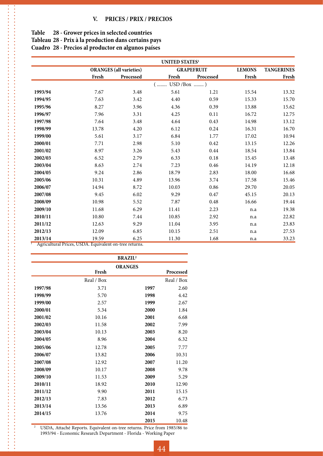| Table | 28 - Grower prices in selected countries |  |  |  |
|-------|------------------------------------------|--|--|--|
|-------|------------------------------------------|--|--|--|

 $\ddot{\cdot}$ 

**Tableau 28 - Prix à la production dans certains pays**

**Cuadro 28 - Precios al productor en algunos países**

|         |       |                                | <b>UNITED STATES1</b> |                   |               |                   |
|---------|-------|--------------------------------|-----------------------|-------------------|---------------|-------------------|
|         |       | <b>ORANGES</b> (all varieties) |                       | <b>GRAPEFRUIT</b> | <b>LEMONS</b> | <b>TANGERINES</b> |
|         | Fresh | Processed                      | Fresh                 | Processed         | Fresh         | Fresh             |
|         |       |                                | $USD / Box$ )<br>$($  |                   |               |                   |
| 1993/94 | 7.67  | 3.48                           | 5.61                  | 1.21              | 15.54         | 13.32             |
| 1994/95 | 7.63  | 3.42                           | 4.40                  | 0.59              | 15.33         | 15.70             |
| 1995/96 | 8.27  | 3.96                           | 4.36                  | 0.39              | 13.88         | 15.62             |
| 1996/97 | 7.96  | 3.31                           | 4.25                  | 0.11              | 16.72         | 12.75             |
| 1997/98 | 7.64  | 3.48                           | 4.64                  | 0.43              | 14.98         | 13.12             |
| 1998/99 | 13.78 | 4.20                           | 6.12                  | 0.24              | 16.31         | 16.70             |
| 1999/00 | 5.61  | 3.17                           | 6.84                  | 1.77              | 17.02         | 10.94             |
| 2000/01 | 7.71  | 2.98                           | 5.10                  | 0.42              | 13.15         | 12.26             |
| 2001/02 | 8.97  | 3.26                           | 5.43                  | 0.44              | 18.54         | 13.84             |
| 2002/03 | 6.52  | 2.79                           | 6.33                  | 0.18              | 15.45         | 13.48             |
| 2003/04 | 8.63  | 2.74                           | 7.23                  | 0.46              | 14.19         | 12.18             |
| 2004/05 | 9.24  | 2.86                           | 18.79                 | 2.83              | 18.00         | 16.68             |
| 2005/06 | 10.31 | 4.89                           | 13.96                 | 3.74              | 17.58         | 15.46             |
| 2006/07 | 14.94 | 8.72                           | 10.03                 | 0.86              | 29.70         | 20.05             |
| 2007/08 | 9.45  | 6.02                           | 9.29                  | 0.47              | 45.15         | 20.13             |
| 2008/09 | 10.98 | 5.52                           | 7.87                  | 0.48              | 16.66         | 19.44             |
| 2009/10 | 11.68 | 6.29                           | 11.41                 | 2.23              | n.a           | 19.38             |
| 2010/11 | 10.80 | 7.44                           | 10.85                 | 2.92              | n.a           | 22.82             |
| 2011/12 | 12.63 | 9.29                           | 11.04                 | 3.95              | n.a           | 23.83             |
| 2012/13 | 12.09 | 6.85                           | 10.15                 | 2.51              | n.a           | 27.53             |
| 2013/14 | 19.59 | 6.25                           | 11.30                 | 1.68              | n.a           | 33.23             |

<sup>1</sup> Agricultural Prices, USDA. Equivalent on-tree returns.

|         |            | <b>BRAZIL<sup>2</sup></b> |      |            |
|---------|------------|---------------------------|------|------------|
|         |            | <b>ORANGES</b>            |      |            |
|         | Fresh      |                           |      | Processed  |
|         | Real / Box |                           |      | Real / Box |
| 1997/98 | 3.71       |                           | 1997 | 2.60       |
| 1998/99 | 5.70       |                           | 1998 | 4.42       |
| 1999/00 | 2.57       |                           | 1999 | 2.67       |
| 2000/01 | 5.34       |                           | 2000 | 1.84       |
| 2001/02 | 10.16      |                           | 2001 | 6.68       |
| 2002/03 | 11.58      |                           | 2002 | 7.99       |
| 2003/04 | 10.13      |                           | 2003 | 8.20       |
| 2004/05 | 8.96       |                           | 2004 | 6.32       |
| 2005/06 | 12.78      |                           | 2005 | 7.77       |
| 2006/07 | 13.82      |                           | 2006 | 10.31      |
| 2007/08 | 12.92      |                           | 2007 | 11.20      |
| 2008/09 | 10.17      |                           | 2008 | 9.78       |
| 2009/10 | 11.53      |                           | 2009 | 5.29       |
| 2010/11 | 18.92      |                           | 2010 | 12.90      |
| 2011/12 | 9.90       |                           | 2011 | 15.15      |
| 2012/13 | 7.83       |                           | 2012 | 6.73       |
| 2013/14 | 13.56      |                           | 2013 | 6.89       |
| 2014/15 | 13.76      |                           | 2014 | 9.75       |
|         |            |                           | 2015 | 10.48      |

<sup>2</sup> USDA, Attaché Reports. Equivalent on-tree returns. Price from 1985/86 to 1993/94 - Economic Research Department - Florida - Working Paper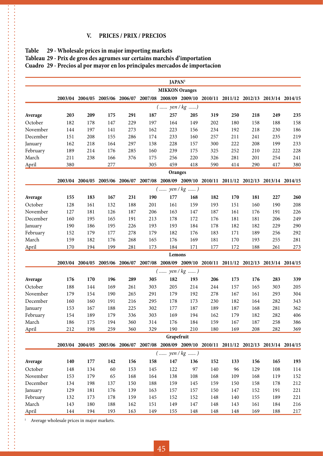#### **V. PRICES / PRIX / PRECIOS**

| Table 29 - Wholesale prices in major importing markets                      |
|-----------------------------------------------------------------------------|
| Tableau 29 - Prix de gros des agrumes sur certains marchés d'importation    |
| Cuadro 29 - Precios al por mayor en los principales mercados de importacion |

|          |                       |                                                                                                 |     |     |     | JAPAN <sup>1</sup> |     |     |     |     |     |     |
|----------|-----------------------|-------------------------------------------------------------------------------------------------|-----|-----|-----|--------------------|-----|-----|-----|-----|-----|-----|
|          | <b>MIKKON</b> Oranges |                                                                                                 |     |     |     |                    |     |     |     |     |     |     |
|          |                       | 2003/04 2004/05 2005/06 2006/07 2007/08 2008/09 2009/10 2010/11 2011/12 2012/13 2013/14 2014/15 |     |     |     |                    |     |     |     |     |     |     |
|          |                       |                                                                                                 |     |     |     | $($ yen / kg )     |     |     |     |     |     |     |
| Average  | 203                   | 209                                                                                             | 175 | 291 | 187 | 257                | 205 | 319 | 250 | 218 | 249 | 235 |
| October  | 182                   | 178                                                                                             | 147 | 229 | 197 | 164                | 149 | 202 | 180 | 158 | 188 | 158 |
| November | 144                   | 197                                                                                             | 141 | 273 | 162 | 223                | 156 | 234 | 192 | 218 | 230 | 186 |
| December | 151                   | 208                                                                                             | 155 | 286 | 174 | 233                | 160 | 257 | 211 | 241 | 235 | 219 |
| January  | 162                   | 218                                                                                             | 164 | 297 | 138 | 228                | 157 | 300 | 222 | 208 | 199 | 233 |
| February | 189                   | 214                                                                                             | 176 | 285 | 160 | 239                | 175 | 325 | 252 | 210 | 222 | 228 |
| March    | 211                   | 238                                                                                             | 166 | 376 | 175 | 256                | 220 | 326 | 281 | 201 | 254 | 241 |
| April    | 380                   |                                                                                                 | 277 |     | 305 | 459                | 418 | 590 | 414 | 290 | 417 | 380 |
|          | Oranges               |                                                                                                 |     |     |     |                    |     |     |     |     |     |     |
|          |                       | 2003/04 2004/05 2005/06 2006/07 2007/08 2008/09 2009/10 2010/11 2011/12 2012/13 2013/14 2014/15 |     |     |     |                    |     |     |     |     |     |     |
|          |                       |                                                                                                 |     |     |     | $($ yen / kg )     |     |     |     |     |     |     |
| Average  | 155                   | 183                                                                                             | 167 | 231 | 190 | 177                | 168 | 182 | 170 | 181 | 227 | 260 |
| October  | 128                   | 161                                                                                             | 132 | 188 | 201 | 161                | 159 | 193 | 151 | 160 | 190 | 208 |
| November | 127                   | 181                                                                                             | 126 | 187 | 206 | 163                | 147 | 187 | 161 | 176 | 191 | 226 |
| December | 160                   | 195                                                                                             | 165 | 191 | 213 | 178                | 172 | 176 | 181 | 181 | 206 | 249 |
| January  | 190                   | 186                                                                                             | 195 | 226 | 193 | 193                | 184 | 178 | 182 | 182 | 229 | 290 |
| February | 152                   | 179                                                                                             | 177 | 278 | 179 | 182                | 176 | 183 | 171 | 189 | 256 | 292 |
| March    | 159                   | 182                                                                                             | 176 | 268 | 165 | 176                | 169 | 181 | 170 | 193 | 255 | 281 |
| April    | 170                   | 194                                                                                             | 199 | 281 | 173 | 184                | 171 | 177 | 172 | 188 | 261 | 273 |
|          |                       |                                                                                                 |     |     |     | Lemons             |     |     |     |     |     |     |
|          |                       | 2003/04 2004/05 2005/06 2006/07 2007/08 2008/09 2009/10 2010/11 2011/12 2012/13 2013/14 2014/15 |     |     |     |                    |     |     |     |     |     |     |
|          |                       |                                                                                                 |     |     |     | $($ yen / kg )     |     |     |     |     |     |     |
| Average  | 176                   | 170                                                                                             | 196 | 289 | 305 | 182                | 193 | 206 | 173 | 176 | 283 | 339 |
| October  | 188                   | 144                                                                                             | 169 | 261 | 303 | 205                | 214 | 244 | 157 | 165 | 303 | 205 |
| November | 179                   | 154                                                                                             | 190 | 265 | 291 | 179                | 192 | 278 | 167 | 161 | 293 | 304 |
| December | 160                   | 160                                                                                             | 191 | 216 | 295 | 178                | 173 | 230 | 182 | 164 | 282 | 343 |
| January  | 153                   | 167                                                                                             | 188 | 225 | 302 | 177                | 187 | 189 | 187 | 168 | 281 | 362 |
| February | 154                   | 189                                                                                             | 179 | 336 | 303 | 169                | 194 | 162 | 179 | 182 | 282 | 406 |
| March    | 186                   | 175                                                                                             | 194 | 360 | 314 | 176                | 184 | 159 | 167 | 187 | 258 | 386 |
| April    | 212                   | 198                                                                                             | 259 | 360 | 329 | 190                | 210 | 180 | 169 | 208 | 282 | 369 |
|          |                       |                                                                                                 |     |     |     | Grapefruit         |     |     |     |     |     |     |
|          |                       | 2003/04 2004/05 2005/06 2006/07 2007/08 2008/09 2009/10 2010/11 2011/12 2012/13 2013/14 2014/15 |     |     |     |                    |     |     |     |     |     |     |
|          |                       |                                                                                                 |     |     |     | $($ yen / kg )     |     |     |     |     |     |     |
| Average  | 140                   | 177                                                                                             | 142 | 156 | 158 | 147                | 136 | 152 | 133 | 156 | 165 | 193 |
| October  | 148                   | 134                                                                                             | 60  | 153 | 145 | 122                | 97  | 140 | 96  | 129 | 108 | 114 |
| November | 153                   | 179                                                                                             | 65  | 168 | 164 | 138                | 108 | 168 | 109 | 168 | 119 | 152 |
| December | 134                   | 198                                                                                             | 137 | 150 | 188 | 159                | 145 | 159 | 150 | 158 | 178 | 212 |
| January  | 129                   | 181                                                                                             | 176 | 139 | 163 | 157                | 157 | 150 | 147 | 152 | 191 | 221 |
| February | 132                   | 173                                                                                             | 178 | 159 | 145 | 152                | 152 | 148 | 140 | 155 | 189 | 221 |
| March    | 143                   | 180                                                                                             | 188 | 162 | 151 | 149                | 147 | 148 | 143 | 161 | 184 | 216 |
| April    | 144                   | 194                                                                                             | 193 | 163 | 149 | 155                | 148 | 148 | 148 | 169 | 188 | 217 |

 $1$  – Average wholesale prices in major markets.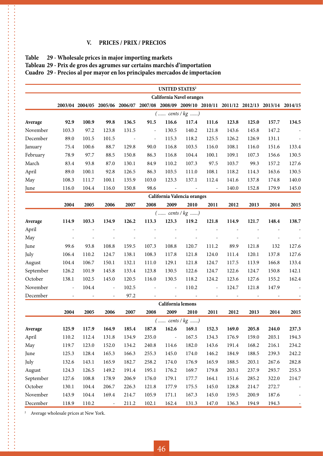#### **V. PRICES / PRIX / PRECIOS**

-----------

#### **Table 29 - Wholesale prices in major importing markets Tableau 29 - Prix de gros des agrumes sur certains marchés d'importation Cuadro 29 - Precios al por mayor en los principales mercados de importacíon**

|           |                             |       |                          |            |                                                                                                 | <b>UNITED STATES2</b>    |                          |                          |       |       |       |       |
|-----------|-----------------------------|-------|--------------------------|------------|-------------------------------------------------------------------------------------------------|--------------------------|--------------------------|--------------------------|-------|-------|-------|-------|
|           | California Navel oranges    |       |                          |            |                                                                                                 |                          |                          |                          |       |       |       |       |
|           |                             |       |                          |            | 2003/04 2004/05 2005/06 2006/07 2007/08 2008/09 2009/10 2010/11 2011/12 2012/13 2013/14 2014/15 |                          |                          |                          |       |       |       |       |
|           |                             |       |                          |            |                                                                                                 | $($ cents / $kg$ )       |                          |                          |       |       |       |       |
| Average   | 92.9                        | 100.9 | 99.8                     | 136.5      | 91.5                                                                                            | 116.6                    | 117.4                    | 111.6                    | 123.8 | 125.0 | 157.7 | 134.5 |
| November  | 103.3                       | 97.2  | 123.8                    | 131.5      | $\overline{\phantom{a}}$                                                                        | 130.5                    | 140.2                    | 121.8                    | 143.6 | 145.8 | 147.2 |       |
| December  | 89.0                        | 101.5 | 101.5                    | $\sim$ $-$ | $\blacksquare$                                                                                  | 115.3                    | 118.2                    | 125.5                    | 126.2 | 126.9 | 131.1 |       |
| January   | 75.4                        | 100.6 | 88.7                     | 129.8      | 90.0                                                                                            | 116.8                    | 103.5                    | 116.0                    | 108.1 | 116.0 | 151.6 | 133.4 |
| February  | 78.9                        | 97.7  | 88.5                     | 150.8      | 86.3                                                                                            | 116.8                    | 104.4                    | 100.1                    | 109.1 | 107.3 | 156.6 | 130.5 |
| March     | 83.4                        | 93.8  | 87.0                     | 130.1      | 84.9                                                                                            | 110.2                    | 107.3                    | 97.5                     | 103.7 | 99.3  | 157.2 | 127.6 |
| April     | 89.0                        | 100.1 | 92.8                     | 126.5      | 86.3                                                                                            | 103.5                    | 111.0                    | 108.1                    | 118.2 | 114.3 | 163.6 | 130.5 |
| May       | 108.3                       | 111.7 | 100.1                    | 135.9      | 103.0                                                                                           | 123.3                    | 137.1                    | 112.4                    | 141.6 | 137.8 | 174.8 | 140.0 |
| June      | 116.0                       | 104.4 | 116.0                    | 150.8      | 98.6                                                                                            | $\overline{\phantom{a}}$ | $\overline{\phantom{a}}$ | $\overline{\phantom{a}}$ | 140.0 | 152.8 | 179.9 | 145.0 |
|           | California Valencia oranges |       |                          |            |                                                                                                 |                          |                          |                          |       |       |       |       |
|           | 2004                        | 2005  | 2006                     | 2007       | 2008                                                                                            | 2009                     | 2010                     | 2011                     | 2012  | 2013  | 2014  | 2015  |
|           |                             |       |                          |            |                                                                                                 | $($ cents / $kg$ )       |                          |                          |       |       |       |       |
| Average   | 114.9                       | 103.3 | 134.9                    | 126.2      | 113.3                                                                                           | 123.3                    | 119.2                    | 121.8                    | 114.9 | 121.7 | 148.4 | 138.7 |
| April     |                             |       |                          |            |                                                                                                 |                          |                          |                          |       |       |       |       |
| May       |                             |       |                          |            |                                                                                                 |                          |                          |                          |       |       |       |       |
| June      | 99.6                        | 93.8  | 108.8                    | 159.5      | 107.3                                                                                           | 108.8                    | 120.7                    | 111.2                    | 89.9  | 121.8 | 132   | 127.6 |
| July      | 106.4                       | 110.2 | 124.7                    | 138.1      | 108.3                                                                                           | 117.8                    | 121.8                    | 124.0                    | 111.4 | 120.1 | 137.8 | 127.6 |
| August    | 104.4                       | 106.7 | 150.1                    | 132.1      | 111.0                                                                                           | 129.1                    | 121.8                    | 124.7                    | 117.5 | 113.9 | 166.8 | 133.4 |
| September | 126.2                       | 101.9 | 145.8                    | 133.4      | 123.8                                                                                           | 130.5                    | 122.6                    | 124.7                    | 122.6 | 124.7 | 150.8 | 142.1 |
| October   | 138.1                       | 102.5 | 145.0                    | 120.5      | 116.0                                                                                           | 130.5                    | 118.2                    | 124.2                    | 123.6 | 127.6 | 155.2 | 162.4 |
| November  | $\blacksquare$              | 104.4 | $\overline{\phantom{a}}$ | 102.5      |                                                                                                 | $\blacksquare$           | 110.2                    | $\overline{\phantom{a}}$ | 124.7 | 121.8 | 147.9 |       |
| December  | $\overline{\phantom{a}}$    |       | $\overline{\phantom{a}}$ | 97.2       |                                                                                                 | $\overline{\phantom{a}}$ |                          |                          |       |       |       |       |
|           |                             |       |                          |            |                                                                                                 | California lemons        |                          |                          |       |       |       |       |
|           | 2004                        | 2005  | 2006                     | 2007       | 2008                                                                                            | 2009                     | 2010                     | 2011                     | 2012  | 2013  | 2014  | 2015  |
|           |                             |       |                          |            |                                                                                                 | $($ cents / $kg$ )       |                          |                          |       |       |       |       |
| Average   | 125.9                       | 117.9 | 164.9                    | 185.4      | 187.8                                                                                           | 162.6                    | 169.1                    | 152.3                    | 169.0 | 205.8 | 244.0 | 237.3 |
| April     | 110.2                       | 112.4 | 131.8                    | 134.9      | 235.0                                                                                           | $\overline{\phantom{a}}$ | 167.5                    | 134.3                    | 176.9 | 159.0 | 203.1 | 194.3 |
| May       | 119.7                       | 123.0 | 152.0                    | 134.2      | 240.8                                                                                           | 114.6                    | 182.0                    | 143.6                    | 191.4 | 168.2 | 216.1 | 234.2 |
| June      | 125.3                       | 128.4 | 165.3                    | 166.3      | 255.3                                                                                           | 145.0                    | 174.0                    | 146.2                    | 184.9 | 188.5 | 239.3 | 242.2 |
| July      | 132.6                       | 143.1 | 165.9                    | 182.7      | 258.2                                                                                           | 174.0                    | 176.9                    | 165.9                    | 188.5 | 203.1 | 267.6 | 282.8 |
| August    | 124.3                       | 126.5 | 149.2                    | 191.4      | 195.1                                                                                           | 176.2                    | 169.7                    | 179.8                    | 203.1 | 237.9 | 293.7 | 255.3 |
| September | 127.6                       | 108.8 | 178.9                    | 206.9      | 176.0                                                                                           | 179.1                    | 177.7                    | 164.1                    | 151.6 | 285.2 | 322.0 | 214.7 |
| October   | 130.1                       | 104.4 | 206.7                    | 226.3      | 121.8                                                                                           | 177.9                    | 175.5                    | 145.0                    | 128.8 | 214.7 | 272.7 |       |
| November  | 143.9                       | 104.4 | 169.4                    | 214.7      | 105.9                                                                                           | 171.1                    | 167.3                    | 145.0                    | 159.5 | 200.9 | 187.6 |       |
| December  | 118.9                       | 110.2 | $\overline{\phantom{a}}$ | 211.2      | 102.1                                                                                           | 162.4                    | 131.3                    | 147.0                    | 136.3 | 194.9 | 194.3 |       |

<sup>2</sup> Average wholesale prices at New York.

**------------**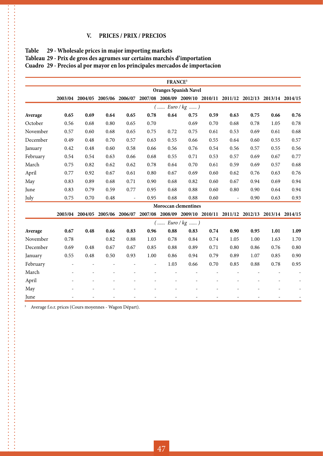#### **V. PRICES / PRIX / PRECIOS**

|          |                              |                                                                                                 |      |                          |                          | FRANCE <sup>3</sup> |                      |      |                          |      |      |      |
|----------|------------------------------|-------------------------------------------------------------------------------------------------|------|--------------------------|--------------------------|---------------------|----------------------|------|--------------------------|------|------|------|
|          | <b>Oranges Spanish Navel</b> |                                                                                                 |      |                          |                          |                     |                      |      |                          |      |      |      |
|          |                              | 2003/04 2004/05 2005/06 2006/07 2007/08 2008/09 2009/10 2010/11 2011/12 2012/13 2013/14 2014/15 |      |                          |                          |                     |                      |      |                          |      |      |      |
|          |                              |                                                                                                 |      |                          |                          |                     | $($ Euro / $kg$ )    |      |                          |      |      |      |
| Average  | 0.65                         | 0.69                                                                                            | 0.64 | 0.65                     | 0.78                     | 0.64                | 0.75                 | 0.59 | 0.63                     | 0.75 | 0.66 | 0.76 |
| October  | 0.56                         | 0.68                                                                                            | 0.80 | 0.65                     | 0.70                     |                     | 0.69                 | 0.70 | 0.68                     | 0.78 | 1.05 | 0.78 |
| November | 0.57                         | 0.60                                                                                            | 0.68 | 0.65                     | 0.75                     | 0.72                | 0.75                 | 0.61 | 0.53                     | 0.69 | 0.61 | 0.68 |
| December | 0.49                         | 0.48                                                                                            | 0.70 | 0.57                     | 0.63                     | 0.55                | 0.66                 | 0.55 | 0.64                     | 0.60 | 0.55 | 0.57 |
| January  | 0.42                         | 0.48                                                                                            | 0.60 | 0.58                     | 0.66                     | 0.56                | 0.76                 | 0.54 | 0.56                     | 0.57 | 0.55 | 0.56 |
| February | 0.54                         | 0.54                                                                                            | 0.63 | 0.66                     | 0.68                     | 0.55                | 0.71                 | 0.53 | 0.57                     | 0.69 | 0.67 | 0.77 |
| March    | 0.75                         | 0.82                                                                                            | 0.62 | 0.62                     | 0.78                     | 0.64                | 0.70                 | 0.61 | 0.59                     | 0.69 | 0.57 | 0.68 |
| April    | 0.77                         | 0.92                                                                                            | 0.67 | 0.61                     | 0.80                     | 0.67                | 0.69                 | 0.60 | 0.62                     | 0.76 | 0.63 | 0.76 |
| May      | 0.83                         | 0.89                                                                                            | 0.68 | 0.71                     | 0.90                     | 0.68                | 0.82                 | 0.60 | 0.67                     | 0.94 | 0.69 | 0.94 |
| June     | 0.83                         | 0.79                                                                                            | 0.59 | 0.77                     | 0.95                     | 0.68                | 0.88                 | 0.60 | 0.80                     | 0.90 | 0.64 | 0.94 |
| July     | 0.75                         | 0.70                                                                                            | 0.48 | $\overline{\phantom{a}}$ | 0.95                     | 0.68                | 0.88                 | 0.60 | $\overline{\phantom{a}}$ | 0.90 | 0.63 | 0.93 |
|          |                              |                                                                                                 |      |                          |                          |                     | Moroccan clementines |      |                          |      |      |      |
|          |                              | 2003/04 2004/05 2005/06 2006/07 2007/08 2008/09 2009/10 2010/11 2011/12 2012/13 2013/14 2014/15 |      |                          |                          |                     |                      |      |                          |      |      |      |
|          |                              |                                                                                                 |      |                          |                          |                     | $($ Euro / $kg$ )    |      |                          |      |      |      |
| Average  | 0.67                         | 0.48                                                                                            | 0.66 | 0.83                     | 0.96                     | 0.88                | 0.83                 | 0.74 | 0.90                     | 0.95 | 1.01 | 1.09 |
| November | 0.78                         |                                                                                                 | 0.82 | 0.88                     | 1.03                     | 0.78                | 0.84                 | 0.74 | 1.05                     | 1.00 | 1.63 | 1.70 |
| December | 0.69                         | 0.48                                                                                            | 0.67 | 0.67                     | 0.85                     | 0.88                | 0.89                 | 0.71 | 0.80                     | 0.86 | 0.76 | 0.80 |
| January  | 0.55                         | 0.48                                                                                            | 0.50 | 0.93                     | 1.00                     | 0.86                | 0.94                 | 0.79 | 0.89                     | 1.07 | 0.85 | 0.90 |
| February |                              |                                                                                                 |      |                          | $\overline{\phantom{a}}$ | 1.03                | 0.66                 | 0.70 | 0.85                     | 0.88 | 0.78 | 0.95 |
| March    |                              |                                                                                                 |      |                          |                          |                     |                      |      |                          |      |      |      |
| April    |                              |                                                                                                 |      |                          |                          |                     |                      |      |                          |      |      |      |
| May      |                              |                                                                                                 |      |                          |                          |                     |                      |      |                          |      |      |      |
| June     |                              |                                                                                                 |      |                          |                          |                     |                      |      |                          |      |      |      |

#### **Table 29 - Wholesale prices in major importing markets**

医皮肤性皮肤性皮肤性皮肤性皮肤性皮肤性皮肤性皮肤性皮肤性皮肤炎

 $\frac{1}{2}$ 

----------------------

,,,,,,,,,,,,,,,,,,

**Tableau 29 - Prix de gros des agrumes sur certains marchés d'importation**

**Cuadro 29 - Precios al por mayor en los principales mercados de importacíon**

<sup>3</sup> Average f.o.r. prices (Cours moyennes - Wagon Départ).